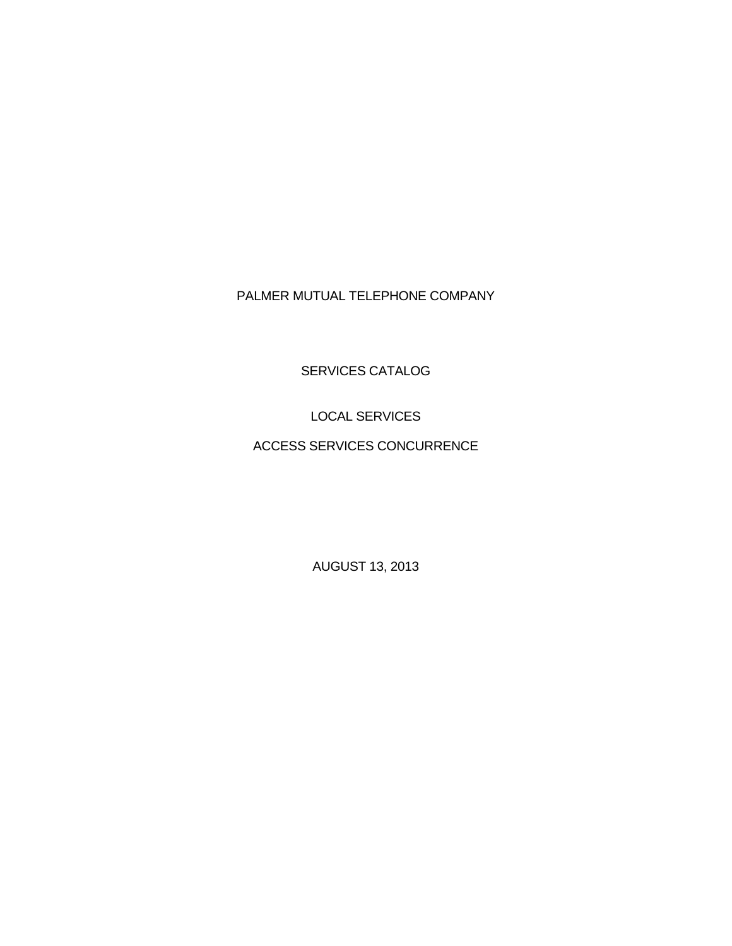# PALMER MUTUAL TELEPHONE COMPANY

SERVICES CATALOG

LOCAL SERVICES

ACCESS SERVICES CONCURRENCE

AUGUST 13, 2013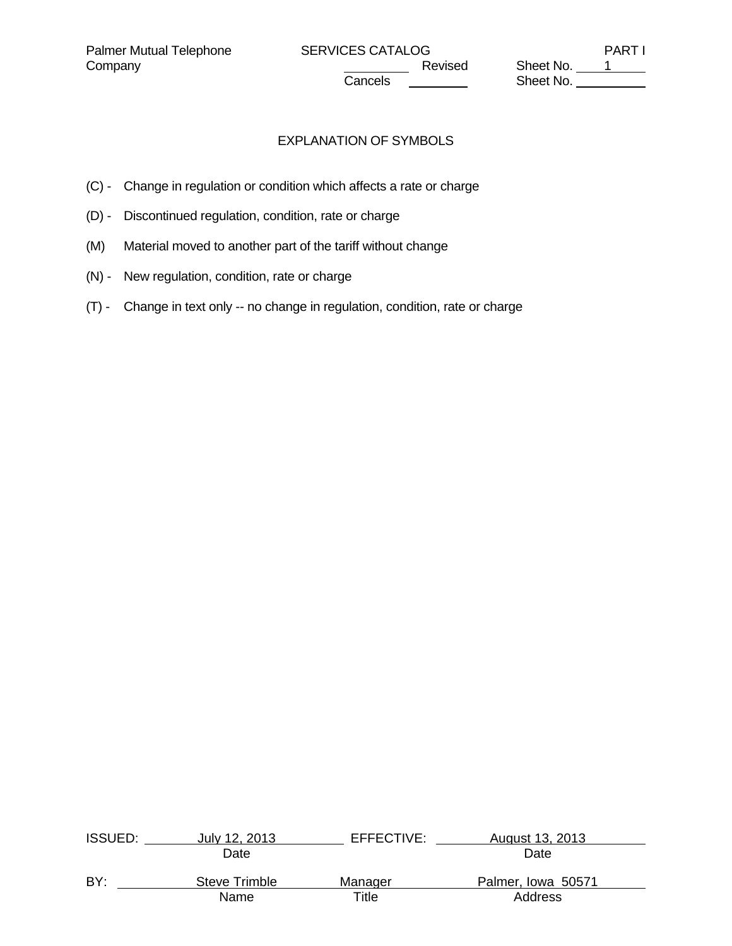Company Company Company Company Revised Sheet No. 1 **Cancels Sheet No.** 2008.

# EXPLANATION OF SYMBOLS

- (C) Change in regulation or condition which affects a rate or charge
- (D) Discontinued regulation, condition, rate or charge
- (M) Material moved to another part of the tariff without change
- (N) New regulation, condition, rate or charge
- (T) Change in text only -- no change in regulation, condition, rate or charge

| <b>ISSUED:</b> | July 12, 2013 | EFFECTIVE: | August 13, 2013    |  |
|----------------|---------------|------------|--------------------|--|
|                | Date          |            | Date               |  |
| BY:            | Steve Trimble | Manager    | Palmer, Iowa 50571 |  |
|                | Name          | Title      | Address            |  |
|                |               |            |                    |  |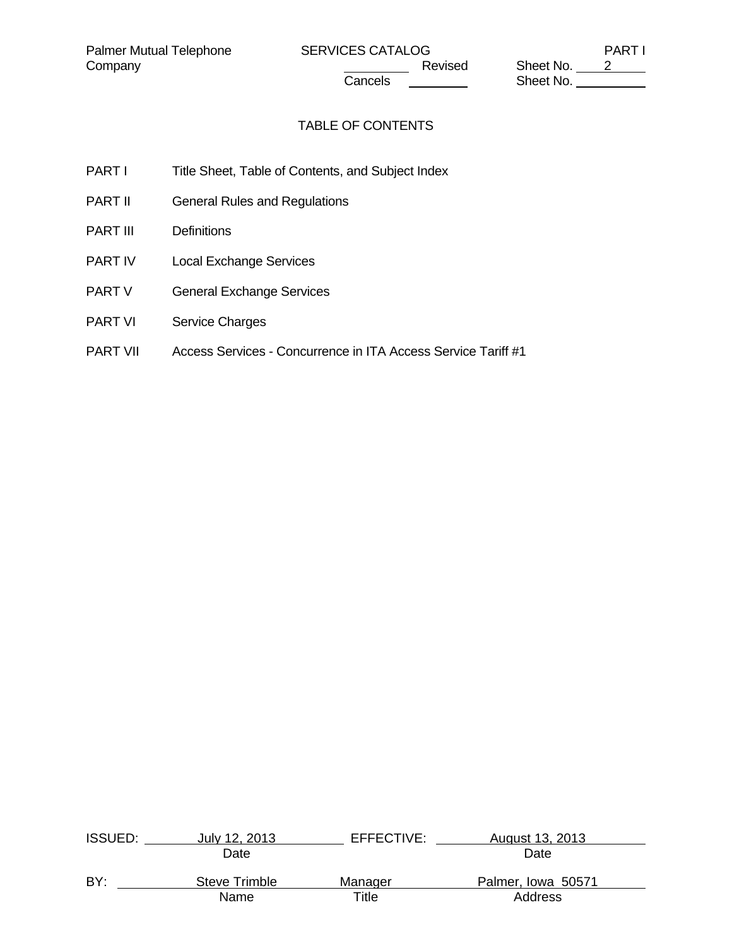Company Company Company Cancels Revised Sheet No. 2 **Cancels Sheet No.** 

# TABLE OF CONTENTS

- PART I Title Sheet, Table of Contents, and Subject Index
- PART II General Rules and Regulations
- PART III Definitions
- PART IV Local Exchange Services
- PART V General Exchange Services
- PART VI Service Charges
- PART VII Access Services Concurrence in ITA Access Service Tariff #1

| <b>ISSUED:</b> | July 12, 2013 | EFFECTIVE:  | August 13, 2013    |  |
|----------------|---------------|-------------|--------------------|--|
|                | Date          |             | Date               |  |
| BY:            | Steve Trimble | Manager     | Palmer, Iowa 50571 |  |
|                | Name          | $\tau$ itle | Address            |  |
|                |               |             |                    |  |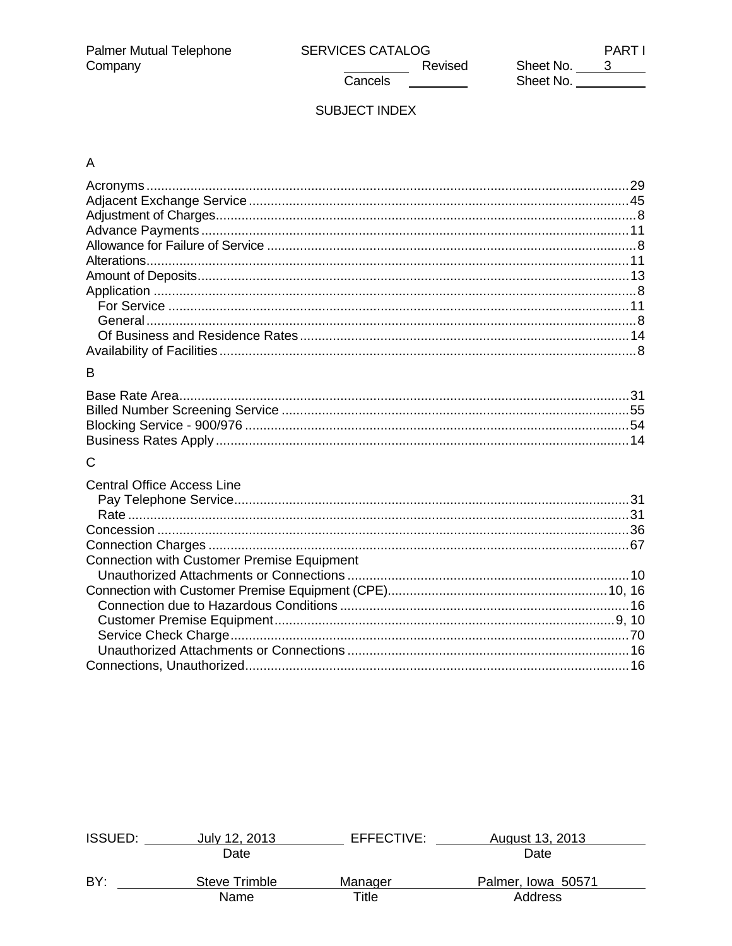Cancels

 $\overline{\phantom{a}}$ 

**PARTI** Sheet No. 3<br>Sheet No. 2008

# SUBJECT INDEX

# $\mathsf A$

| B                                          |  |
|--------------------------------------------|--|
|                                            |  |
|                                            |  |
|                                            |  |
|                                            |  |
| $\mathsf{C}$                               |  |
|                                            |  |
| <b>Central Office Access Line</b>          |  |
|                                            |  |
|                                            |  |
|                                            |  |
| Connection with Customer Premise Equipment |  |
|                                            |  |
|                                            |  |
|                                            |  |
|                                            |  |
|                                            |  |
|                                            |  |
|                                            |  |
|                                            |  |

| <b>ISSUED:</b> | July 12, 2013 | EFFECTIVE: | August 13, 2013    |  |
|----------------|---------------|------------|--------------------|--|
|                | Date          |            | Date               |  |
| BY:            | Steve Trimble | Manager    | Palmer, Iowa 50571 |  |
|                | Name          | Title      | Address            |  |
|                |               |            |                    |  |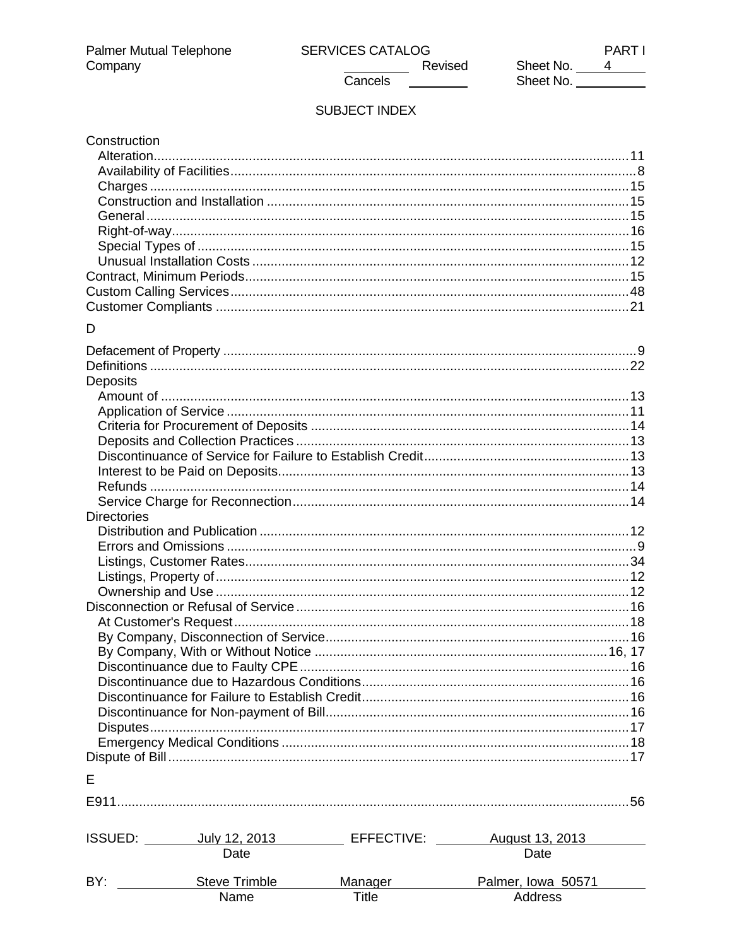$\overline{\phantom{a}}$ 

**PARTI** Sheet No.  $\frac{4}{4}$ Sheet No.

# SUBJECT INDEX

Cancels

| Construction       |               |         |                                                                                       |  |
|--------------------|---------------|---------|---------------------------------------------------------------------------------------|--|
|                    |               |         |                                                                                       |  |
|                    |               |         |                                                                                       |  |
|                    |               |         |                                                                                       |  |
|                    |               |         |                                                                                       |  |
|                    |               |         |                                                                                       |  |
|                    |               |         |                                                                                       |  |
|                    |               |         |                                                                                       |  |
|                    |               |         |                                                                                       |  |
|                    |               |         |                                                                                       |  |
|                    |               |         |                                                                                       |  |
|                    |               |         |                                                                                       |  |
| D                  |               |         |                                                                                       |  |
|                    |               |         |                                                                                       |  |
|                    |               |         |                                                                                       |  |
|                    |               |         |                                                                                       |  |
| Deposits           |               |         |                                                                                       |  |
|                    |               |         |                                                                                       |  |
|                    |               |         |                                                                                       |  |
|                    |               |         |                                                                                       |  |
|                    |               |         |                                                                                       |  |
|                    |               |         |                                                                                       |  |
|                    |               |         |                                                                                       |  |
|                    |               |         |                                                                                       |  |
|                    |               |         |                                                                                       |  |
| <b>Directories</b> |               |         |                                                                                       |  |
|                    |               |         |                                                                                       |  |
|                    |               |         |                                                                                       |  |
|                    |               |         |                                                                                       |  |
|                    |               |         |                                                                                       |  |
|                    |               |         |                                                                                       |  |
|                    |               |         |                                                                                       |  |
|                    |               |         |                                                                                       |  |
|                    |               |         |                                                                                       |  |
|                    |               |         |                                                                                       |  |
|                    |               |         |                                                                                       |  |
|                    |               |         |                                                                                       |  |
|                    |               |         |                                                                                       |  |
|                    |               |         |                                                                                       |  |
|                    |               |         |                                                                                       |  |
|                    |               |         |                                                                                       |  |
|                    |               |         |                                                                                       |  |
| Е                  |               |         |                                                                                       |  |
|                    |               |         |                                                                                       |  |
|                    |               |         |                                                                                       |  |
|                    |               |         |                                                                                       |  |
|                    |               |         | ISSUED: _________ July 12, 2013 ________________ EFFECTIVE: _________ August 13, 2013 |  |
|                    | Date          |         | Date                                                                                  |  |
|                    |               |         |                                                                                       |  |
| BY:                | Steve Trimble | Manager | Palmer, Iowa 50571                                                                    |  |
|                    | Name          | Title   | Address                                                                               |  |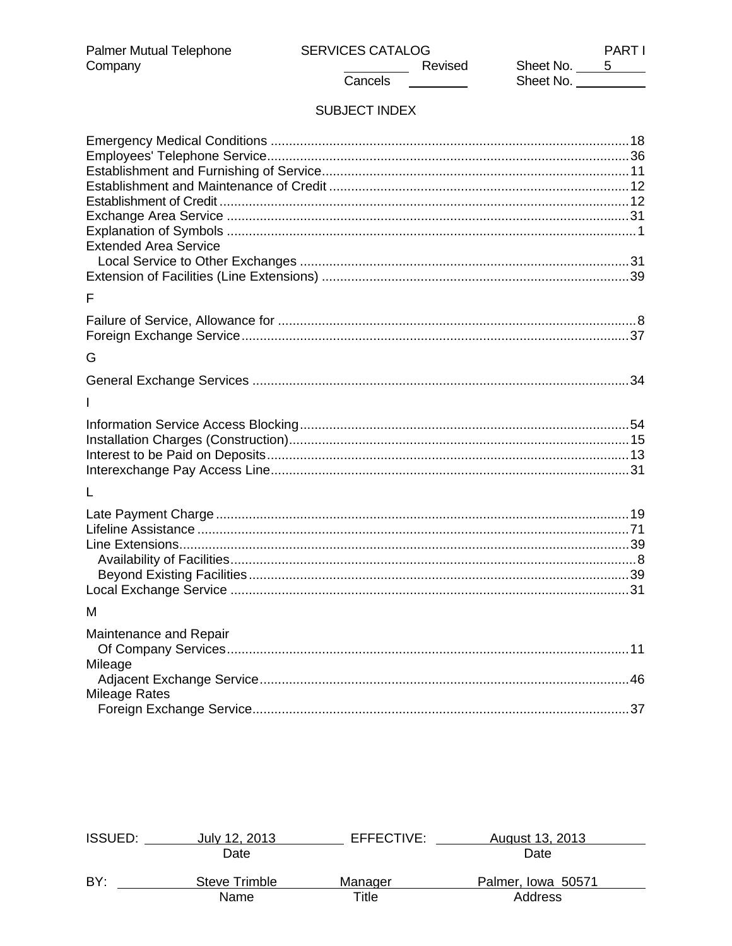**PARTI** 

# SUBJECT INDEX

Cancels

| <b>Extended Area Service</b> |  |
|------------------------------|--|
|                              |  |
| F                            |  |
|                              |  |
| G                            |  |
|                              |  |
|                              |  |
|                              |  |
|                              |  |
|                              |  |
|                              |  |
| L                            |  |
|                              |  |
|                              |  |
|                              |  |
|                              |  |
|                              |  |
| м                            |  |
|                              |  |
| Maintenance and Repair       |  |
| Mileage                      |  |
| <b>Mileage Rates</b>         |  |
|                              |  |

| <b>ISSUED:</b> | July 12, 2013 | EFFECTIVE: | August 13, 2013    |  |
|----------------|---------------|------------|--------------------|--|
|                | Date          |            | Date               |  |
| BY:            | Steve Trimble | Manager    | Palmer, Iowa 50571 |  |
|                | Name          | Title      | Address            |  |
|                |               |            |                    |  |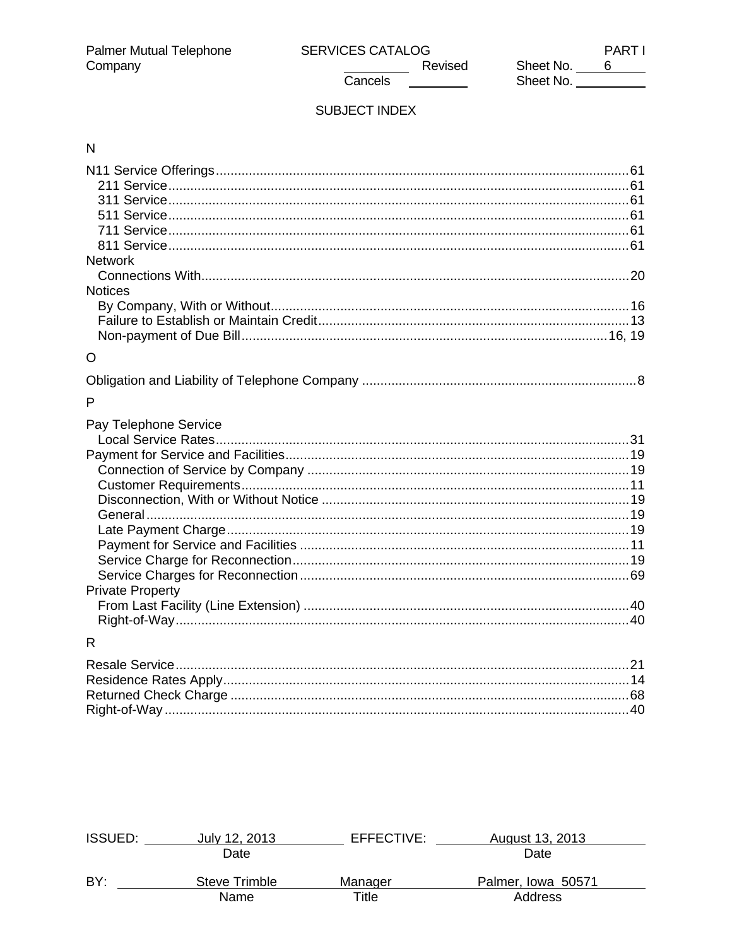Revised Cancels **Cancel** 

**PARTI** Sheet No. 6<br>Sheet No. <u>6</u>

# SUBJECT INDEX

# $\overline{\mathsf{N}}$

| <b>Network</b>          |    |
|-------------------------|----|
|                         |    |
| <b>Notices</b>          |    |
|                         |    |
|                         |    |
|                         |    |
| $\circ$                 |    |
|                         |    |
| P                       |    |
| Pay Telephone Service   |    |
|                         |    |
|                         |    |
|                         |    |
|                         |    |
|                         |    |
|                         |    |
|                         |    |
|                         |    |
|                         |    |
|                         |    |
| <b>Private Property</b> |    |
|                         |    |
|                         |    |
| R                       |    |
| Posalo Sorvico          | 21 |

| <b>ISSUED:</b> | July 12, 2013 | EFFECTIVE: | August 13, 2013    |  |
|----------------|---------------|------------|--------------------|--|
|                | Date          |            | Date               |  |
| BY:            | Steve Trimble | Manager    | Palmer, Iowa 50571 |  |
|                | Name          | Title      | Address            |  |
|                |               |            |                    |  |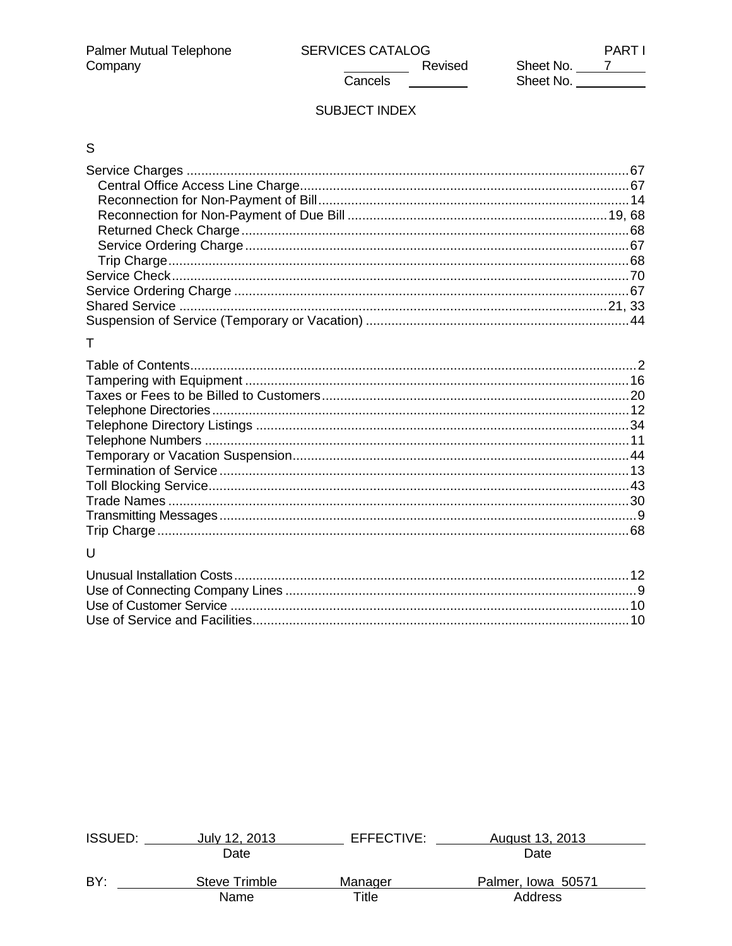Cancels **Cancel** 

**PARTI** Sheet No. 7<br>Sheet No. 7

# SUBJECT INDEX

# $\mathsf{S}$

# $\bar{\mathsf{T}}$

| .68 |
|-----|
|     |

# $\cup$

| <b>ISSUED:</b> | July 12, 2013 | EFFECTIVE: | August 13, 2013    |  |
|----------------|---------------|------------|--------------------|--|
|                | Date          |            | Date               |  |
| BY:            | Steve Trimble | Manager    | Palmer, Iowa 50571 |  |
|                | Name          | Title      | Address            |  |
|                |               |            |                    |  |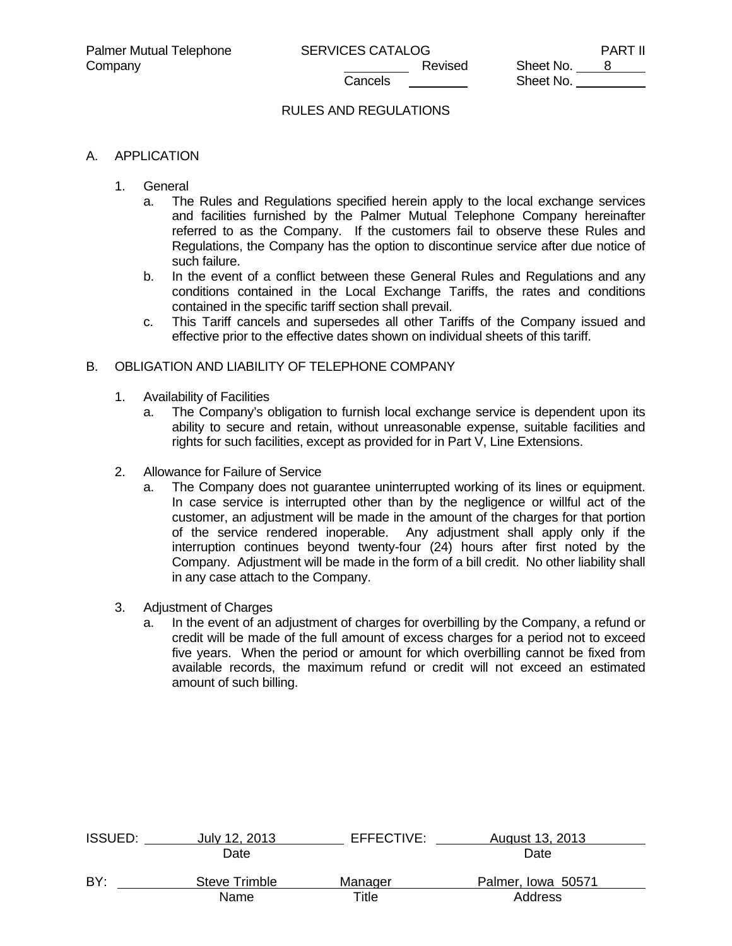## RULES AND REGULATIONS

#### A. APPLICATION

- 1. General
	- a. The Rules and Regulations specified herein apply to the local exchange services and facilities furnished by the Palmer Mutual Telephone Company hereinafter referred to as the Company. If the customers fail to observe these Rules and Regulations, the Company has the option to discontinue service after due notice of such failure.
	- b. In the event of a conflict between these General Rules and Regulations and any conditions contained in the Local Exchange Tariffs, the rates and conditions contained in the specific tariff section shall prevail.
	- c. This Tariff cancels and supersedes all other Tariffs of the Company issued and effective prior to the effective dates shown on individual sheets of this tariff.

#### B. OBLIGATION AND LIABILITY OF TELEPHONE COMPANY

- 1. Availability of Facilities
	- a. The Company's obligation to furnish local exchange service is dependent upon its ability to secure and retain, without unreasonable expense, suitable facilities and rights for such facilities, except as provided for in Part V, Line Extensions.
- 2. Allowance for Failure of Service
	- a. The Company does not guarantee uninterrupted working of its lines or equipment. In case service is interrupted other than by the negligence or willful act of the customer, an adjustment will be made in the amount of the charges for that portion of the service rendered inoperable. Any adjustment shall apply only if the interruption continues beyond twenty-four (24) hours after first noted by the Company. Adjustment will be made in the form of a bill credit. No other liability shall in any case attach to the Company.
- 3. Adjustment of Charges
	- a. In the event of an adjustment of charges for overbilling by the Company, a refund or credit will be made of the full amount of excess charges for a period not to exceed five years. When the period or amount for which overbilling cannot be fixed from available records, the maximum refund or credit will not exceed an estimated amount of such billing.

| <b>ISSUED:</b> | July 12, 2013 | EFFECTIVE: | August 13, 2013    |  |
|----------------|---------------|------------|--------------------|--|
|                | Date          |            | Date               |  |
| BY:            | Steve Trimble | Manager    | Palmer, Iowa 50571 |  |
|                | Name          | Title      | Address            |  |
|                |               |            |                    |  |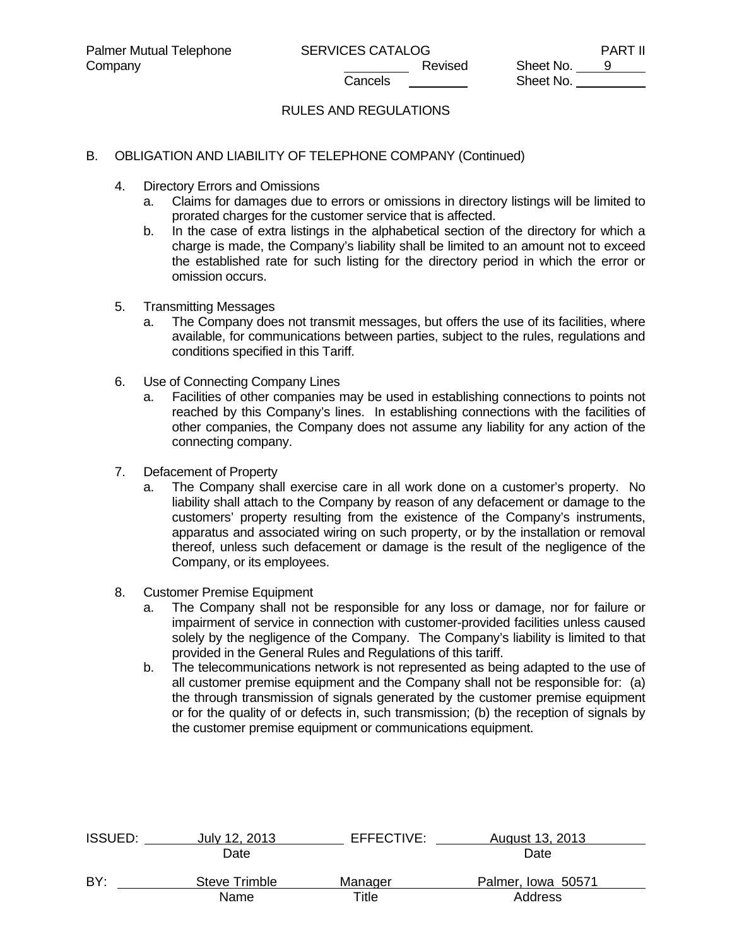# RULES AND REGULATIONS

### B. OBLIGATION AND LIABILITY OF TELEPHONE COMPANY (Continued)

- 4. Directory Errors and Omissions
	- a. Claims for damages due to errors or omissions in directory listings will be limited to prorated charges for the customer service that is affected.
	- b. In the case of extra listings in the alphabetical section of the directory for which a charge is made, the Company's liability shall be limited to an amount not to exceed the established rate for such listing for the directory period in which the error or omission occurs.
- 5. Transmitting Messages
	- a. The Company does not transmit messages, but offers the use of its facilities, where available, for communications between parties, subject to the rules, regulations and conditions specified in this Tariff.
- 6. Use of Connecting Company Lines
	- a. Facilities of other companies may be used in establishing connections to points not reached by this Company's lines. In establishing connections with the facilities of other companies, the Company does not assume any liability for any action of the connecting company.
- 7. Defacement of Property
	- a. The Company shall exercise care in all work done on a customer's property. No liability shall attach to the Company by reason of any defacement or damage to the customers' property resulting from the existence of the Company's instruments, apparatus and associated wiring on such property, or by the installation or removal thereof, unless such defacement or damage is the result of the negligence of the Company, or its employees.
- 8. Customer Premise Equipment
	- a. The Company shall not be responsible for any loss or damage, nor for failure or impairment of service in connection with customer-provided facilities unless caused solely by the negligence of the Company. The Company's liability is limited to that provided in the General Rules and Regulations of this tariff.
	- b. The telecommunications network is not represented as being adapted to the use of all customer premise equipment and the Company shall not be responsible for: (a) the through transmission of signals generated by the customer premise equipment or for the quality of or defects in, such transmission; (b) the reception of signals by the customer premise equipment or communications equipment.

| ISSUED: | July 12, 2013 | EFFECTIVE: | August 13, 2013    |  |
|---------|---------------|------------|--------------------|--|
|         | Date          |            | Date               |  |
| BY:     | Steve Trimble | Manager    | Palmer, Iowa 50571 |  |
|         | Name          | ⊤itle      | Address            |  |
|         |               |            |                    |  |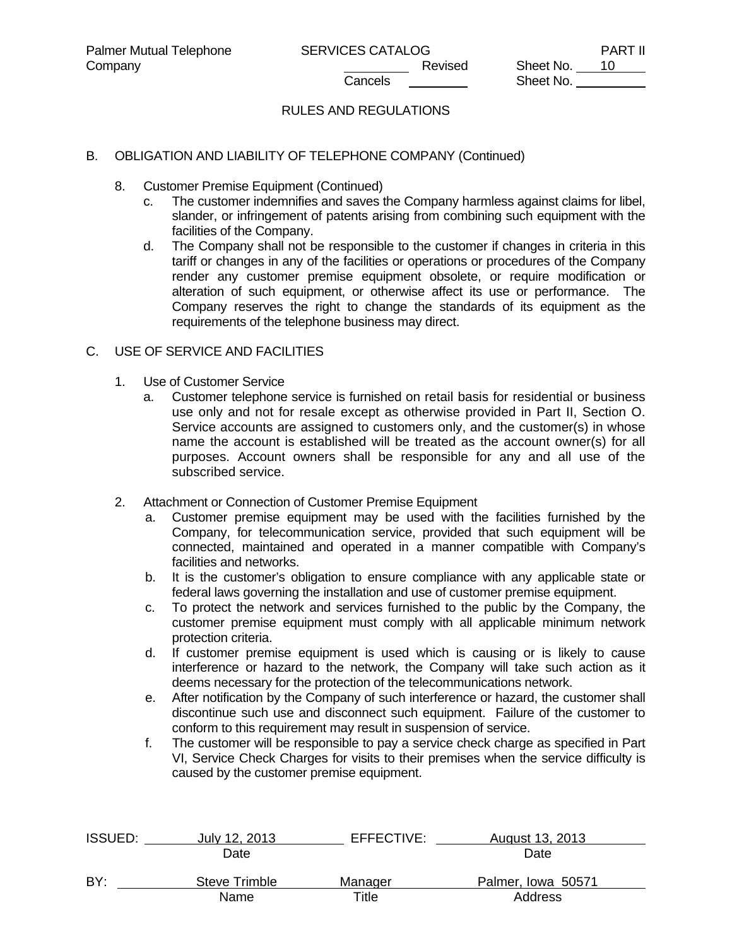# RULES AND REGULATIONS

### B. OBLIGATION AND LIABILITY OF TELEPHONE COMPANY (Continued)

- 8. Customer Premise Equipment (Continued)
	- c. The customer indemnifies and saves the Company harmless against claims for libel, slander, or infringement of patents arising from combining such equipment with the facilities of the Company.
	- d. The Company shall not be responsible to the customer if changes in criteria in this tariff or changes in any of the facilities or operations or procedures of the Company render any customer premise equipment obsolete, or require modification or alteration of such equipment, or otherwise affect its use or performance. The Company reserves the right to change the standards of its equipment as the requirements of the telephone business may direct.

### C. USE OF SERVICE AND FACILITIES

- 1. Use of Customer Service
	- a. Customer telephone service is furnished on retail basis for residential or business use only and not for resale except as otherwise provided in Part II, Section O. Service accounts are assigned to customers only, and the customer(s) in whose name the account is established will be treated as the account owner(s) for all purposes. Account owners shall be responsible for any and all use of the subscribed service.
- 2. Attachment or Connection of Customer Premise Equipment
	- a. Customer premise equipment may be used with the facilities furnished by the Company, for telecommunication service, provided that such equipment will be connected, maintained and operated in a manner compatible with Company's facilities and networks.
	- b. It is the customer's obligation to ensure compliance with any applicable state or federal laws governing the installation and use of customer premise equipment.
	- c. To protect the network and services furnished to the public by the Company, the customer premise equipment must comply with all applicable minimum network protection criteria.
	- d. If customer premise equipment is used which is causing or is likely to cause interference or hazard to the network, the Company will take such action as it deems necessary for the protection of the telecommunications network.
	- e. After notification by the Company of such interference or hazard, the customer shall discontinue such use and disconnect such equipment. Failure of the customer to conform to this requirement may result in suspension of service.
	- f. The customer will be responsible to pay a service check charge as specified in Part VI, Service Check Charges for visits to their premises when the service difficulty is caused by the customer premise equipment.

| <b>ISSUED:</b> | July 12, 2013 | EFFECTIVE: | August 13, 2013    |  |
|----------------|---------------|------------|--------------------|--|
|                | Date          |            | Date               |  |
| BY:            | Steve Trimble | Manager    | Palmer, Iowa 50571 |  |
|                | Name          | Title      | Address            |  |
|                |               |            |                    |  |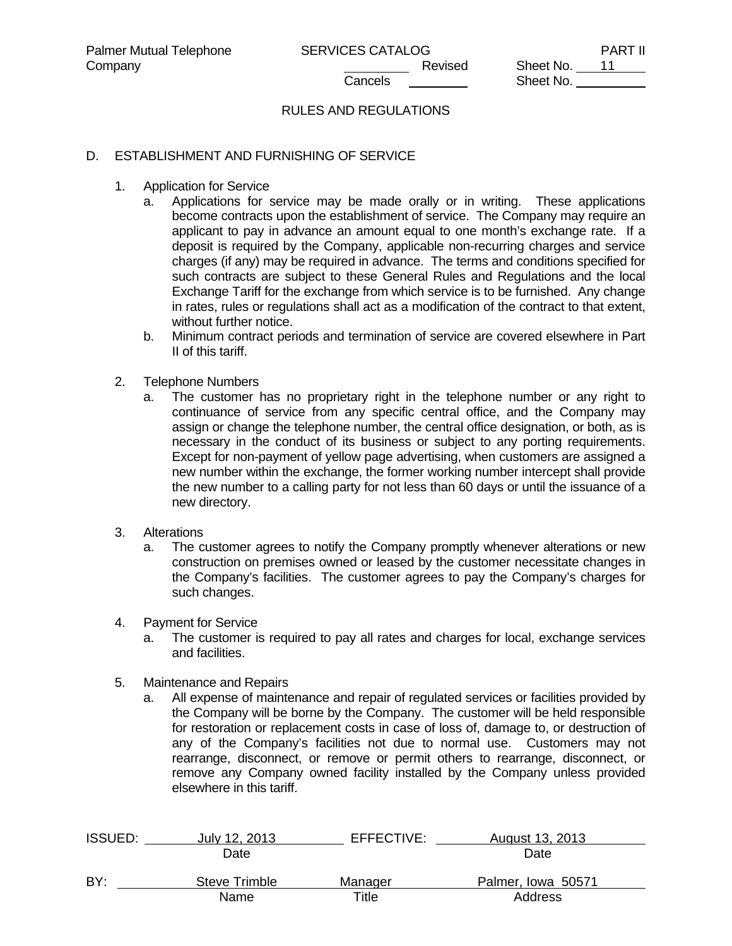# RULES AND REGULATIONS

### D. ESTABLISHMENT AND FURNISHING OF SERVICE

- 1. Application for Service
	- a. Applications for service may be made orally or in writing. These applications become contracts upon the establishment of service. The Company may require an applicant to pay in advance an amount equal to one month's exchange rate. If a deposit is required by the Company, applicable non-recurring charges and service charges (if any) may be required in advance. The terms and conditions specified for such contracts are subject to these General Rules and Regulations and the local Exchange Tariff for the exchange from which service is to be furnished. Any change in rates, rules or regulations shall act as a modification of the contract to that extent, without further notice.
	- b. Minimum contract periods and termination of service are covered elsewhere in Part II of this tariff.
- 2. Telephone Numbers
	- a. The customer has no proprietary right in the telephone number or any right to continuance of service from any specific central office, and the Company may assign or change the telephone number, the central office designation, or both, as is necessary in the conduct of its business or subject to any porting requirements. Except for non-payment of yellow page advertising, when customers are assigned a new number within the exchange, the former working number intercept shall provide the new number to a calling party for not less than 60 days or until the issuance of a new directory.
- 3. Alterations
	- a. The customer agrees to notify the Company promptly whenever alterations or new construction on premises owned or leased by the customer necessitate changes in the Company's facilities. The customer agrees to pay the Company's charges for such changes.
- 4. Payment for Service
	- a. The customer is required to pay all rates and charges for local, exchange services and facilities.
- 5. Maintenance and Repairs
	- a. All expense of maintenance and repair of regulated services or facilities provided by the Company will be borne by the Company. The customer will be held responsible for restoration or replacement costs in case of loss of, damage to, or destruction of any of the Company's facilities not due to normal use. Customers may not rearrange, disconnect, or remove or permit others to rearrange, disconnect, or remove any Company owned facility installed by the Company unless provided elsewhere in this tariff.

| <b>ISSUED:</b> | July 12, 2013 | EFFECTIVE: | August 13, 2013    |  |
|----------------|---------------|------------|--------------------|--|
|                | Date          |            | Date               |  |
| BY:            | Steve Trimble | Manager    | Palmer, Iowa 50571 |  |
|                | Name          | Title      | Address            |  |
|                |               |            |                    |  |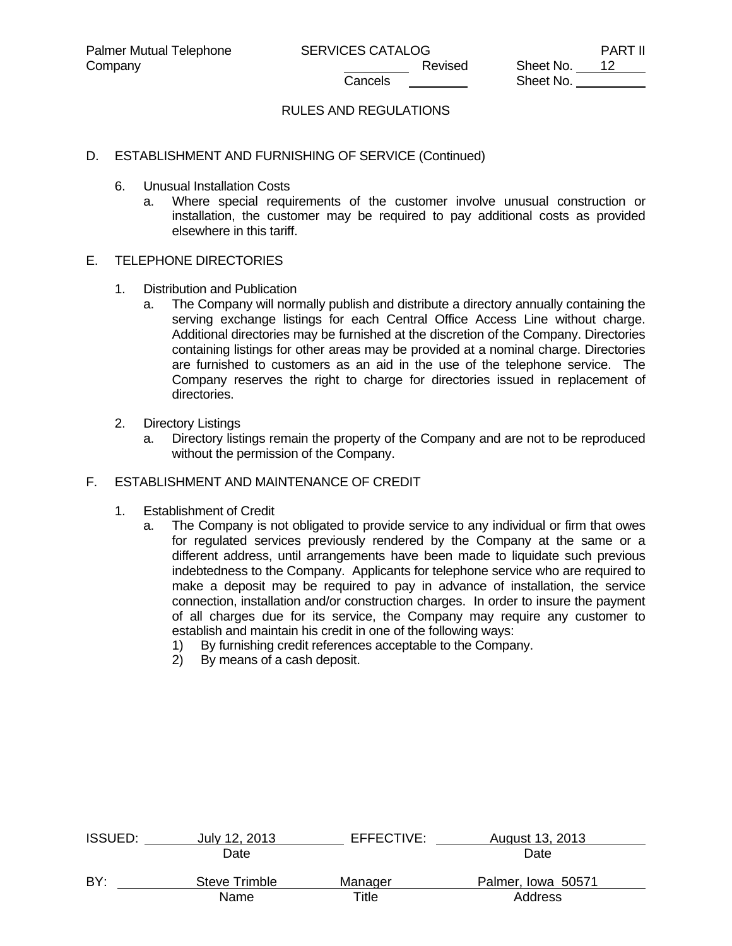# RULES AND REGULATIONS

### D. ESTABLISHMENT AND FURNISHING OF SERVICE (Continued)

- 6. Unusual Installation Costs
	- a. Where special requirements of the customer involve unusual construction or installation, the customer may be required to pay additional costs as provided elsewhere in this tariff.

#### E. TELEPHONE DIRECTORIES

- 1. Distribution and Publication
	- a. The Company will normally publish and distribute a directory annually containing the serving exchange listings for each Central Office Access Line without charge. Additional directories may be furnished at the discretion of the Company. Directories containing listings for other areas may be provided at a nominal charge. Directories are furnished to customers as an aid in the use of the telephone service. The Company reserves the right to charge for directories issued in replacement of directories.
- 2. Directory Listings
	- a. Directory listings remain the property of the Company and are not to be reproduced without the permission of the Company.

#### F. ESTABLISHMENT AND MAINTENANCE OF CREDIT

- 1. Establishment of Credit
	- a. The Company is not obligated to provide service to any individual or firm that owes for regulated services previously rendered by the Company at the same or a different address, until arrangements have been made to liquidate such previous indebtedness to the Company. Applicants for telephone service who are required to make a deposit may be required to pay in advance of installation, the service connection, installation and/or construction charges. In order to insure the payment of all charges due for its service, the Company may require any customer to establish and maintain his credit in one of the following ways:
		- 1) By furnishing credit references acceptable to the Company.
		- 2) By means of a cash deposit.

| <b>ISSUED:</b> | July 12, 2013 | EFFECTIVE:  | August 13, 2013    |  |
|----------------|---------------|-------------|--------------------|--|
|                | Date          |             | Date               |  |
| BY:            | Steve Trimble | Manager     | Palmer, Iowa 50571 |  |
|                | Name          | $\tau$ itle | Address            |  |
|                |               |             |                    |  |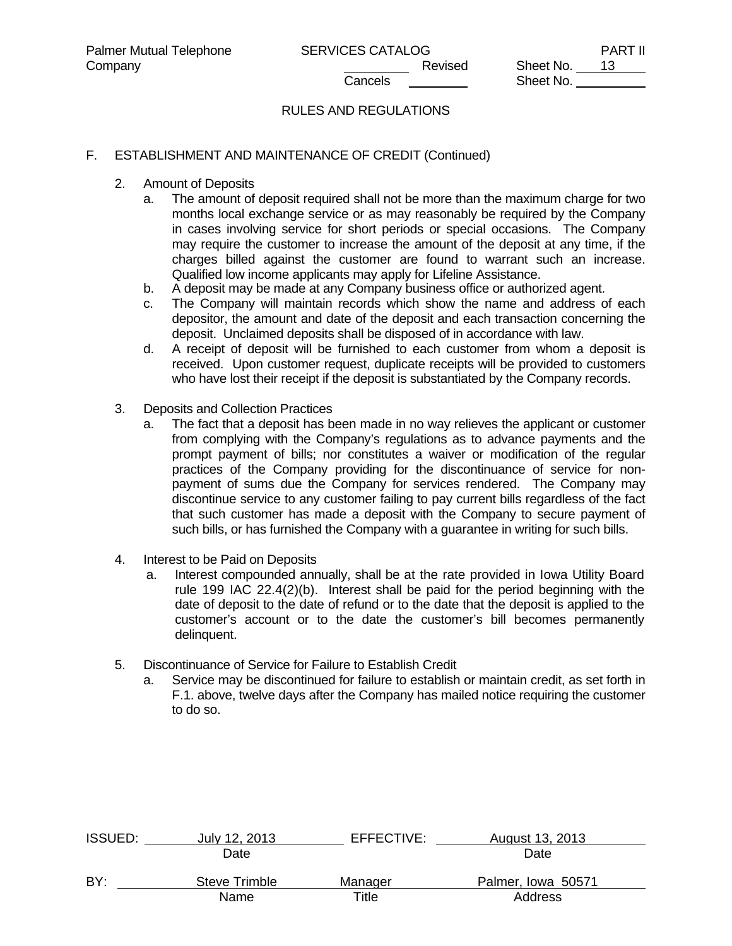# RULES AND REGULATIONS

#### F. ESTABLISHMENT AND MAINTENANCE OF CREDIT (Continued)

- 2. Amount of Deposits
	- a. The amount of deposit required shall not be more than the maximum charge for two months local exchange service or as may reasonably be required by the Company in cases involving service for short periods or special occasions. The Company may require the customer to increase the amount of the deposit at any time, if the charges billed against the customer are found to warrant such an increase. Qualified low income applicants may apply for Lifeline Assistance.
	- b. A deposit may be made at any Company business office or authorized agent.
	- c. The Company will maintain records which show the name and address of each depositor, the amount and date of the deposit and each transaction concerning the deposit. Unclaimed deposits shall be disposed of in accordance with law.
	- d. A receipt of deposit will be furnished to each customer from whom a deposit is received. Upon customer request, duplicate receipts will be provided to customers who have lost their receipt if the deposit is substantiated by the Company records.
- 3. Deposits and Collection Practices
	- a. The fact that a deposit has been made in no way relieves the applicant or customer from complying with the Company's regulations as to advance payments and the prompt payment of bills; nor constitutes a waiver or modification of the regular practices of the Company providing for the discontinuance of service for nonpayment of sums due the Company for services rendered. The Company may discontinue service to any customer failing to pay current bills regardless of the fact that such customer has made a deposit with the Company to secure payment of such bills, or has furnished the Company with a guarantee in writing for such bills.
- 4. Interest to be Paid on Deposits
	- a. Interest compounded annually, shall be at the rate provided in Iowa Utility Board rule 199 IAC 22.4(2)(b). Interest shall be paid for the period beginning with the date of deposit to the date of refund or to the date that the deposit is applied to the customer's account or to the date the customer's bill becomes permanently delinquent.
- 5. Discontinuance of Service for Failure to Establish Credit
	- a. Service may be discontinued for failure to establish or maintain credit, as set forth in F.1. above, twelve days after the Company has mailed notice requiring the customer to do so.

| <b>ISSUED:</b> | July 12, 2013 | EFFECTIVE: | August 13, 2013    |  |
|----------------|---------------|------------|--------------------|--|
|                | Date          |            | Date               |  |
| BY:            | Steve Trimble | Manager    | Palmer, Iowa 50571 |  |
|                | Name          | Title      | Address            |  |
|                |               |            |                    |  |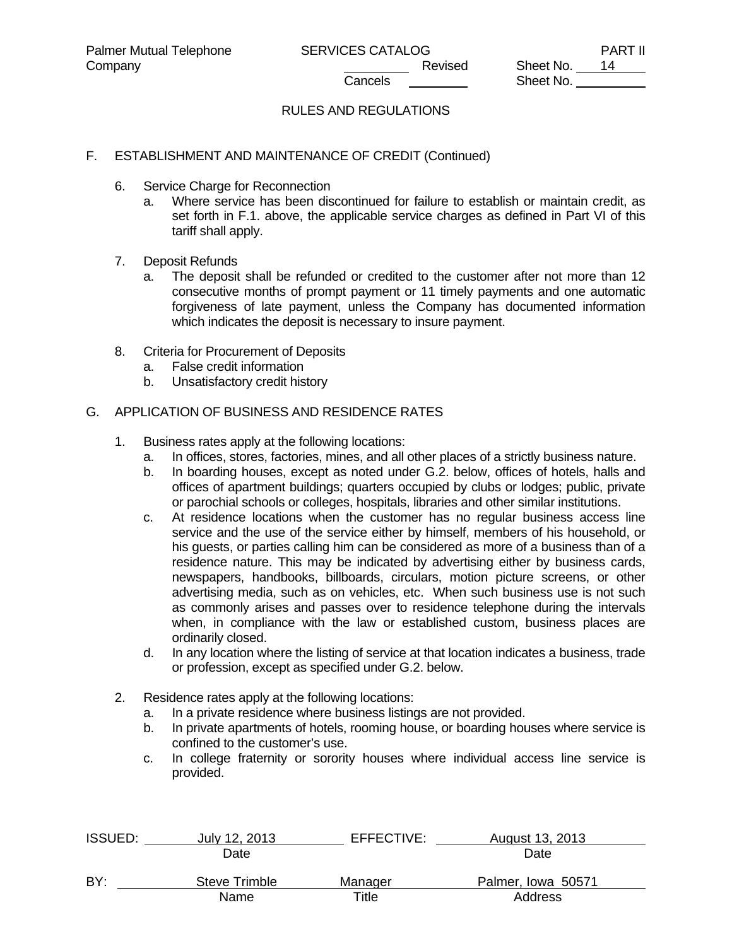# RULES AND REGULATIONS

### F. ESTABLISHMENT AND MAINTENANCE OF CREDIT (Continued)

- 6. Service Charge for Reconnection
	- a. Where service has been discontinued for failure to establish or maintain credit, as set forth in F.1. above, the applicable service charges as defined in Part VI of this tariff shall apply.
- 7. Deposit Refunds
	- a. The deposit shall be refunded or credited to the customer after not more than 12 consecutive months of prompt payment or 11 timely payments and one automatic forgiveness of late payment, unless the Company has documented information which indicates the deposit is necessary to insure payment.
- 8. Criteria for Procurement of Deposits
	- a. False credit information
	- b. Unsatisfactory credit history

#### G. APPLICATION OF BUSINESS AND RESIDENCE RATES

- 1. Business rates apply at the following locations:
	- a. In offices, stores, factories, mines, and all other places of a strictly business nature.
	- b. In boarding houses, except as noted under G.2. below, offices of hotels, halls and offices of apartment buildings; quarters occupied by clubs or lodges; public, private or parochial schools or colleges, hospitals, libraries and other similar institutions.
	- c. At residence locations when the customer has no regular business access line service and the use of the service either by himself, members of his household, or his guests, or parties calling him can be considered as more of a business than of a residence nature. This may be indicated by advertising either by business cards, newspapers, handbooks, billboards, circulars, motion picture screens, or other advertising media, such as on vehicles, etc. When such business use is not such as commonly arises and passes over to residence telephone during the intervals when, in compliance with the law or established custom, business places are ordinarily closed.
	- d. In any location where the listing of service at that location indicates a business, trade or profession, except as specified under G.2. below.
- 2. Residence rates apply at the following locations:
	- a. In a private residence where business listings are not provided.
	- b. In private apartments of hotels, rooming house, or boarding houses where service is confined to the customer's use.
	- c. In college fraternity or sorority houses where individual access line service is provided.

| <b>ISSUED:</b> | July 12, 2013 | EFFECTIVE: | August 13, 2013    |  |
|----------------|---------------|------------|--------------------|--|
|                | Date          |            | Date               |  |
| BY:            | Steve Trimble | Manager    | Palmer, Iowa 50571 |  |
|                | Name          | Title      | Address            |  |
|                |               |            |                    |  |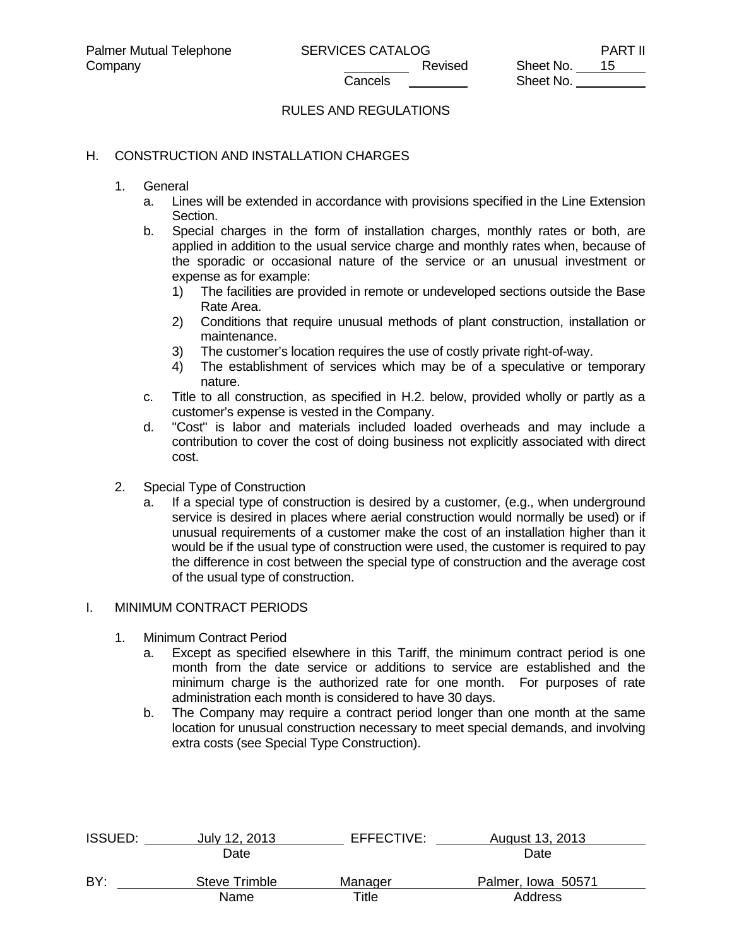# RULES AND REGULATIONS

#### H. CONSTRUCTION AND INSTALLATION CHARGES

- 1. General
	- a. Lines will be extended in accordance with provisions specified in the Line Extension Section.
	- b. Special charges in the form of installation charges, monthly rates or both, are applied in addition to the usual service charge and monthly rates when, because of the sporadic or occasional nature of the service or an unusual investment or expense as for example:
		- 1) The facilities are provided in remote or undeveloped sections outside the Base Rate Area.
		- 2) Conditions that require unusual methods of plant construction, installation or maintenance.
		- 3) The customer's location requires the use of costly private right-of-way.
		- 4) The establishment of services which may be of a speculative or temporary nature.
	- c. Title to all construction, as specified in H.2. below, provided wholly or partly as a customer's expense is vested in the Company.
	- d. "Cost" is labor and materials included loaded overheads and may include a contribution to cover the cost of doing business not explicitly associated with direct cost.
- 2. Special Type of Construction
	- a. If a special type of construction is desired by a customer, (e.g., when underground service is desired in places where aerial construction would normally be used) or if unusual requirements of a customer make the cost of an installation higher than it would be if the usual type of construction were used, the customer is required to pay the difference in cost between the special type of construction and the average cost of the usual type of construction.

### I. MINIMUM CONTRACT PERIODS

- 1. Minimum Contract Period
	- a. Except as specified elsewhere in this Tariff, the minimum contract period is one month from the date service or additions to service are established and the minimum charge is the authorized rate for one month. For purposes of rate administration each month is considered to have 30 days.
	- b. The Company may require a contract period longer than one month at the same location for unusual construction necessary to meet special demands, and involving extra costs (see Special Type Construction).

| ISSUED: | July 12, 2013 | EFFECTIVE: | August 13, 2013    |  |
|---------|---------------|------------|--------------------|--|
|         | Date          |            | Date               |  |
| BY:     | Steve Trimble | Manager    | Palmer, Iowa 50571 |  |
|         | Name          | Title      | Address            |  |
|         |               |            |                    |  |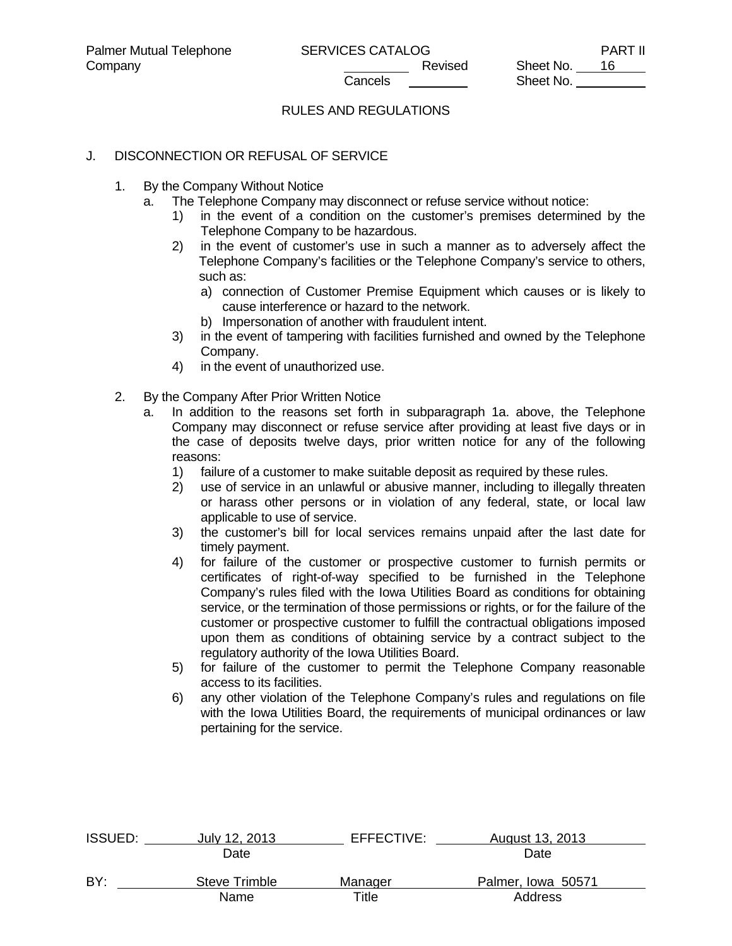# RULES AND REGULATIONS

### J. DISCONNECTION OR REFUSAL OF SERVICE

- 1. By the Company Without Notice
	- a. The Telephone Company may disconnect or refuse service without notice:
		- 1) in the event of a condition on the customer's premises determined by the Telephone Company to be hazardous.
		- 2) in the event of customer's use in such a manner as to adversely affect the Telephone Company's facilities or the Telephone Company's service to others, such as:
			- a) connection of Customer Premise Equipment which causes or is likely to cause interference or hazard to the network.
			- b) Impersonation of another with fraudulent intent.
		- 3) in the event of tampering with facilities furnished and owned by the Telephone Company.
		- 4) in the event of unauthorized use.
- 2. By the Company After Prior Written Notice
	- a. In addition to the reasons set forth in subparagraph 1a. above, the Telephone Company may disconnect or refuse service after providing at least five days or in the case of deposits twelve days, prior written notice for any of the following reasons:
		- 1) failure of a customer to make suitable deposit as required by these rules.
		- 2) use of service in an unlawful or abusive manner, including to illegally threaten or harass other persons or in violation of any federal, state, or local law applicable to use of service.
		- 3) the customer's bill for local services remains unpaid after the last date for timely payment.
		- 4) for failure of the customer or prospective customer to furnish permits or certificates of right-of-way specified to be furnished in the Telephone Company's rules filed with the Iowa Utilities Board as conditions for obtaining service, or the termination of those permissions or rights, or for the failure of the customer or prospective customer to fulfill the contractual obligations imposed upon them as conditions of obtaining service by a contract subject to the regulatory authority of the Iowa Utilities Board.
		- 5) for failure of the customer to permit the Telephone Company reasonable access to its facilities.
		- 6) any other violation of the Telephone Company's rules and regulations on file with the Iowa Utilities Board, the requirements of municipal ordinances or law pertaining for the service.

| <b>ISSUED:</b> | July 12, 2013 | EFFECTIVE: | August 13, 2013    |  |
|----------------|---------------|------------|--------------------|--|
|                | Date          |            | Date               |  |
| BY:            | Steve Trimble | Manager    | Palmer, Iowa 50571 |  |
|                | Name          | Title      | Address            |  |
|                |               |            |                    |  |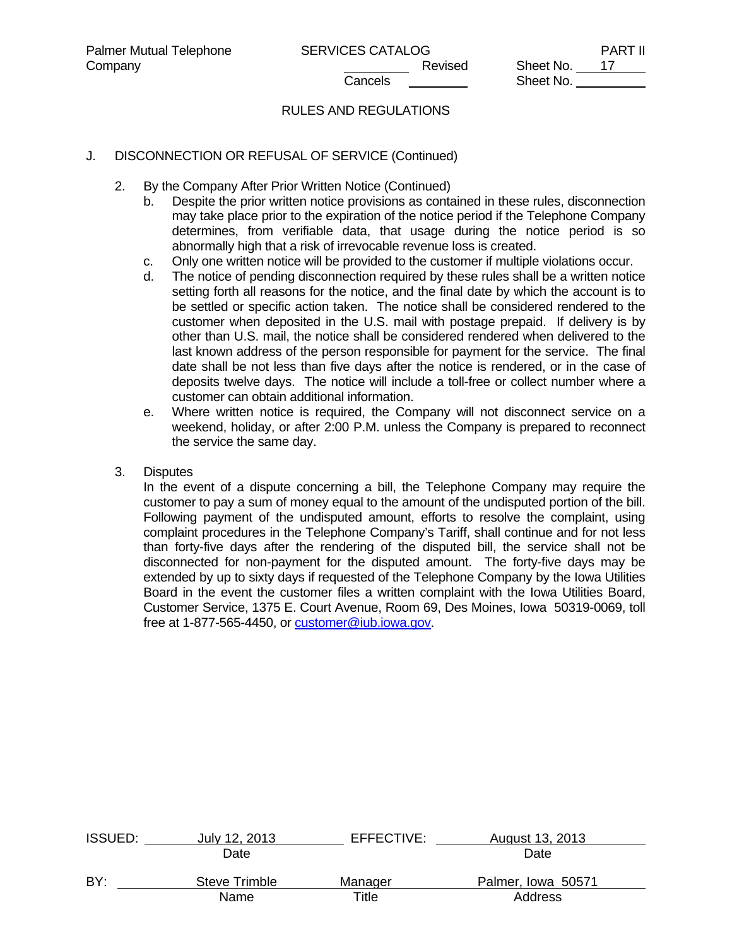# RULES AND REGULATIONS

### J. DISCONNECTION OR REFUSAL OF SERVICE (Continued)

- 2. By the Company After Prior Written Notice (Continued)
	- b. Despite the prior written notice provisions as contained in these rules, disconnection may take place prior to the expiration of the notice period if the Telephone Company determines, from verifiable data, that usage during the notice period is so abnormally high that a risk of irrevocable revenue loss is created.
	- c. Only one written notice will be provided to the customer if multiple violations occur.
	- d. The notice of pending disconnection required by these rules shall be a written notice setting forth all reasons for the notice, and the final date by which the account is to be settled or specific action taken. The notice shall be considered rendered to the customer when deposited in the U.S. mail with postage prepaid. If delivery is by other than U.S. mail, the notice shall be considered rendered when delivered to the last known address of the person responsible for payment for the service. The final date shall be not less than five days after the notice is rendered, or in the case of deposits twelve days. The notice will include a toll-free or collect number where a customer can obtain additional information.
	- e. Where written notice is required, the Company will not disconnect service on a weekend, holiday, or after 2:00 P.M. unless the Company is prepared to reconnect the service the same day.
- 3. Disputes

 In the event of a dispute concerning a bill, the Telephone Company may require the customer to pay a sum of money equal to the amount of the undisputed portion of the bill. Following payment of the undisputed amount, efforts to resolve the complaint, using complaint procedures in the Telephone Company's Tariff, shall continue and for not less than forty-five days after the rendering of the disputed bill, the service shall not be disconnected for non-payment for the disputed amount. The forty-five days may be extended by up to sixty days if requested of the Telephone Company by the Iowa Utilities Board in the event the customer files a written complaint with the Iowa Utilities Board, Customer Service, 1375 E. Court Avenue, Room 69, Des Moines, Iowa 50319-0069, toll free at 1-877-565-4450, or customer@iub.iowa.gov.

| <b>ISSUED:</b> | July 12, 2013 | EFFECTIVE: | August 13, 2013    |  |
|----------------|---------------|------------|--------------------|--|
|                | Date          |            | Date               |  |
| BY:            | Steve Trimble | Manager    | Palmer, Iowa 50571 |  |
|                | Name          | Title      | Address            |  |
|                |               |            |                    |  |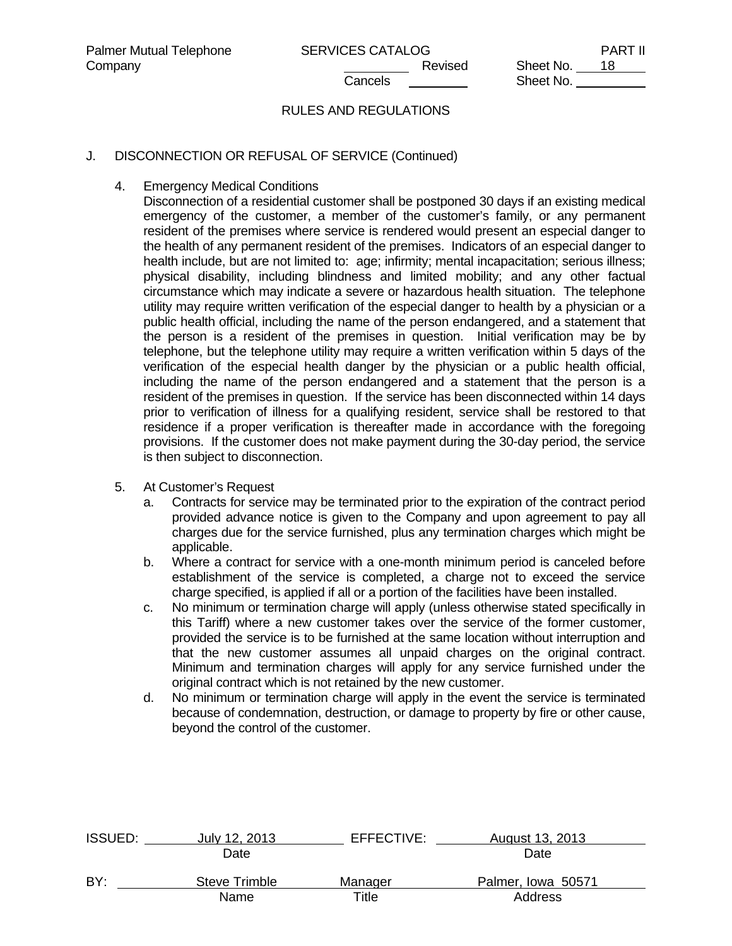# RULES AND REGULATIONS

# J. DISCONNECTION OR REFUSAL OF SERVICE (Continued)

4. Emergency Medical Conditions

 Disconnection of a residential customer shall be postponed 30 days if an existing medical emergency of the customer, a member of the customer's family, or any permanent resident of the premises where service is rendered would present an especial danger to the health of any permanent resident of the premises. Indicators of an especial danger to health include, but are not limited to: age; infirmity; mental incapacitation; serious illness; physical disability, including blindness and limited mobility; and any other factual circumstance which may indicate a severe or hazardous health situation. The telephone utility may require written verification of the especial danger to health by a physician or a public health official, including the name of the person endangered, and a statement that the person is a resident of the premises in question. Initial verification may be by telephone, but the telephone utility may require a written verification within 5 days of the verification of the especial health danger by the physician or a public health official, including the name of the person endangered and a statement that the person is a resident of the premises in question. If the service has been disconnected within 14 days prior to verification of illness for a qualifying resident, service shall be restored to that residence if a proper verification is thereafter made in accordance with the foregoing provisions. If the customer does not make payment during the 30-day period, the service is then subject to disconnection.

- 5. At Customer's Request
	- a. Contracts for service may be terminated prior to the expiration of the contract period provided advance notice is given to the Company and upon agreement to pay all charges due for the service furnished, plus any termination charges which might be applicable.
	- b. Where a contract for service with a one-month minimum period is canceled before establishment of the service is completed, a charge not to exceed the service charge specified, is applied if all or a portion of the facilities have been installed.
	- c. No minimum or termination charge will apply (unless otherwise stated specifically in this Tariff) where a new customer takes over the service of the former customer, provided the service is to be furnished at the same location without interruption and that the new customer assumes all unpaid charges on the original contract. Minimum and termination charges will apply for any service furnished under the original contract which is not retained by the new customer.
	- d. No minimum or termination charge will apply in the event the service is terminated because of condemnation, destruction, or damage to property by fire or other cause, beyond the control of the customer.

| <b>ISSUED:</b> | July 12, 2013 | EFFECTIVE: | August 13, 2013    |  |
|----------------|---------------|------------|--------------------|--|
|                | Date          |            | Date               |  |
| BY:            | Steve Trimble | Manager    | Palmer, Iowa 50571 |  |
|                | Name          | Title      | Address            |  |
|                |               |            |                    |  |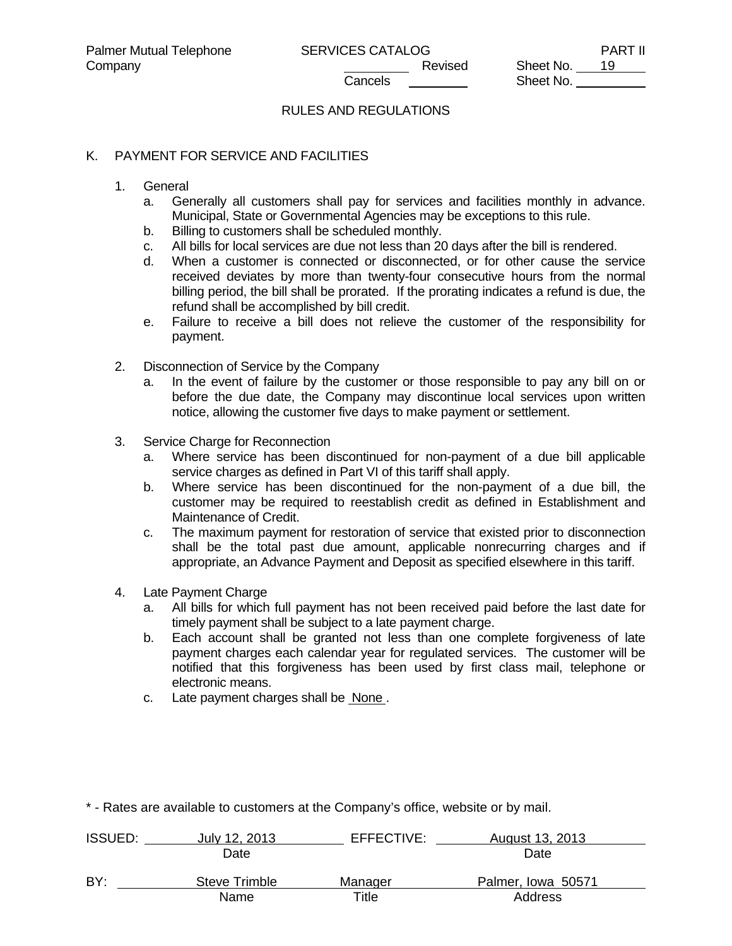# RULES AND REGULATIONS

### K. PAYMENT FOR SERVICE AND FACILITIES

#### 1. General

- a. Generally all customers shall pay for services and facilities monthly in advance. Municipal, State or Governmental Agencies may be exceptions to this rule.
- b. Billing to customers shall be scheduled monthly.
- c. All bills for local services are due not less than 20 days after the bill is rendered.
- d. When a customer is connected or disconnected, or for other cause the service received deviates by more than twenty-four consecutive hours from the normal billing period, the bill shall be prorated. If the prorating indicates a refund is due, the refund shall be accomplished by bill credit.
- e. Failure to receive a bill does not relieve the customer of the responsibility for payment.
- 2. Disconnection of Service by the Company
	- a. In the event of failure by the customer or those responsible to pay any bill on or before the due date, the Company may discontinue local services upon written notice, allowing the customer five days to make payment or settlement.
- 3. Service Charge for Reconnection
	- a. Where service has been discontinued for non-payment of a due bill applicable service charges as defined in Part VI of this tariff shall apply.
	- b. Where service has been discontinued for the non-payment of a due bill, the customer may be required to reestablish credit as defined in Establishment and Maintenance of Credit.
	- c. The maximum payment for restoration of service that existed prior to disconnection shall be the total past due amount, applicable nonrecurring charges and if appropriate, an Advance Payment and Deposit as specified elsewhere in this tariff.
- 4. Late Payment Charge
	- a. All bills for which full payment has not been received paid before the last date for timely payment shall be subject to a late payment charge.
	- b. Each account shall be granted not less than one complete forgiveness of late payment charges each calendar year for regulated services. The customer will be notified that this forgiveness has been used by first class mail, telephone or electronic means.
	- c. Late payment charges shall be None .

\* - Rates are available to customers at the Company's office, website or by mail.

| <b>ISSUED:</b> | July 12, 2013 | EFFECTIVE: | August 13, 2013    |  |
|----------------|---------------|------------|--------------------|--|
|                | Date          |            | Date               |  |
| BY:            | Steve Trimble | Manager    | Palmer, Iowa 50571 |  |
|                | Name          | Title      | Address            |  |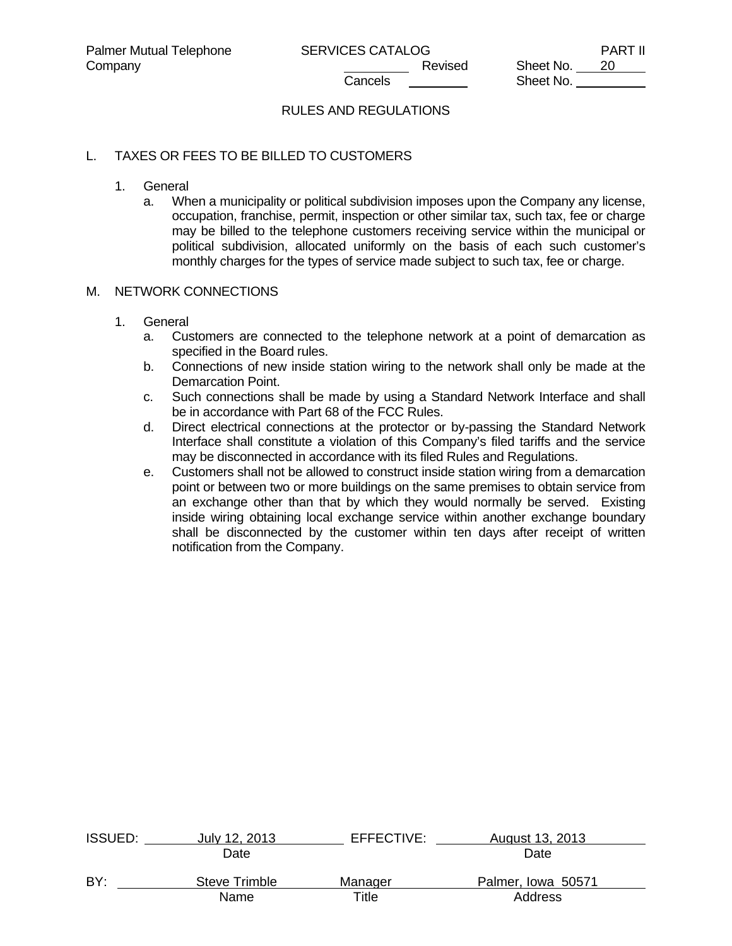# RULES AND REGULATIONS

## L. TAXES OR FEES TO BE BILLED TO CUSTOMERS

- 1. General
	- a. When a municipality or political subdivision imposes upon the Company any license, occupation, franchise, permit, inspection or other similar tax, such tax, fee or charge may be billed to the telephone customers receiving service within the municipal or political subdivision, allocated uniformly on the basis of each such customer's monthly charges for the types of service made subject to such tax, fee or charge.

#### M. NETWORK CONNECTIONS

- 1. General
	- a. Customers are connected to the telephone network at a point of demarcation as specified in the Board rules.
	- b. Connections of new inside station wiring to the network shall only be made at the Demarcation Point.
	- c. Such connections shall be made by using a Standard Network Interface and shall be in accordance with Part 68 of the FCC Rules.
	- d. Direct electrical connections at the protector or by-passing the Standard Network Interface shall constitute a violation of this Company's filed tariffs and the service may be disconnected in accordance with its filed Rules and Regulations.
	- e. Customers shall not be allowed to construct inside station wiring from a demarcation point or between two or more buildings on the same premises to obtain service from an exchange other than that by which they would normally be served. Existing inside wiring obtaining local exchange service within another exchange boundary shall be disconnected by the customer within ten days after receipt of written notification from the Company.

| <b>ISSUED:</b> | July 12, 2013 | EFFECTIVE: | August 13, 2013    |  |
|----------------|---------------|------------|--------------------|--|
|                | Date          |            | Date               |  |
| BY:            | Steve Trimble | Manager    | Palmer, Iowa 50571 |  |
|                | Name          | Title      | Address            |  |
|                |               |            |                    |  |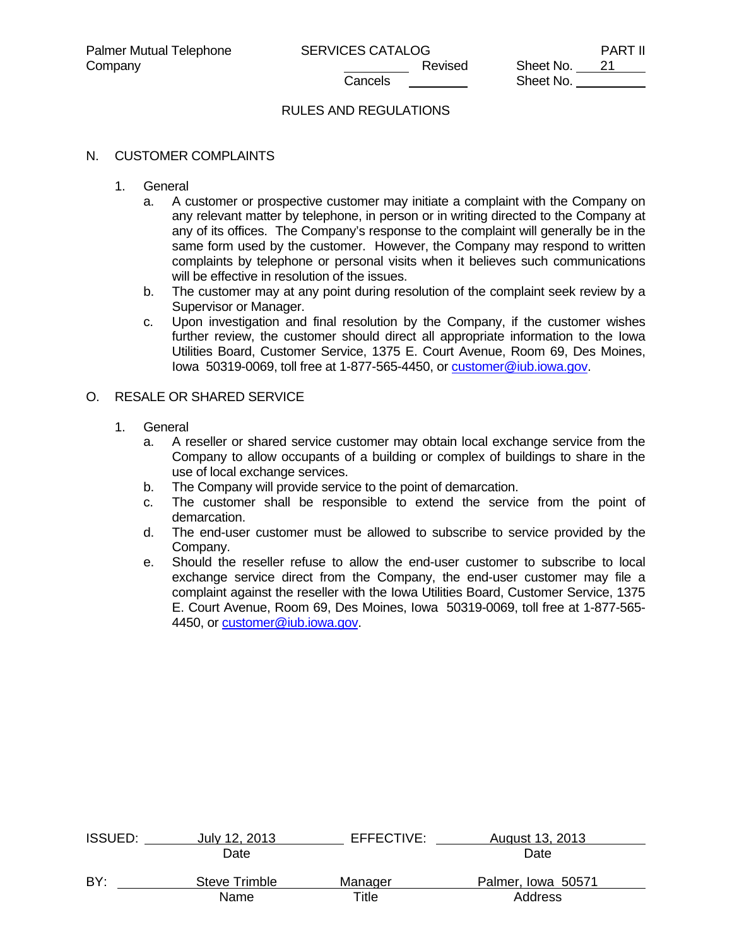## RULES AND REGULATIONS

#### N. CUSTOMER COMPLAINTS

- 1. General
	- a. A customer or prospective customer may initiate a complaint with the Company on any relevant matter by telephone, in person or in writing directed to the Company at any of its offices. The Company's response to the complaint will generally be in the same form used by the customer. However, the Company may respond to written complaints by telephone or personal visits when it believes such communications will be effective in resolution of the issues.
	- b. The customer may at any point during resolution of the complaint seek review by a Supervisor or Manager.
	- c. Upon investigation and final resolution by the Company, if the customer wishes further review, the customer should direct all appropriate information to the Iowa Utilities Board, Customer Service, 1375 E. Court Avenue, Room 69, Des Moines, lowa 50319-0069, toll free at 1-877-565-4450, or **customer@iub.iowa.gov.**

### O. RESALE OR SHARED SERVICE

- 1. General
	- a. A reseller or shared service customer may obtain local exchange service from the Company to allow occupants of a building or complex of buildings to share in the use of local exchange services.
	- b. The Company will provide service to the point of demarcation.
	- c. The customer shall be responsible to extend the service from the point of demarcation.
	- d. The end-user customer must be allowed to subscribe to service provided by the Company.
	- e. Should the reseller refuse to allow the end-user customer to subscribe to local exchange service direct from the Company, the end-user customer may file a complaint against the reseller with the Iowa Utilities Board, Customer Service, 1375 E. Court Avenue, Room 69, Des Moines, Iowa 50319-0069, toll free at 1-877-565- 4450, or customer@iub.iowa.gov.

| <b>ISSUED:</b> | July 12, 2013 | EFFECTIVE:  | August 13, 2013    |  |
|----------------|---------------|-------------|--------------------|--|
|                | Date          |             | Date               |  |
| BY:            | Steve Trimble | Manager     | Palmer, Iowa 50571 |  |
|                | Name          | $\tau$ itle | Address            |  |
|                |               |             |                    |  |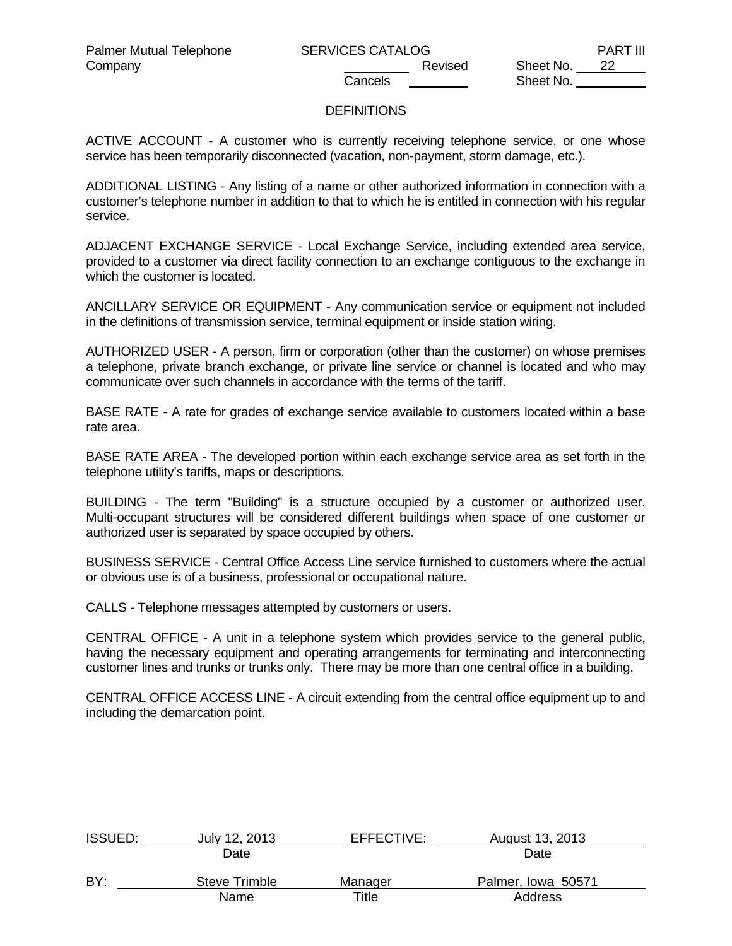# **DEFINITIONS**

ACTIVE ACCOUNT - A customer who is currently receiving telephone service, or one whose service has been temporarily disconnected (vacation, non-payment, storm damage, etc.).

ADDITIONAL LISTING - Any listing of a name or other authorized information in connection with a customer's telephone number in addition to that to which he is entitled in connection with his regular service.

ADJACENT EXCHANGE SERVICE - Local Exchange Service, including extended area service, provided to a customer via direct facility connection to an exchange contiguous to the exchange in which the customer is located.

ANCILLARY SERVICE OR EQUIPMENT - Any communication service or equipment not included in the definitions of transmission service, terminal equipment or inside station wiring.

AUTHORIZED USER - A person, firm or corporation (other than the customer) on whose premises a telephone, private branch exchange, or private line service or channel is located and who may communicate over such channels in accordance with the terms of the tariff.

BASE RATE - A rate for grades of exchange service available to customers located within a base rate area.

BASE RATE AREA - The developed portion within each exchange service area as set forth in the telephone utility's tariffs, maps or descriptions.

BUILDING - The term "Building" is a structure occupied by a customer or authorized user. Multi-occupant structures will be considered different buildings when space of one customer or authorized user is separated by space occupied by others.

BUSINESS SERVICE - Central Office Access Line service furnished to customers where the actual or obvious use is of a business, professional or occupational nature.

CALLS - Telephone messages attempted by customers or users.

CENTRAL OFFICE - A unit in a telephone system which provides service to the general public, having the necessary equipment and operating arrangements for terminating and interconnecting customer lines and trunks or trunks only. There may be more than one central office in a building.

CENTRAL OFFICE ACCESS LINE - A circuit extending from the central office equipment up to and including the demarcation point.

| <b>ISSUED:</b> | July 12, 2013 | EFFECTIVE: | August 13, 2013    |  |
|----------------|---------------|------------|--------------------|--|
|                | Date          |            | Date               |  |
| BY:            | Steve Trimble | Manager    | Palmer, Iowa 50571 |  |
|                | Name          | Title      | Address            |  |
|                |               |            |                    |  |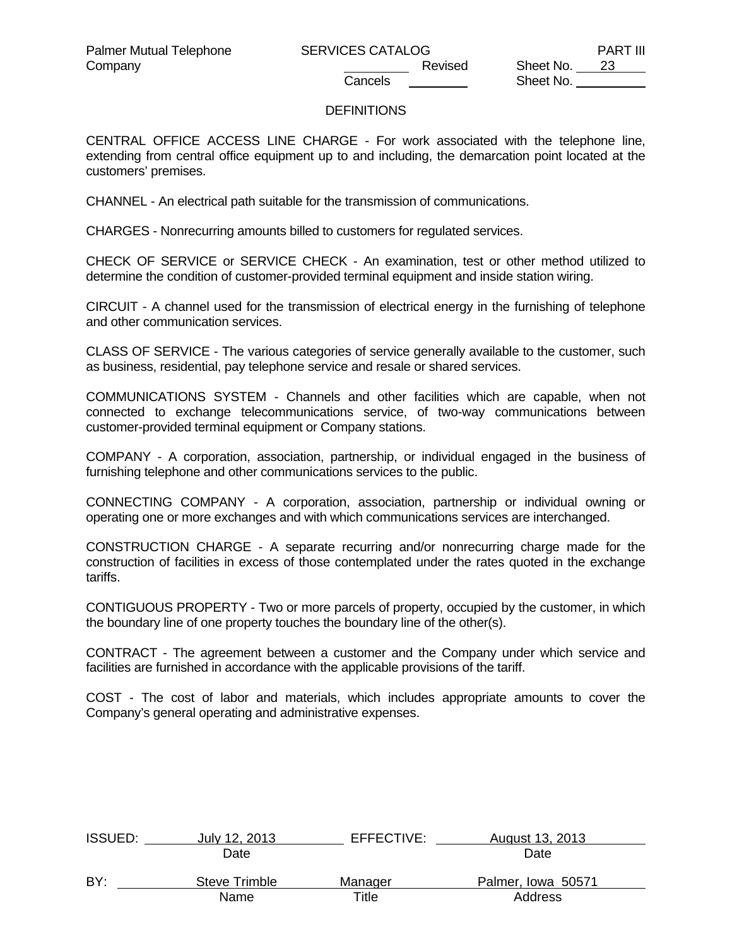Company Company Company Company Company Revised Sheet No. 23 Sheet No.

## **DEFINITIONS**

CENTRAL OFFICE ACCESS LINE CHARGE - For work associated with the telephone line, extending from central office equipment up to and including, the demarcation point located at the customers' premises.

CHANNEL - An electrical path suitable for the transmission of communications.

CHARGES - Nonrecurring amounts billed to customers for regulated services.

CHECK OF SERVICE or SERVICE CHECK - An examination, test or other method utilized to determine the condition of customer-provided terminal equipment and inside station wiring.

CIRCUIT - A channel used for the transmission of electrical energy in the furnishing of telephone and other communication services.

CLASS OF SERVICE - The various categories of service generally available to the customer, such as business, residential, pay telephone service and resale or shared services.

COMMUNICATIONS SYSTEM - Channels and other facilities which are capable, when not connected to exchange telecommunications service, of two-way communications between customer-provided terminal equipment or Company stations.

COMPANY - A corporation, association, partnership, or individual engaged in the business of furnishing telephone and other communications services to the public.

CONNECTING COMPANY - A corporation, association, partnership or individual owning or operating one or more exchanges and with which communications services are interchanged.

CONSTRUCTION CHARGE - A separate recurring and/or nonrecurring charge made for the construction of facilities in excess of those contemplated under the rates quoted in the exchange tariffs.

CONTIGUOUS PROPERTY - Two or more parcels of property, occupied by the customer, in which the boundary line of one property touches the boundary line of the other(s).

CONTRACT - The agreement between a customer and the Company under which service and facilities are furnished in accordance with the applicable provisions of the tariff.

COST - The cost of labor and materials, which includes appropriate amounts to cover the Company's general operating and administrative expenses.

| <b>ISSUED:</b> | July 12, 2013 | EFFECTIVE: | August 13, 2013    |  |
|----------------|---------------|------------|--------------------|--|
|                | Date          |            | Date               |  |
| BY:            | Steve Trimble | Manager    | Palmer, Iowa 50571 |  |
|                | Name          | Title      | Address            |  |
|                |               |            |                    |  |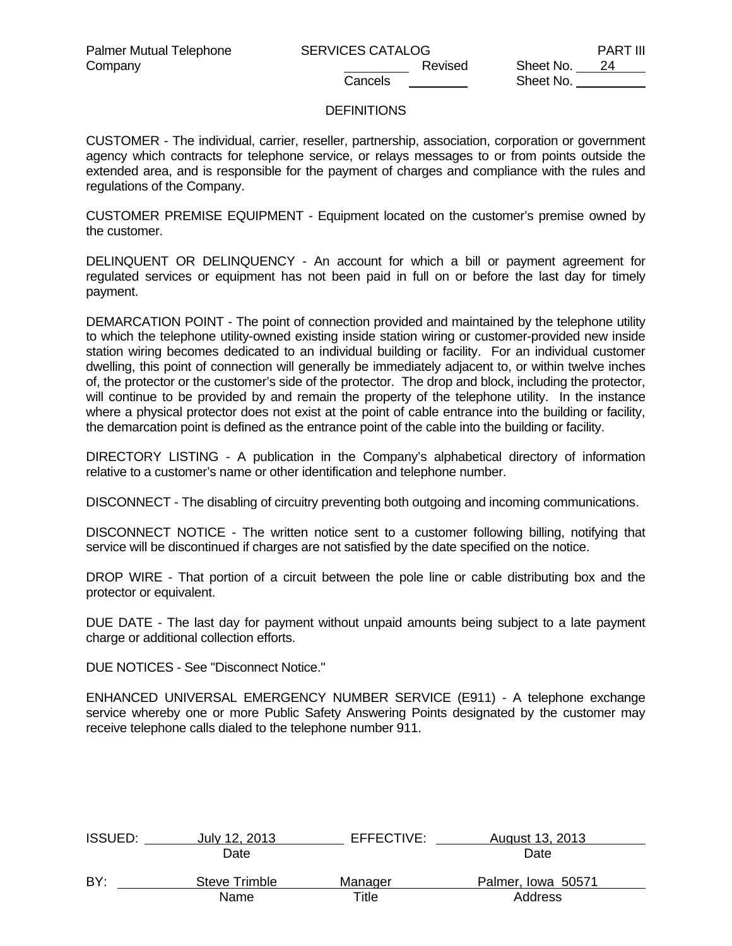Company Company Company Company Company Revised Sheet No. 24 Sheet No.

### **DEFINITIONS**

CUSTOMER - The individual, carrier, reseller, partnership, association, corporation or government agency which contracts for telephone service, or relays messages to or from points outside the extended area, and is responsible for the payment of charges and compliance with the rules and regulations of the Company.

CUSTOMER PREMISE EQUIPMENT - Equipment located on the customer's premise owned by the customer.

DELINQUENT OR DELINQUENCY - An account for which a bill or payment agreement for regulated services or equipment has not been paid in full on or before the last day for timely payment.

DEMARCATION POINT - The point of connection provided and maintained by the telephone utility to which the telephone utility-owned existing inside station wiring or customer-provided new inside station wiring becomes dedicated to an individual building or facility. For an individual customer dwelling, this point of connection will generally be immediately adjacent to, or within twelve inches of, the protector or the customer's side of the protector. The drop and block, including the protector, will continue to be provided by and remain the property of the telephone utility. In the instance where a physical protector does not exist at the point of cable entrance into the building or facility, the demarcation point is defined as the entrance point of the cable into the building or facility.

DIRECTORY LISTING - A publication in the Company's alphabetical directory of information relative to a customer's name or other identification and telephone number.

DISCONNECT - The disabling of circuitry preventing both outgoing and incoming communications.

DISCONNECT NOTICE - The written notice sent to a customer following billing, notifying that service will be discontinued if charges are not satisfied by the date specified on the notice.

DROP WIRE - That portion of a circuit between the pole line or cable distributing box and the protector or equivalent.

DUE DATE - The last day for payment without unpaid amounts being subject to a late payment charge or additional collection efforts.

DUE NOTICES - See "Disconnect Notice."

ENHANCED UNIVERSAL EMERGENCY NUMBER SERVICE (E911) - A telephone exchange service whereby one or more Public Safety Answering Points designated by the customer may receive telephone calls dialed to the telephone number 911.

| July 12, 2013 | EFFECTIVE: | August 13, 2013    |  |
|---------------|------------|--------------------|--|
| Date          |            | Date               |  |
| Steve Trimble | Manager    | Palmer, Iowa 50571 |  |
| Name          | Title      | Address            |  |
|               |            |                    |  |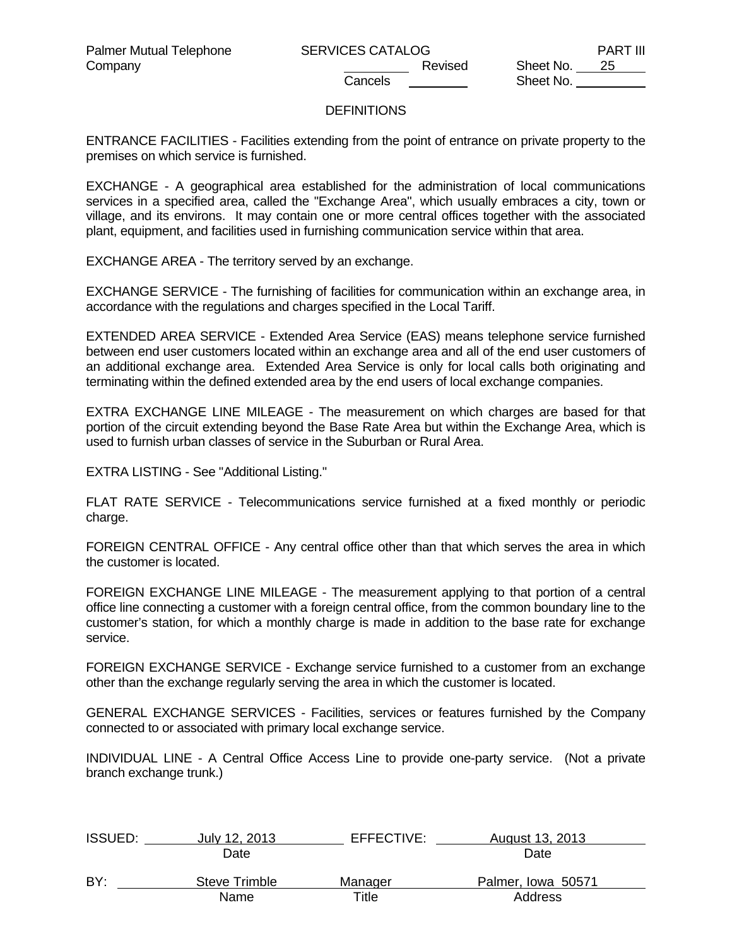Sheet No.

# **DEFINITIONS**

ENTRANCE FACILITIES - Facilities extending from the point of entrance on private property to the premises on which service is furnished.

EXCHANGE - A geographical area established for the administration of local communications services in a specified area, called the "Exchange Area", which usually embraces a city, town or village, and its environs. It may contain one or more central offices together with the associated plant, equipment, and facilities used in furnishing communication service within that area.

EXCHANGE AREA - The territory served by an exchange.

EXCHANGE SERVICE - The furnishing of facilities for communication within an exchange area, in accordance with the regulations and charges specified in the Local Tariff.

EXTENDED AREA SERVICE - Extended Area Service (EAS) means telephone service furnished between end user customers located within an exchange area and all of the end user customers of an additional exchange area. Extended Area Service is only for local calls both originating and terminating within the defined extended area by the end users of local exchange companies.

EXTRA EXCHANGE LINE MILEAGE - The measurement on which charges are based for that portion of the circuit extending beyond the Base Rate Area but within the Exchange Area, which is used to furnish urban classes of service in the Suburban or Rural Area.

EXTRA LISTING - See "Additional Listing."

FLAT RATE SERVICE - Telecommunications service furnished at a fixed monthly or periodic charge.

FOREIGN CENTRAL OFFICE - Any central office other than that which serves the area in which the customer is located.

FOREIGN EXCHANGE LINE MILEAGE - The measurement applying to that portion of a central office line connecting a customer with a foreign central office, from the common boundary line to the customer's station, for which a monthly charge is made in addition to the base rate for exchange service.

FOREIGN EXCHANGE SERVICE - Exchange service furnished to a customer from an exchange other than the exchange regularly serving the area in which the customer is located.

GENERAL EXCHANGE SERVICES - Facilities, services or features furnished by the Company connected to or associated with primary local exchange service.

INDIVIDUAL LINE - A Central Office Access Line to provide one-party service. (Not a private branch exchange trunk.)

| <b>ISSUED:</b> | July 12, 2013 | EFFECTIVE: | August 13, 2013    |  |
|----------------|---------------|------------|--------------------|--|
|                | Date          |            | Date               |  |
| BY:            | Steve Trimble | Manager    | Palmer, Iowa 50571 |  |
|                | Name          | Title      | Address            |  |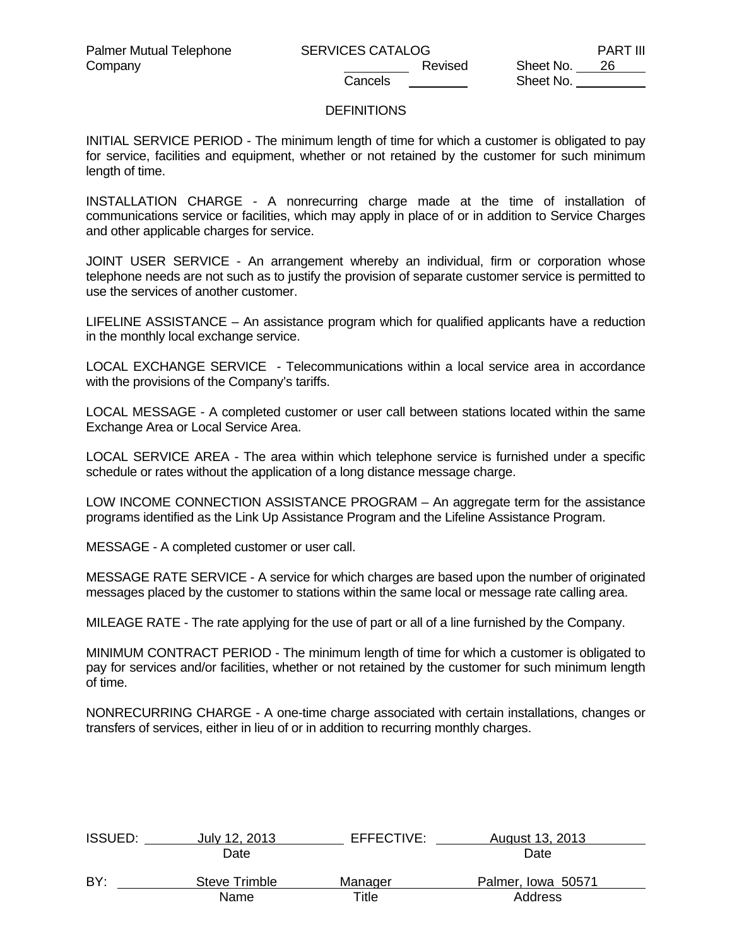Company Company Company Company Company Revised Sheet No. 26 Sheet No.

### **DEFINITIONS**

INITIAL SERVICE PERIOD - The minimum length of time for which a customer is obligated to pay for service, facilities and equipment, whether or not retained by the customer for such minimum length of time.

INSTALLATION CHARGE - A nonrecurring charge made at the time of installation of communications service or facilities, which may apply in place of or in addition to Service Charges and other applicable charges for service.

JOINT USER SERVICE - An arrangement whereby an individual, firm or corporation whose telephone needs are not such as to justify the provision of separate customer service is permitted to use the services of another customer.

LIFELINE ASSISTANCE – An assistance program which for qualified applicants have a reduction in the monthly local exchange service.

LOCAL EXCHANGE SERVICE - Telecommunications within a local service area in accordance with the provisions of the Company's tariffs.

LOCAL MESSAGE - A completed customer or user call between stations located within the same Exchange Area or Local Service Area.

LOCAL SERVICE AREA - The area within which telephone service is furnished under a specific schedule or rates without the application of a long distance message charge.

LOW INCOME CONNECTION ASSISTANCE PROGRAM – An aggregate term for the assistance programs identified as the Link Up Assistance Program and the Lifeline Assistance Program.

MESSAGE - A completed customer or user call.

MESSAGE RATE SERVICE - A service for which charges are based upon the number of originated messages placed by the customer to stations within the same local or message rate calling area.

MILEAGE RATE - The rate applying for the use of part or all of a line furnished by the Company.

MINIMUM CONTRACT PERIOD - The minimum length of time for which a customer is obligated to pay for services and/or facilities, whether or not retained by the customer for such minimum length of time.

NONRECURRING CHARGE - A one-time charge associated with certain installations, changes or transfers of services, either in lieu of or in addition to recurring monthly charges.

| <b>ISSUED:</b> | July 12, 2013 | EFFECTIVE: | August 13, 2013    |  |
|----------------|---------------|------------|--------------------|--|
|                | Date          |            | Date               |  |
| BY:            | Steve Trimble | Manager    | Palmer, Iowa 50571 |  |
|                | Name          | Title      | Address            |  |
|                |               |            |                    |  |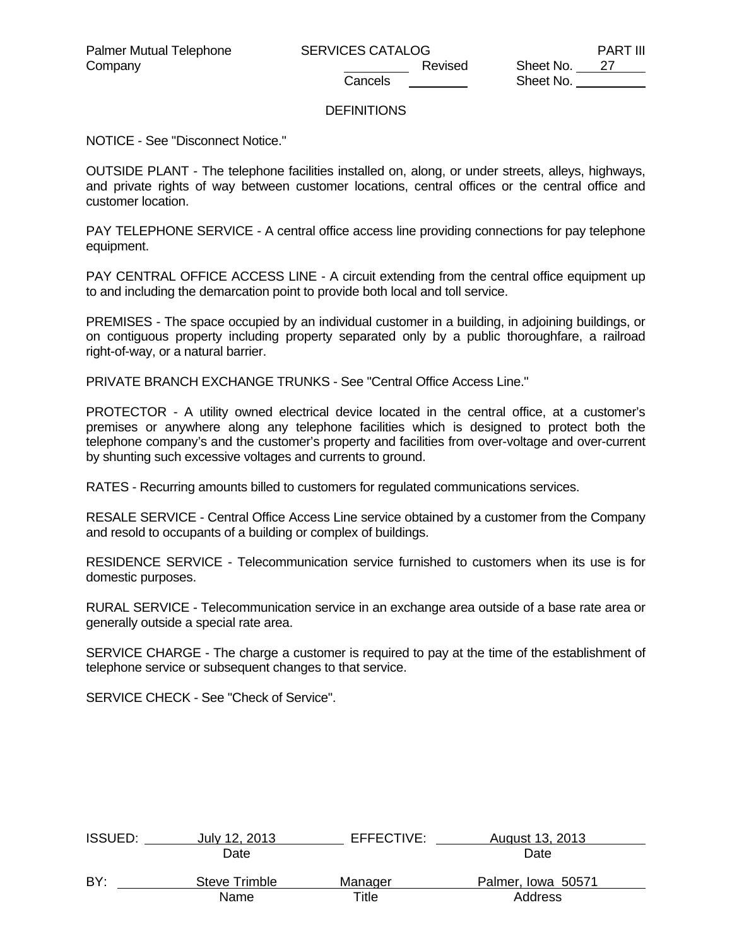# **DEFINITIONS**

NOTICE - See "Disconnect Notice."

OUTSIDE PLANT - The telephone facilities installed on, along, or under streets, alleys, highways, and private rights of way between customer locations, central offices or the central office and customer location.

PAY TELEPHONE SERVICE - A central office access line providing connections for pay telephone equipment.

PAY CENTRAL OFFICE ACCESS LINE - A circuit extending from the central office equipment up to and including the demarcation point to provide both local and toll service.

PREMISES - The space occupied by an individual customer in a building, in adjoining buildings, or on contiguous property including property separated only by a public thoroughfare, a railroad right-of-way, or a natural barrier.

PRIVATE BRANCH EXCHANGE TRUNKS - See "Central Office Access Line."

PROTECTOR - A utility owned electrical device located in the central office, at a customer's premises or anywhere along any telephone facilities which is designed to protect both the telephone company's and the customer's property and facilities from over-voltage and over-current by shunting such excessive voltages and currents to ground.

RATES - Recurring amounts billed to customers for regulated communications services.

RESALE SERVICE - Central Office Access Line service obtained by a customer from the Company and resold to occupants of a building or complex of buildings.

RESIDENCE SERVICE - Telecommunication service furnished to customers when its use is for domestic purposes.

RURAL SERVICE - Telecommunication service in an exchange area outside of a base rate area or generally outside a special rate area.

SERVICE CHARGE - The charge a customer is required to pay at the time of the establishment of telephone service or subsequent changes to that service.

SERVICE CHECK - See "Check of Service".

| <b>ISSUED:</b> | July 12, 2013 | EFFECTIVE: | August 13, 2013    |  |
|----------------|---------------|------------|--------------------|--|
|                | Date          |            | Date               |  |
| BY:            | Steve Trimble | Manager    | Palmer, Iowa 50571 |  |
|                | Name          | Title      | Address            |  |
|                |               |            |                    |  |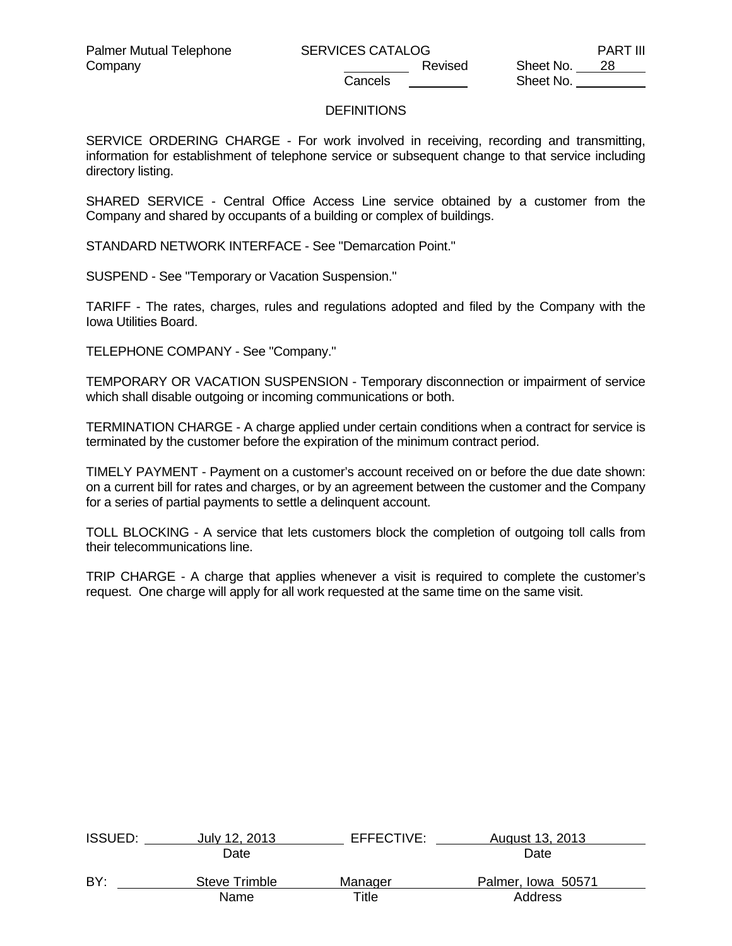Company Company Company Company Company Cancels Revised Sheet No. 28 Sheet No.

## **DEFINITIONS**

SERVICE ORDERING CHARGE - For work involved in receiving, recording and transmitting, information for establishment of telephone service or subsequent change to that service including directory listing.

SHARED SERVICE - Central Office Access Line service obtained by a customer from the Company and shared by occupants of a building or complex of buildings.

STANDARD NETWORK INTERFACE - See "Demarcation Point."

SUSPEND - See "Temporary or Vacation Suspension."

TARIFF - The rates, charges, rules and regulations adopted and filed by the Company with the Iowa Utilities Board.

TELEPHONE COMPANY - See "Company."

TEMPORARY OR VACATION SUSPENSION - Temporary disconnection or impairment of service which shall disable outgoing or incoming communications or both.

TERMINATION CHARGE - A charge applied under certain conditions when a contract for service is terminated by the customer before the expiration of the minimum contract period.

TIMELY PAYMENT - Payment on a customer's account received on or before the due date shown: on a current bill for rates and charges, or by an agreement between the customer and the Company for a series of partial payments to settle a delinquent account.

TOLL BLOCKING - A service that lets customers block the completion of outgoing toll calls from their telecommunications line.

TRIP CHARGE - A charge that applies whenever a visit is required to complete the customer's request. One charge will apply for all work requested at the same time on the same visit.

| <b>ISSUED:</b> | July 12, 2013 | EFFECTIVE: | August 13, 2013    |  |
|----------------|---------------|------------|--------------------|--|
|                | Date          |            | Date               |  |
| BY:            | Steve Trimble | Manager    | Palmer, Iowa 50571 |  |
|                | Name          | Title      | Address            |  |
|                |               |            |                    |  |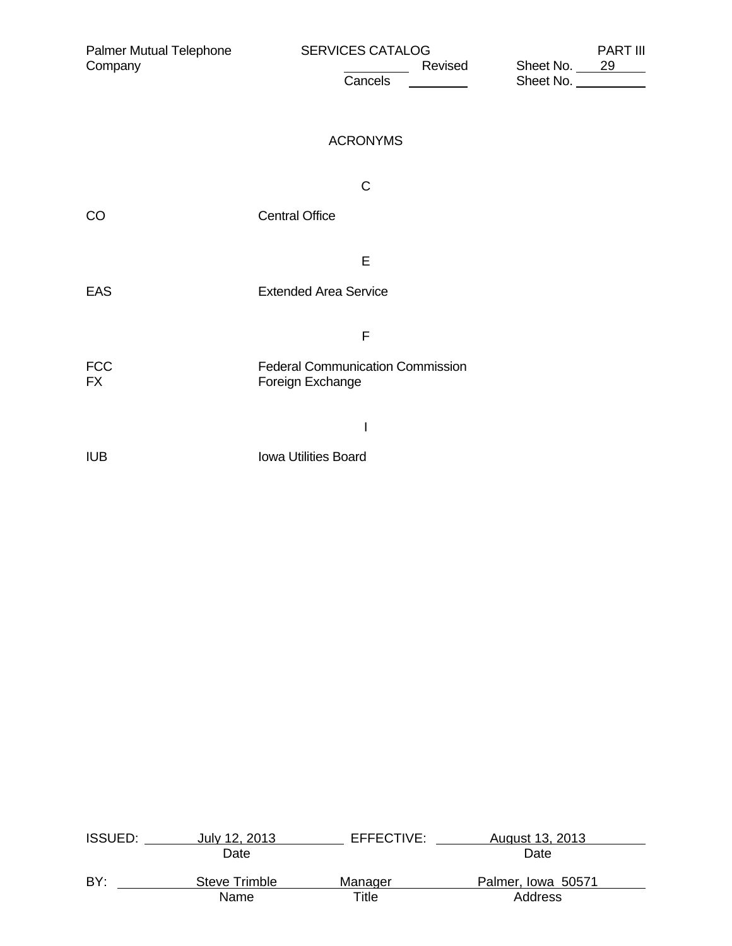| Palmer Mutual Telephone<br>Company | <b>SERVICES CATALOG</b><br>Revised<br>Cancels<br>$\sim$ $\sim$ | <b>PART III</b><br>Sheet No. 29<br>Sheet No. |
|------------------------------------|----------------------------------------------------------------|----------------------------------------------|
|                                    | <b>ACRONYMS</b>                                                |                                              |
|                                    | $\mathsf C$                                                    |                                              |
| CO                                 | <b>Central Office</b>                                          |                                              |
|                                    | E                                                              |                                              |
| <b>EAS</b>                         | <b>Extended Area Service</b>                                   |                                              |
|                                    | F                                                              |                                              |
| <b>FCC</b><br><b>FX</b>            | <b>Federal Communication Commission</b><br>Foreign Exchange    |                                              |
|                                    | I                                                              |                                              |
| <b>IUB</b>                         | Iowa Utilities Board                                           |                                              |

| <b>ISSUED:</b> | July 12, 2013 | EFFECTIVE: | August 13, 2013    |  |
|----------------|---------------|------------|--------------------|--|
|                | Date          |            | Date               |  |
| BY:            | Steve Trimble | Manager    | Palmer, Iowa 50571 |  |
|                | Name          | Title      | Address            |  |
|                |               |            |                    |  |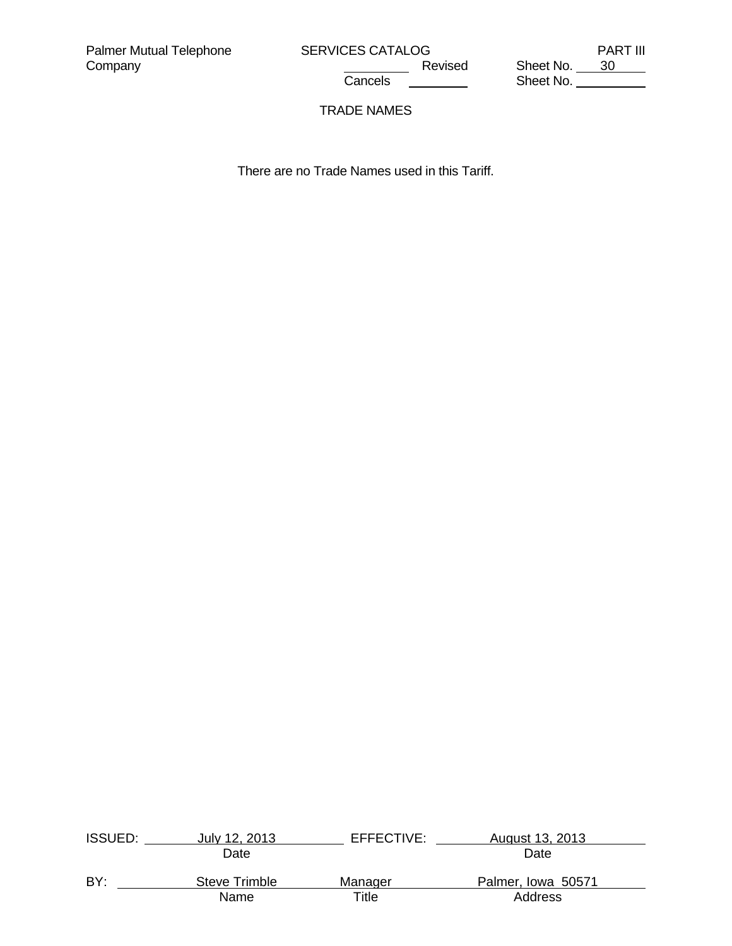<u>Cancel</u>s Sheet No. <u>Cancels Sheet No.</u>

Revised<br>Cancels

# TRADE NAMES

There are no Trade Names used in this Tariff.

| <b>ISSUED:</b> | July 12, 2013 | EFFECTIVE: | August 13, 2013    |  |
|----------------|---------------|------------|--------------------|--|
|                | Date          |            | Date               |  |
| BY:            | Steve Trimble | Manager    | Palmer, Iowa 50571 |  |
|                | Name          | Title      | Address            |  |
|                |               |            |                    |  |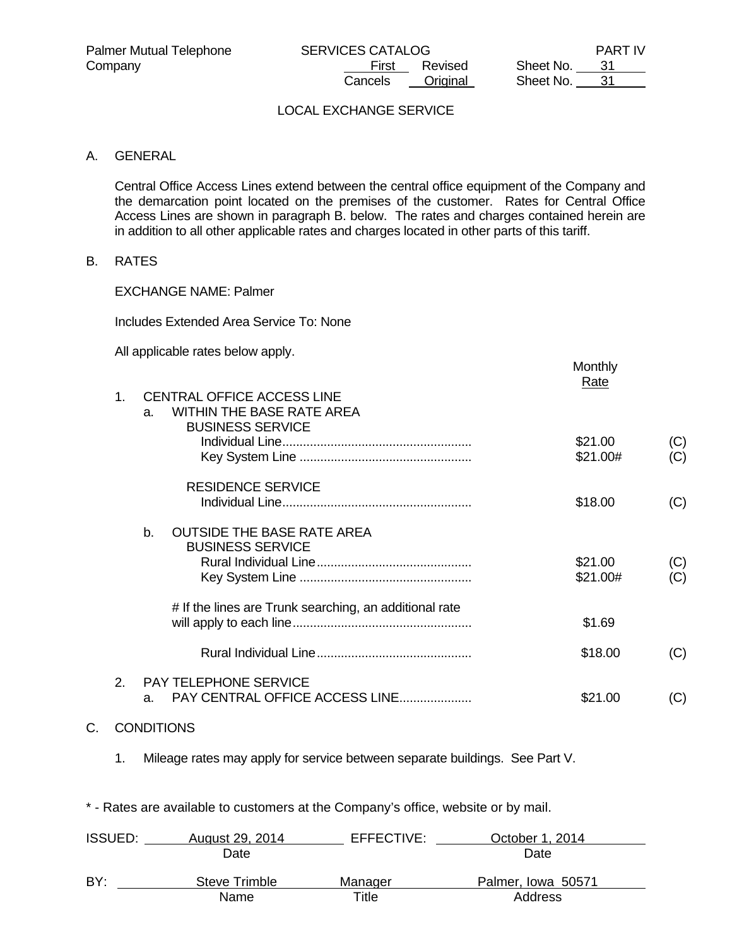|           | <b>PART IV</b> |
|-----------|----------------|
| Sheet No. | 31             |
| Sheet No. | 31             |

# LOCAL EXCHANGE SERVICE

#### A. GENERAL

 Central Office Access Lines extend between the central office equipment of the Company and the demarcation point located on the premises of the customer. Rates for Central Office Access Lines are shown in paragraph B. below. The rates and charges contained herein are in addition to all other applicable rates and charges located in other parts of this tariff.

#### B. RATES

EXCHANGE NAME: Palmer

Includes Extended Area Service To: None

All applicable rates below apply.

|                             |                                                                                                        | Monthly<br><u>Rate</u> |            |
|-----------------------------|--------------------------------------------------------------------------------------------------------|------------------------|------------|
| $\mathbf{1}$ .              | <b>CENTRAL OFFICE ACCESS LINE</b><br><b>WITHIN THE BASE RATE AREA</b><br>a.<br><b>BUSINESS SERVICE</b> |                        |            |
|                             |                                                                                                        | \$21.00<br>\$21.00#    | (C)<br>(C) |
|                             | <b>RESIDENCE SERVICE</b>                                                                               | \$18.00                | (C)        |
|                             | <b>OUTSIDE THE BASE RATE AREA</b><br>b <sub>1</sub><br><b>BUSINESS SERVICE</b>                         | \$21.00<br>\$21.00#    | (C)<br>(C) |
|                             | # If the lines are Trunk searching, an additional rate                                                 | \$1.69                 |            |
|                             |                                                                                                        | \$18.00                | (C)        |
| $\mathcal{P}_{\mathcal{C}}$ | PAY TELEPHONE SERVICE<br>PAY CENTRAL OFFICE ACCESS LINE<br>a.                                          | \$21.00                | (C)        |

#### C. CONDITIONS

1. Mileage rates may apply for service between separate buildings. See Part V.

\* - Rates are available to customers at the Company's office, website or by mail.

| <b>ISSUED:</b> | August 29, 2014 | EFFECTIVE: | October 1, 2014    |  |
|----------------|-----------------|------------|--------------------|--|
|                | Date            |            | Date               |  |
| BY:            | Steve Trimble   | Manager    | Palmer, Iowa 50571 |  |
|                | Name            | Title      | Address            |  |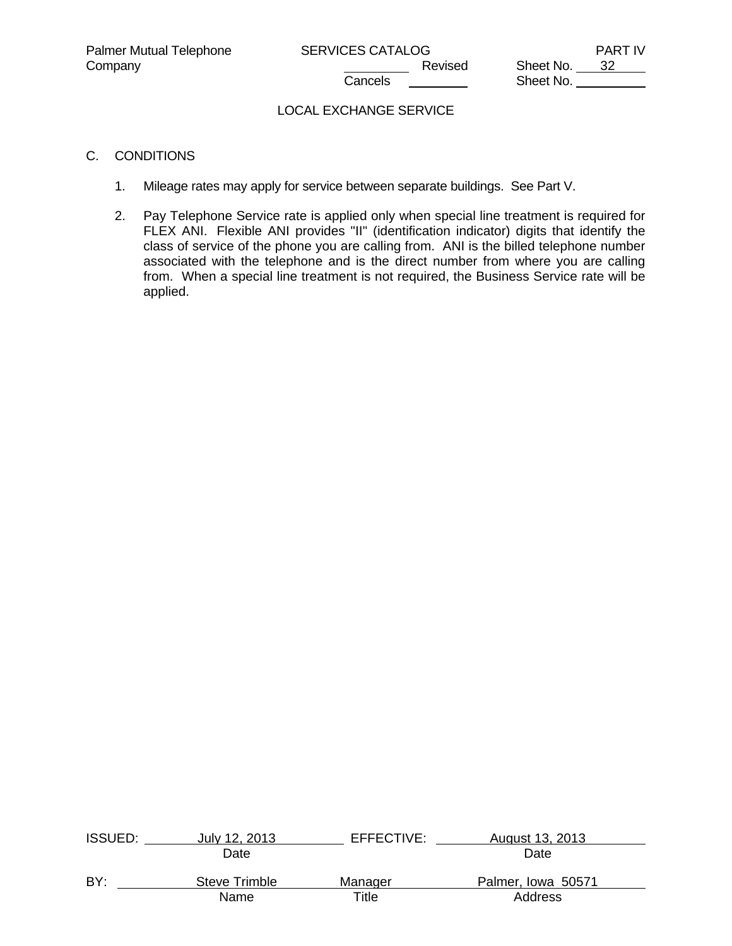Company Company Company Revised Sheet No. 32 Sheet No.

# LOCAL EXCHANGE SERVICE

## C. CONDITIONS

- 1. Mileage rates may apply for service between separate buildings. See Part V.
- 2. Pay Telephone Service rate is applied only when special line treatment is required for FLEX ANI. Flexible ANI provides "II" (identification indicator) digits that identify the class of service of the phone you are calling from. ANI is the billed telephone number associated with the telephone and is the direct number from where you are calling from. When a special line treatment is not required, the Business Service rate will be applied.

| <b>ISSUED:</b> | July 12, 2013 | EFFECTIVE: | August 13, 2013    |  |
|----------------|---------------|------------|--------------------|--|
|                | Date          |            | Date               |  |
| BY:            | Steve Trimble | Manager    | Palmer, Iowa 50571 |  |
|                | Name          | Title      | Address            |  |
|                |               |            |                    |  |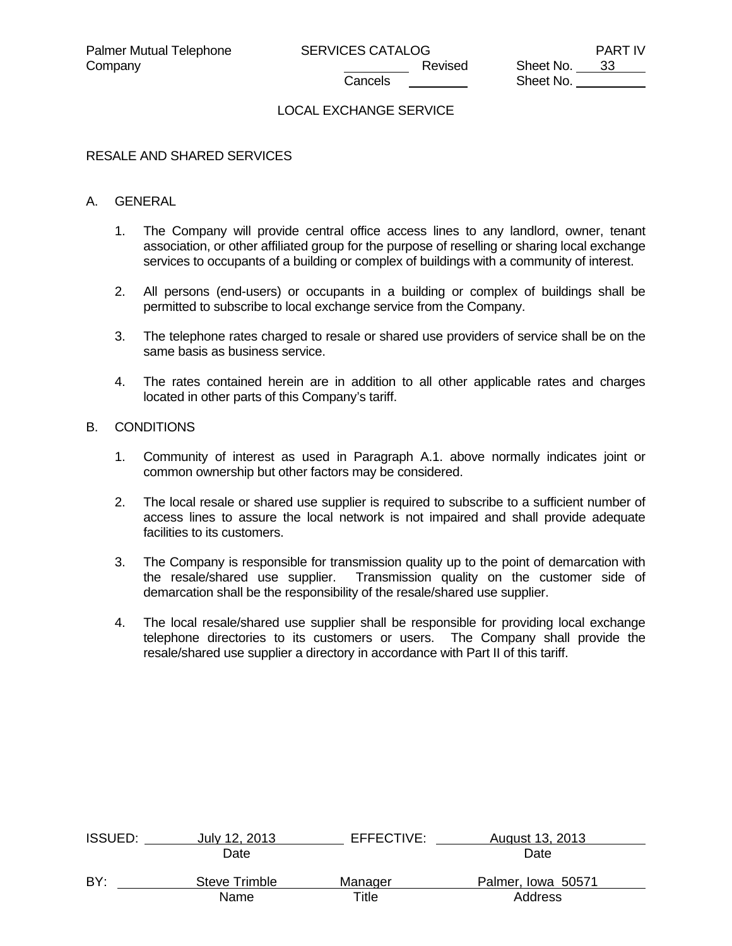### LOCAL EXCHANGE SERVICE

#### RESALE AND SHARED SERVICES

#### A. GENERAL

- 1. The Company will provide central office access lines to any landlord, owner, tenant association, or other affiliated group for the purpose of reselling or sharing local exchange services to occupants of a building or complex of buildings with a community of interest.
- 2. All persons (end-users) or occupants in a building or complex of buildings shall be permitted to subscribe to local exchange service from the Company.
- 3. The telephone rates charged to resale or shared use providers of service shall be on the same basis as business service.
- 4. The rates contained herein are in addition to all other applicable rates and charges located in other parts of this Company's tariff.

### B. CONDITIONS

- 1. Community of interest as used in Paragraph A.1. above normally indicates joint or common ownership but other factors may be considered.
- 2. The local resale or shared use supplier is required to subscribe to a sufficient number of access lines to assure the local network is not impaired and shall provide adequate facilities to its customers.
- 3. The Company is responsible for transmission quality up to the point of demarcation with the resale/shared use supplier. Transmission quality on the customer side of demarcation shall be the responsibility of the resale/shared use supplier.
- 4. The local resale/shared use supplier shall be responsible for providing local exchange telephone directories to its customers or users. The Company shall provide the resale/shared use supplier a directory in accordance with Part II of this tariff.

| <b>ISSUED:</b> | July 12, 2013 | EFFECTIVE:  | August 13, 2013    |  |
|----------------|---------------|-------------|--------------------|--|
|                | Date          |             | Date               |  |
| BY:            | Steve Trimble | Manager     | Palmer, Iowa 50571 |  |
|                | Name          | $\tau$ itle | Address            |  |
|                |               |             |                    |  |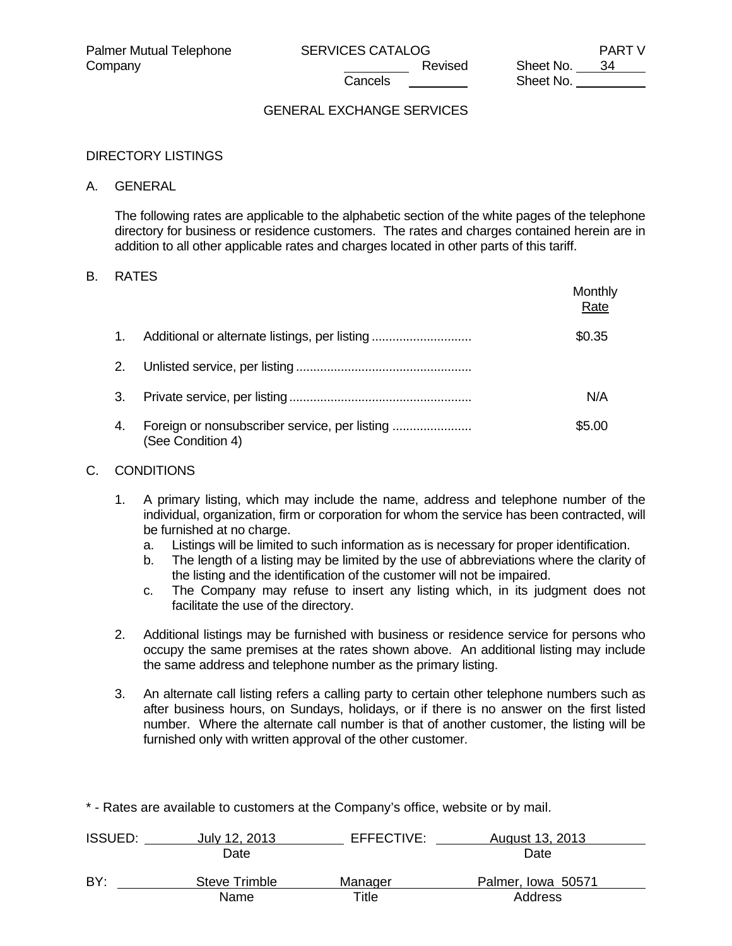## GENERAL EXCHANGE SERVICES

#### DIRECTORY LISTINGS

#### A. GENERAL

 The following rates are applicable to the alphabetic section of the white pages of the telephone directory for business or residence customers. The rates and charges contained herein are in addition to all other applicable rates and charges located in other parts of this tariff.

### B. RATES

|         |                                                                    | Monthly<br>Rate |
|---------|--------------------------------------------------------------------|-----------------|
| $1_{-}$ |                                                                    | \$0.35          |
| 2.      |                                                                    |                 |
| 3.      |                                                                    | N/A             |
| 4.      | Foreign or nonsubscriber service, per listing<br>(See Condition 4) | \$5.00          |

#### C. CONDITIONS

- 1. A primary listing, which may include the name, address and telephone number of the individual, organization, firm or corporation for whom the service has been contracted, will be furnished at no charge.
	- a. Listings will be limited to such information as is necessary for proper identification.
	- b. The length of a listing may be limited by the use of abbreviations where the clarity of the listing and the identification of the customer will not be impaired.
	- c. The Company may refuse to insert any listing which, in its judgment does not facilitate the use of the directory.
- 2. Additional listings may be furnished with business or residence service for persons who occupy the same premises at the rates shown above. An additional listing may include the same address and telephone number as the primary listing.
- 3. An alternate call listing refers a calling party to certain other telephone numbers such as after business hours, on Sundays, holidays, or if there is no answer on the first listed number. Where the alternate call number is that of another customer, the listing will be furnished only with written approval of the other customer.

\* - Rates are available to customers at the Company's office, website or by mail.

| <b>ISSUED:</b> | July 12, 2013 | EFFECTIVE:  | August 13, 2013    |
|----------------|---------------|-------------|--------------------|
|                | Date          |             | Date               |
| BY:            | Steve Trimble | Manager     | Palmer, Iowa 50571 |
|                | Name          | $\tau$ itle | Address            |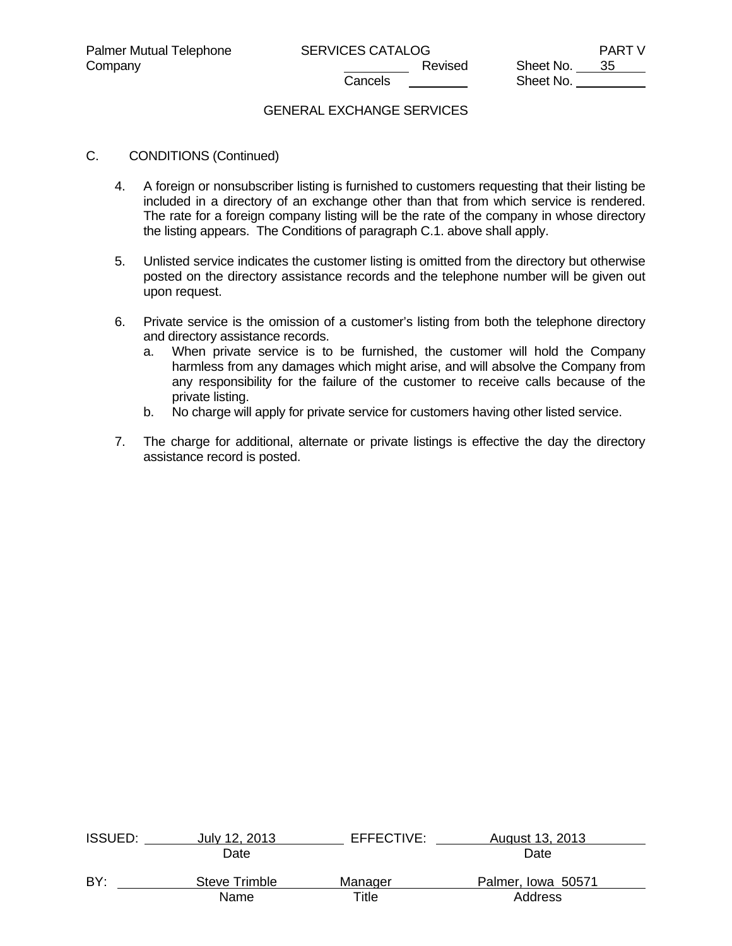## GENERAL EXCHANGE SERVICES

- C. CONDITIONS (Continued)
	- 4. A foreign or nonsubscriber listing is furnished to customers requesting that their listing be included in a directory of an exchange other than that from which service is rendered. The rate for a foreign company listing will be the rate of the company in whose directory the listing appears. The Conditions of paragraph C.1. above shall apply.
	- 5. Unlisted service indicates the customer listing is omitted from the directory but otherwise posted on the directory assistance records and the telephone number will be given out upon request.
	- 6. Private service is the omission of a customer's listing from both the telephone directory and directory assistance records.
		- a. When private service is to be furnished, the customer will hold the Company harmless from any damages which might arise, and will absolve the Company from any responsibility for the failure of the customer to receive calls because of the private listing.
		- b. No charge will apply for private service for customers having other listed service.
	- 7. The charge for additional, alternate or private listings is effective the day the directory assistance record is posted.

| <b>ISSUED:</b> | July 12, 2013 | EFFECTIVE: | August 13, 2013    |  |
|----------------|---------------|------------|--------------------|--|
|                | Date          |            | Date               |  |
| BY:            | Steve Trimble | Manager    | Palmer, Iowa 50571 |  |
|                | Name          | Title      | Address            |  |
|                |               |            |                    |  |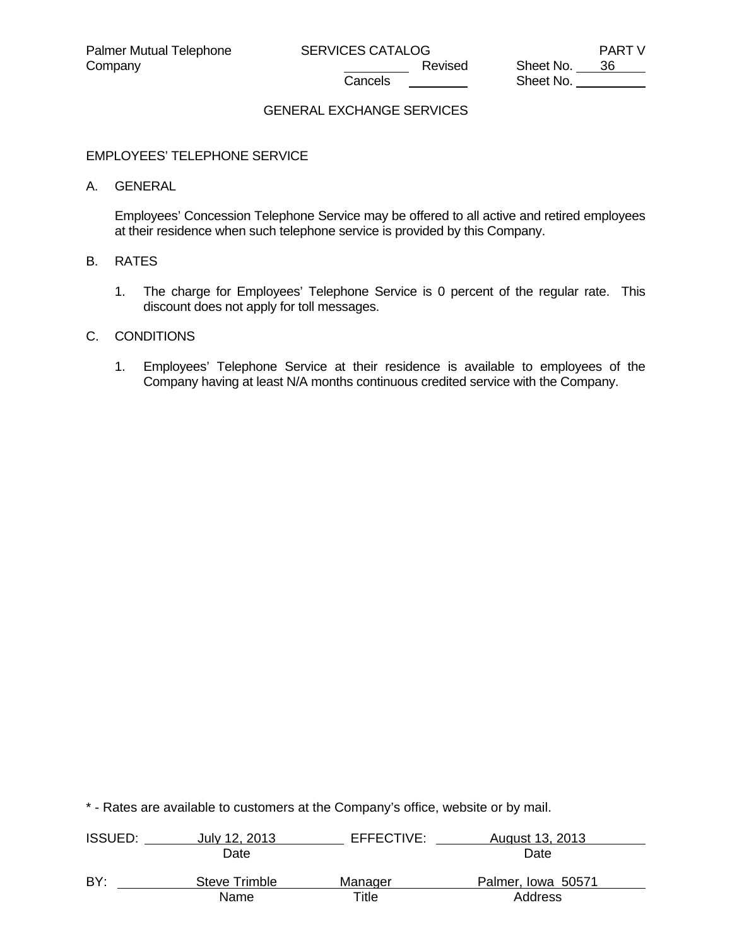# GENERAL EXCHANGE SERVICES

#### EMPLOYEES' TELEPHONE SERVICE

#### A. GENERAL

 Employees' Concession Telephone Service may be offered to all active and retired employees at their residence when such telephone service is provided by this Company.

## B. RATES

 1. The charge for Employees' Telephone Service is 0 percent of the regular rate. This discount does not apply for toll messages.

# C. CONDITIONS

 1. Employees' Telephone Service at their residence is available to employees of the Company having at least N/A months continuous credited service with the Company.

| <b>ISSUED:</b> | July 12, 2013 | EFFECTIVE: | August 13, 2013    |  |
|----------------|---------------|------------|--------------------|--|
|                | Date          |            | Date               |  |
| BY:            | Steve Trimble | Manager    | Palmer, Iowa 50571 |  |
|                | Name          | Title      | Address            |  |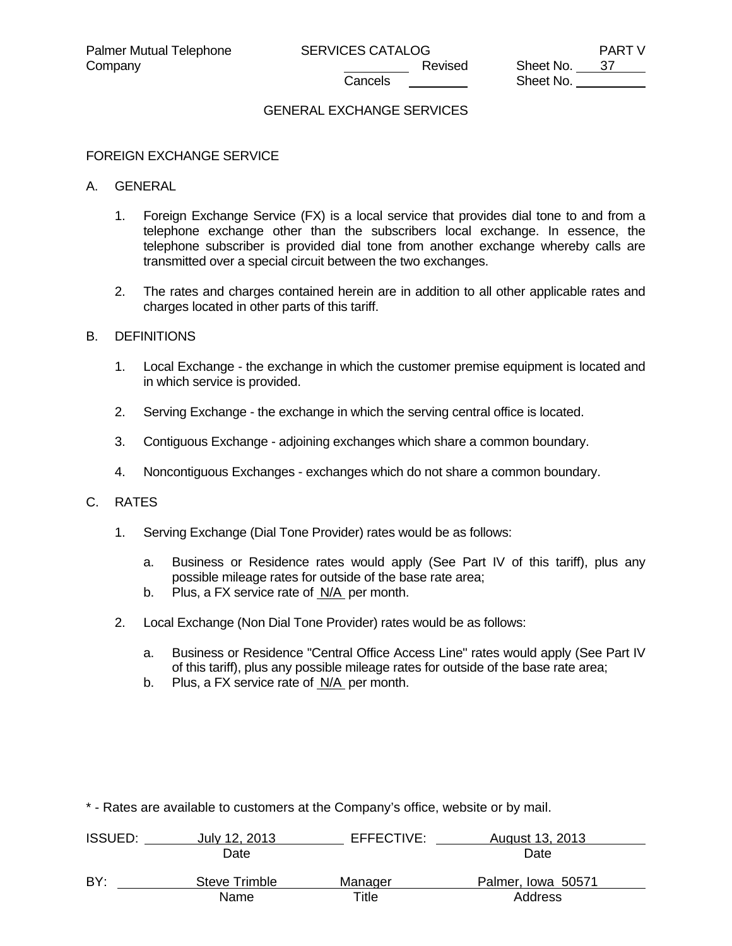# GENERAL EXCHANGE SERVICES

### FOREIGN EXCHANGE SERVICE

#### A. GENERAL

- 1. Foreign Exchange Service (FX) is a local service that provides dial tone to and from a telephone exchange other than the subscribers local exchange. In essence, the telephone subscriber is provided dial tone from another exchange whereby calls are transmitted over a special circuit between the two exchanges.
- 2. The rates and charges contained herein are in addition to all other applicable rates and charges located in other parts of this tariff.

### B. DEFINITIONS

- 1. Local Exchange the exchange in which the customer premise equipment is located and in which service is provided.
- 2. Serving Exchange the exchange in which the serving central office is located.
- 3. Contiguous Exchange adjoining exchanges which share a common boundary.
- 4. Noncontiguous Exchanges exchanges which do not share a common boundary.

#### C. RATES

- 1. Serving Exchange (Dial Tone Provider) rates would be as follows:
	- a. Business or Residence rates would apply (See Part IV of this tariff), plus any possible mileage rates for outside of the base rate area;
	- b. Plus, a FX service rate of N/A per month.
- 2. Local Exchange (Non Dial Tone Provider) rates would be as follows:
	- a. Business or Residence "Central Office Access Line" rates would apply (See Part IV of this tariff), plus any possible mileage rates for outside of the base rate area;
	- b. Plus, a FX service rate of N/A per month.

| <b>ISSUED:</b> | July 12, 2013 | EFFECTIVE: | August 13, 2013    |  |
|----------------|---------------|------------|--------------------|--|
|                | Date          |            | Date               |  |
| BY:            | Steve Trimble | Manager    | Palmer, Iowa 50571 |  |
|                | Name          | Title      | Address            |  |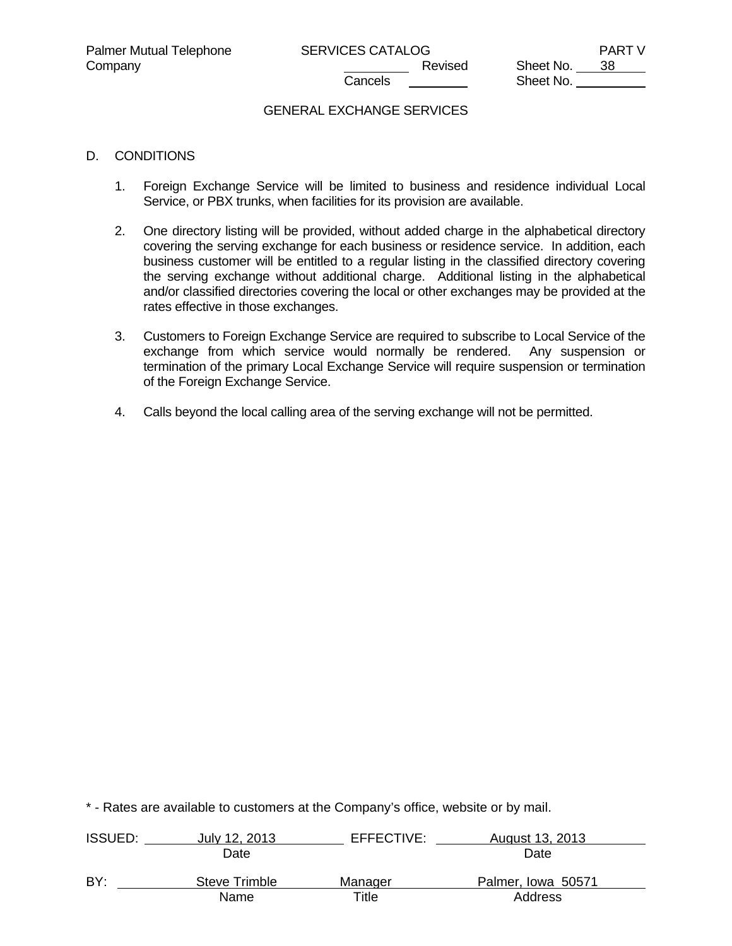Company Company Company Company Company Revised Sheet No. 38 Sheet No.

### GENERAL EXCHANGE SERVICES

### D. CONDITIONS

- 1. Foreign Exchange Service will be limited to business and residence individual Local Service, or PBX trunks, when facilities for its provision are available.
- 2. One directory listing will be provided, without added charge in the alphabetical directory covering the serving exchange for each business or residence service. In addition, each business customer will be entitled to a regular listing in the classified directory covering the serving exchange without additional charge. Additional listing in the alphabetical and/or classified directories covering the local or other exchanges may be provided at the rates effective in those exchanges.
- 3. Customers to Foreign Exchange Service are required to subscribe to Local Service of the exchange from which service would normally be rendered. Any suspension or termination of the primary Local Exchange Service will require suspension or termination of the Foreign Exchange Service.
- 4. Calls beyond the local calling area of the serving exchange will not be permitted.

| <b>ISSUED:</b> | July 12, 2013 | EFFECTIVE: | August 13, 2013    |  |
|----------------|---------------|------------|--------------------|--|
|                | Date          |            | Date               |  |
| BY:            | Steve Trimble | Manager    | Palmer, Iowa 50571 |  |
|                | Name          | Title      | Address            |  |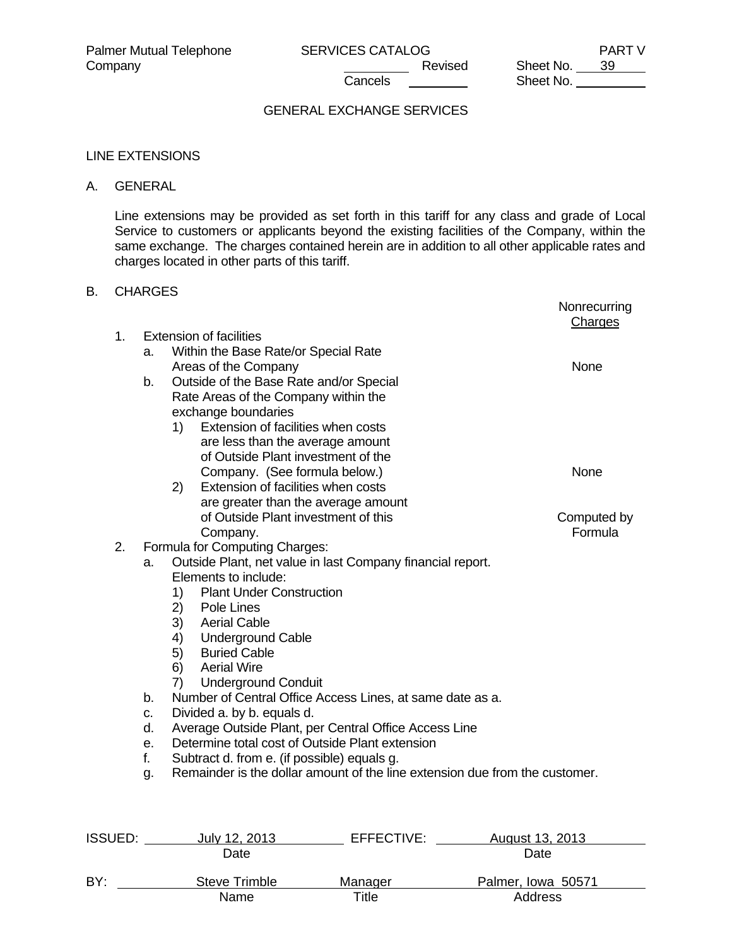Company Company Company Revised Sheet No. 39 Sheet No.

# GENERAL EXCHANGE SERVICES

#### LINE EXTENSIONS

### A. GENERAL

 Line extensions may be provided as set forth in this tariff for any class and grade of Local Service to customers or applicants beyond the existing facilities of the Company, within the same exchange. The charges contained herein are in addition to all other applicable rates and charges located in other parts of this tariff.

### B. CHARGES

|                |    |                                                                             | Nonrecurring<br>Charges |
|----------------|----|-----------------------------------------------------------------------------|-------------------------|
| 1.             |    | <b>Extension of facilities</b>                                              |                         |
|                | a. | Within the Base Rate/or Special Rate                                        |                         |
|                |    | Areas of the Company                                                        | None                    |
|                | b. | Outside of the Base Rate and/or Special                                     |                         |
|                |    | Rate Areas of the Company within the                                        |                         |
|                |    | exchange boundaries                                                         |                         |
|                |    | Extension of facilities when costs<br>1)                                    |                         |
|                |    | are less than the average amount                                            |                         |
|                |    | of Outside Plant investment of the                                          |                         |
|                |    | Company. (See formula below.)                                               | None                    |
|                |    | Extension of facilities when costs<br>2)                                    |                         |
|                |    | are greater than the average amount                                         |                         |
|                |    | of Outside Plant investment of this                                         | Computed by             |
|                |    | Company.                                                                    | Formula                 |
| 2.             |    | Formula for Computing Charges:                                              |                         |
|                | a. | Outside Plant, net value in last Company financial report.                  |                         |
|                |    | Elements to include:                                                        |                         |
|                |    | <b>Plant Under Construction</b><br>1)                                       |                         |
|                |    | 2)<br>Pole Lines                                                            |                         |
|                |    | 3)<br><b>Aerial Cable</b>                                                   |                         |
|                |    | <b>Underground Cable</b><br>4)                                              |                         |
|                |    | 5) Buried Cable                                                             |                         |
|                |    | 6)<br><b>Aerial Wire</b>                                                    |                         |
|                |    | 7)<br><b>Underground Conduit</b>                                            |                         |
|                | b. | Number of Central Office Access Lines, at same date as a.                   |                         |
|                | c. | Divided a. by b. equals d.                                                  |                         |
|                | d. | Average Outside Plant, per Central Office Access Line                       |                         |
|                | е. | Determine total cost of Outside Plant extension                             |                         |
|                | f. | Subtract d. from e. (if possible) equals g.                                 |                         |
|                | g. | Remainder is the dollar amount of the line extension due from the customer. |                         |
|                |    |                                                                             |                         |
| <b>ISSUED:</b> |    | EFFECTIVE:<br>July 12, 2013                                                 | August 13, 2013         |
|                |    | Date                                                                        | Date                    |

| BY: | Steve Trimble | Manager | Palmer, Iowa 50571 |
|-----|---------------|---------|--------------------|
|     | Name          | ⊤itle   | Address            |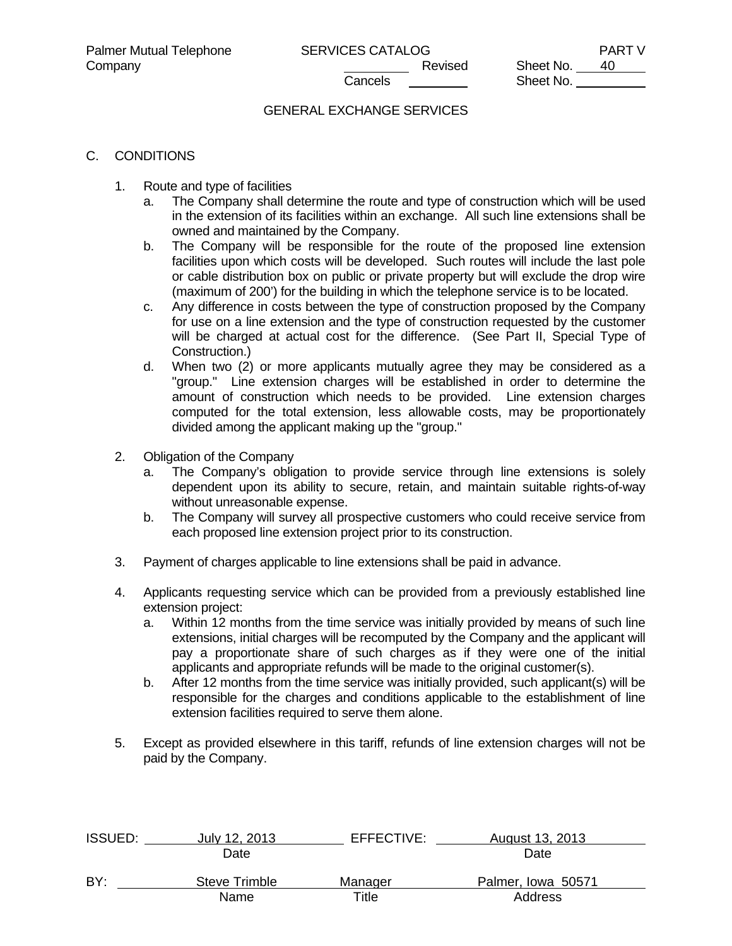# GENERAL EXCHANGE SERVICES

### C. CONDITIONS

- 1. Route and type of facilities
	- a. The Company shall determine the route and type of construction which will be used in the extension of its facilities within an exchange. All such line extensions shall be owned and maintained by the Company.
	- b. The Company will be responsible for the route of the proposed line extension facilities upon which costs will be developed. Such routes will include the last pole or cable distribution box on public or private property but will exclude the drop wire (maximum of 200') for the building in which the telephone service is to be located.
	- c. Any difference in costs between the type of construction proposed by the Company for use on a line extension and the type of construction requested by the customer will be charged at actual cost for the difference. (See Part II, Special Type of Construction.)
	- d. When two (2) or more applicants mutually agree they may be considered as a "group." Line extension charges will be established in order to determine the amount of construction which needs to be provided. Line extension charges computed for the total extension, less allowable costs, may be proportionately divided among the applicant making up the "group."
- 2. Obligation of the Company
	- a. The Company's obligation to provide service through line extensions is solely dependent upon its ability to secure, retain, and maintain suitable rights-of-way without unreasonable expense.
	- b. The Company will survey all prospective customers who could receive service from each proposed line extension project prior to its construction.
- 3. Payment of charges applicable to line extensions shall be paid in advance.
- 4. Applicants requesting service which can be provided from a previously established line extension project:
	- a. Within 12 months from the time service was initially provided by means of such line extensions, initial charges will be recomputed by the Company and the applicant will pay a proportionate share of such charges as if they were one of the initial applicants and appropriate refunds will be made to the original customer(s).
	- b. After 12 months from the time service was initially provided, such applicant(s) will be responsible for the charges and conditions applicable to the establishment of line extension facilities required to serve them alone.
- 5. Except as provided elsewhere in this tariff, refunds of line extension charges will not be paid by the Company.

| <b>ISSUED:</b> | July 12, 2013 | EFFECTIVE:  | August 13, 2013    |  |
|----------------|---------------|-------------|--------------------|--|
|                | Date          |             | Date               |  |
| BY:            | Steve Trimble | Manager     | Palmer, Iowa 50571 |  |
|                | Name          | $\tau$ itle | Address            |  |
|                |               |             |                    |  |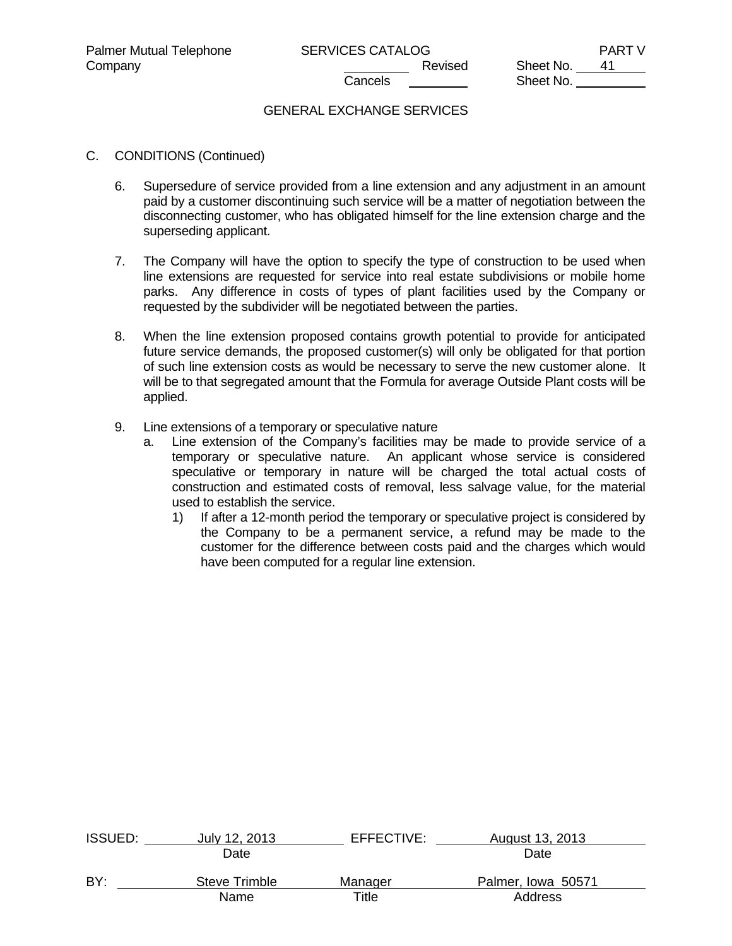# GENERAL EXCHANGE SERVICES

- C. CONDITIONS (Continued)
	- 6. Supersedure of service provided from a line extension and any adjustment in an amount paid by a customer discontinuing such service will be a matter of negotiation between the disconnecting customer, who has obligated himself for the line extension charge and the superseding applicant.
	- 7. The Company will have the option to specify the type of construction to be used when line extensions are requested for service into real estate subdivisions or mobile home parks. Any difference in costs of types of plant facilities used by the Company or requested by the subdivider will be negotiated between the parties.
	- 8. When the line extension proposed contains growth potential to provide for anticipated future service demands, the proposed customer(s) will only be obligated for that portion of such line extension costs as would be necessary to serve the new customer alone. It will be to that segregated amount that the Formula for average Outside Plant costs will be applied.
	- 9. Line extensions of a temporary or speculative nature
		- a. Line extension of the Company's facilities may be made to provide service of a temporary or speculative nature. An applicant whose service is considered speculative or temporary in nature will be charged the total actual costs of construction and estimated costs of removal, less salvage value, for the material used to establish the service.
			- 1) If after a 12-month period the temporary or speculative project is considered by the Company to be a permanent service, a refund may be made to the customer for the difference between costs paid and the charges which would have been computed for a regular line extension.

| <b>ISSUED:</b> | July 12, 2013 | EFFECTIVE: | August 13, 2013    |  |
|----------------|---------------|------------|--------------------|--|
|                | Date          |            | Date               |  |
| BY:            | Steve Trimble | Manager    | Palmer, Iowa 50571 |  |
|                | Name          | Title      | <b>Address</b>     |  |
|                |               |            |                    |  |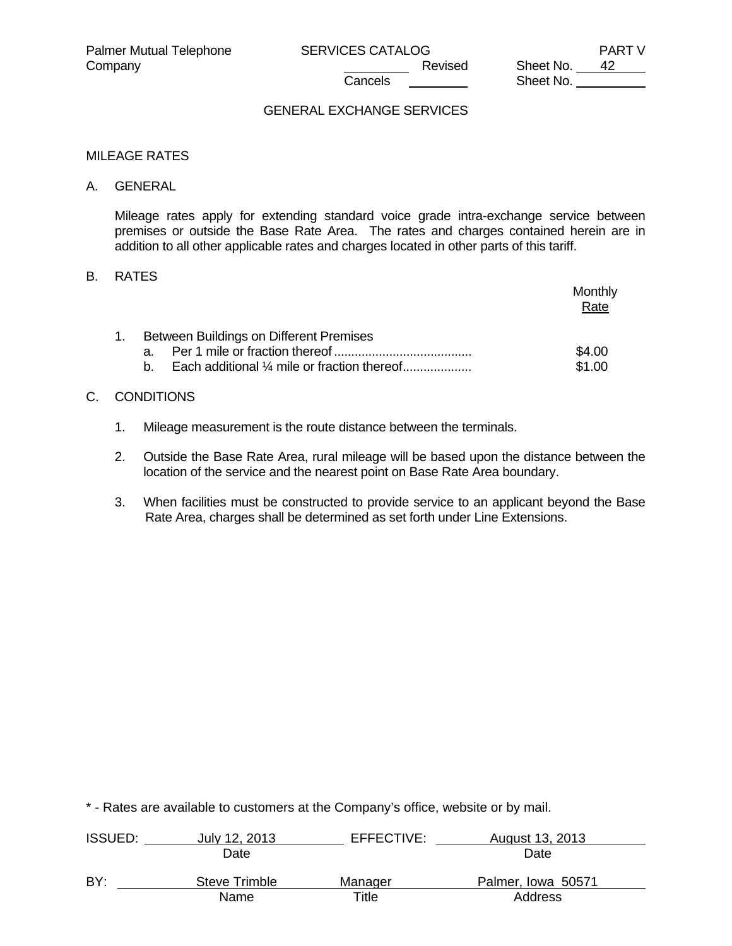Sheet No.

## GENERAL EXCHANGE SERVICES

#### MILEAGE RATES

#### A. GENERAL

 Mileage rates apply for extending standard voice grade intra-exchange service between premises or outside the Base Rate Area. The rates and charges contained herein are in addition to all other applicable rates and charges located in other parts of this tariff.

## B. RATES

|                                                                                                     | Monthly<br>Rate  |
|-----------------------------------------------------------------------------------------------------|------------------|
| Between Buildings on Different Premises<br>a.<br>Each additional 1/4 mile or fraction thereof<br>h. | \$4.00<br>\$1.00 |

# C. CONDITIONS

- 1. Mileage measurement is the route distance between the terminals.
- 2. Outside the Base Rate Area, rural mileage will be based upon the distance between the location of the service and the nearest point on Base Rate Area boundary.
- 3. When facilities must be constructed to provide service to an applicant beyond the Base Rate Area, charges shall be determined as set forth under Line Extensions.

| <b>ISSUED:</b> | July 12, 2013 | EFFECTIVE: | August 13, 2013    |  |
|----------------|---------------|------------|--------------------|--|
|                | Date          |            | Date               |  |
| BY:            | Steve Trimble | Manager    | Palmer, Iowa 50571 |  |
|                | Name          | Title      | Address            |  |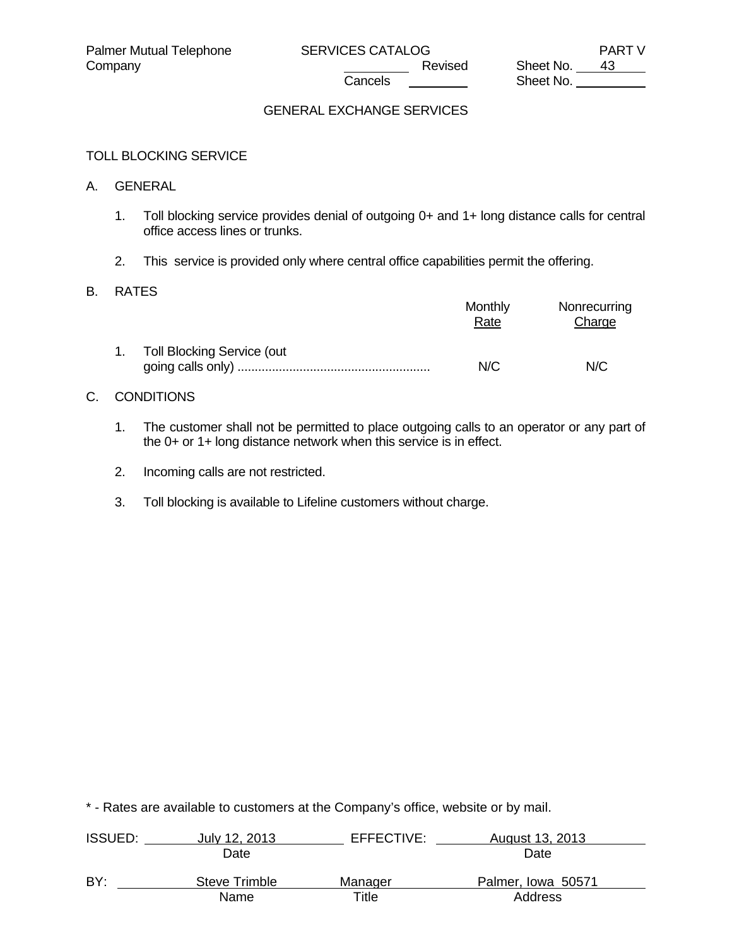# GENERAL EXCHANGE SERVICES

### TOLL BLOCKING SERVICE

#### A. GENERAL

- 1. Toll blocking service provides denial of outgoing 0+ and 1+ long distance calls for central office access lines or trunks.
- 2. This service is provided only where central office capabilities permit the offering.

#### B. RATES

|    |                            | Monthly<br>Rate | Nonrecurring<br>Charge |
|----|----------------------------|-----------------|------------------------|
| 1. | Toll Blocking Service (out | N/C             | N/C                    |

# C. CONDITIONS

- 1. The customer shall not be permitted to place outgoing calls to an operator or any part of the 0+ or 1+ long distance network when this service is in effect.
- 2. Incoming calls are not restricted.
- 3. Toll blocking is available to Lifeline customers without charge.

| <b>ISSUED:</b> | July 12, 2013 | EFFECTIVE: | August 13, 2013    |  |
|----------------|---------------|------------|--------------------|--|
|                | Date          |            | Date               |  |
| BY:            | Steve Trimble | Manager    | Palmer, Iowa 50571 |  |
|                | Name          | Title      | Address            |  |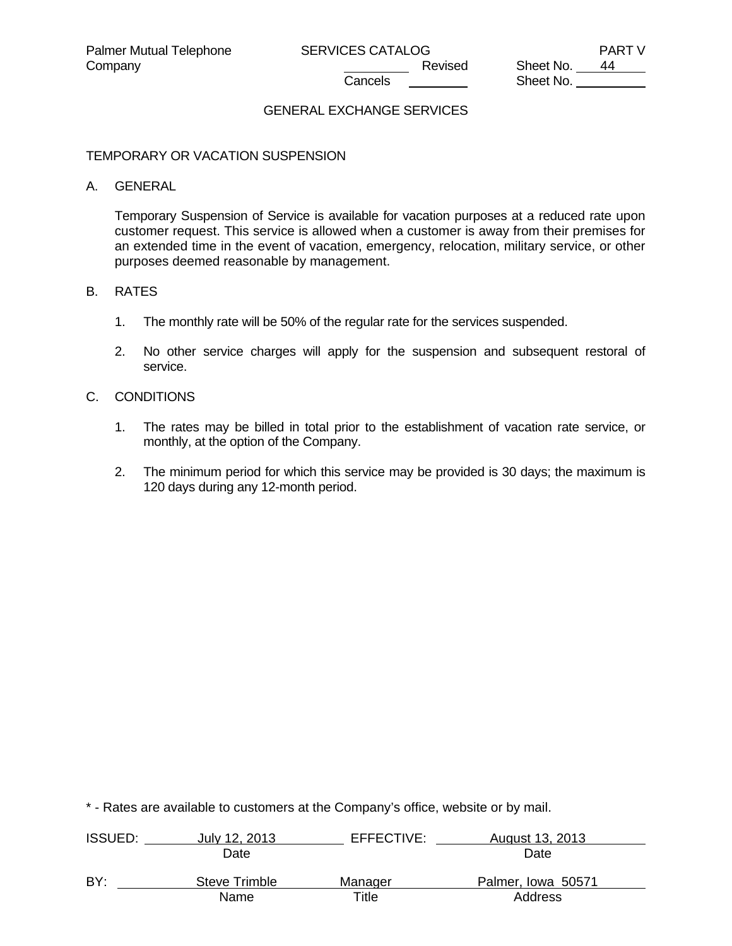Sheet No.

# GENERAL EXCHANGE SERVICES

#### TEMPORARY OR VACATION SUSPENSION

#### A. GENERAL

 Temporary Suspension of Service is available for vacation purposes at a reduced rate upon customer request. This service is allowed when a customer is away from their premises for an extended time in the event of vacation, emergency, relocation, military service, or other purposes deemed reasonable by management.

#### B. RATES

- 1. The monthly rate will be 50% of the regular rate for the services suspended.
- 2. No other service charges will apply for the suspension and subsequent restoral of service.

### C. CONDITIONS

- 1. The rates may be billed in total prior to the establishment of vacation rate service, or monthly, at the option of the Company.
- 2. The minimum period for which this service may be provided is 30 days; the maximum is 120 days during any 12-month period.

| <b>ISSUED:</b> | July 12, 2013 | EFFECTIVE: | August 13, 2013    |
|----------------|---------------|------------|--------------------|
|                | Date          |            | Date               |
| BY:            | Steve Trimble | Manager    | Palmer, Iowa 50571 |
|                | Name          | Title      | Address            |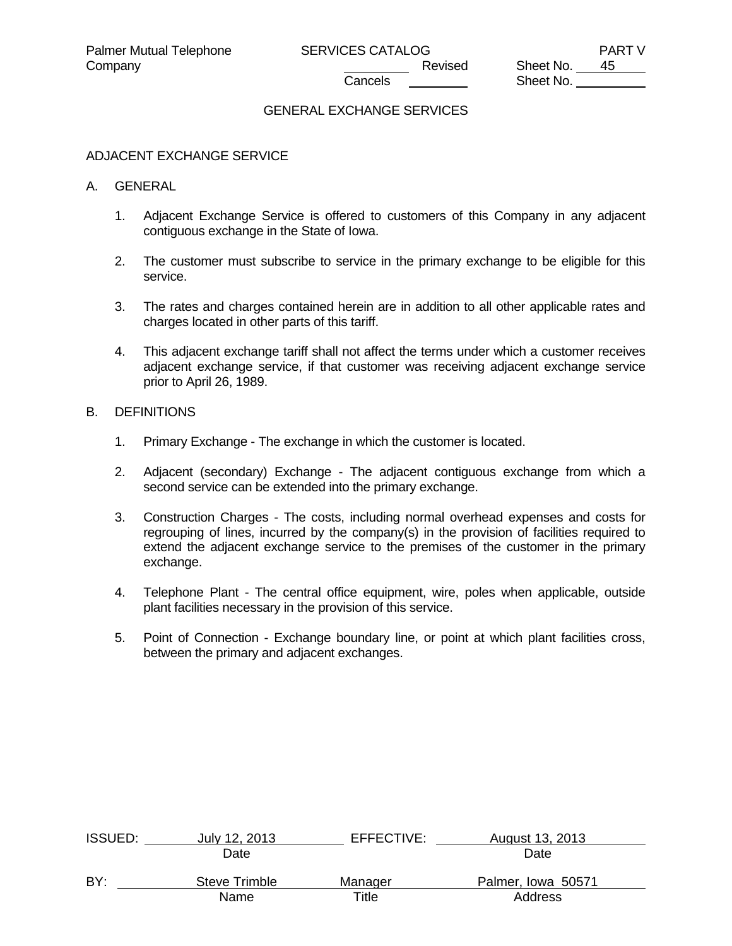Company Company Company Company Company Revised Sheet No. 45 Sheet No.

# GENERAL EXCHANGE SERVICES

#### ADJACENT EXCHANGE SERVICE

#### A. GENERAL

- 1. Adjacent Exchange Service is offered to customers of this Company in any adjacent contiguous exchange in the State of Iowa.
- 2. The customer must subscribe to service in the primary exchange to be eligible for this service.
- 3. The rates and charges contained herein are in addition to all other applicable rates and charges located in other parts of this tariff.
- 4. This adjacent exchange tariff shall not affect the terms under which a customer receives adjacent exchange service, if that customer was receiving adjacent exchange service prior to April 26, 1989.

#### B. DEFINITIONS

- 1. Primary Exchange The exchange in which the customer is located.
- 2. Adjacent (secondary) Exchange The adjacent contiguous exchange from which a second service can be extended into the primary exchange.
- 3. Construction Charges The costs, including normal overhead expenses and costs for regrouping of lines, incurred by the company(s) in the provision of facilities required to extend the adjacent exchange service to the premises of the customer in the primary exchange.
- 4. Telephone Plant The central office equipment, wire, poles when applicable, outside plant facilities necessary in the provision of this service.
- 5. Point of Connection Exchange boundary line, or point at which plant facilities cross, between the primary and adjacent exchanges.

| <b>ISSUED:</b> | July 12, 2013 | EFFECTIVE: | August 13, 2013    |  |
|----------------|---------------|------------|--------------------|--|
|                | Date          |            | Date               |  |
| BY:            | Steve Trimble | Manager    | Palmer, Iowa 50571 |  |
|                | Name          | Title      | Address            |  |
|                |               |            |                    |  |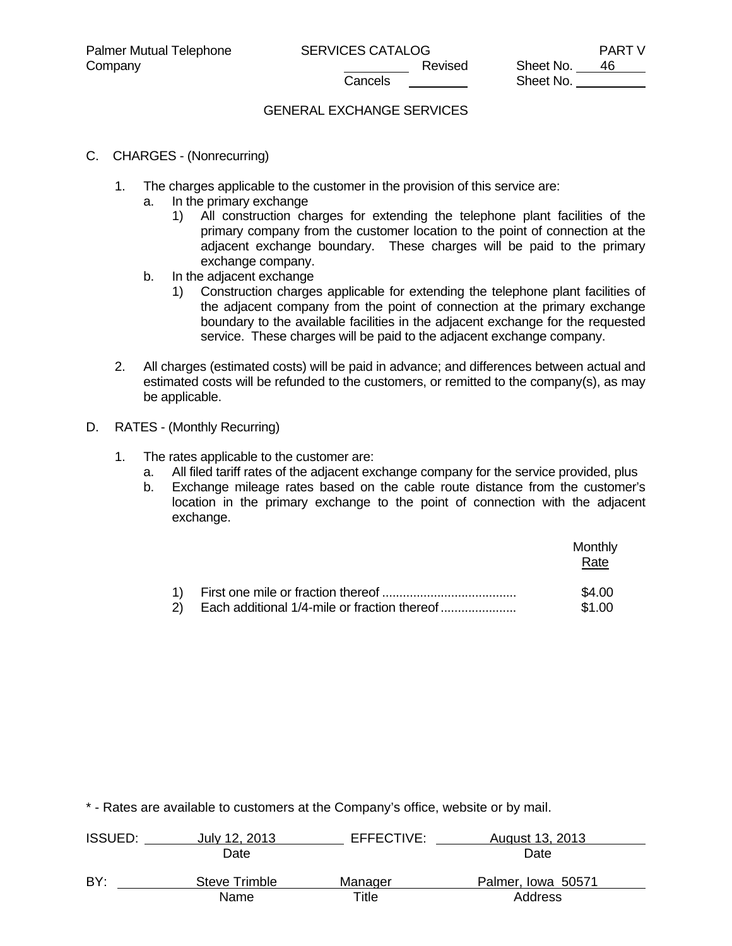# GENERAL EXCHANGE SERVICES

# C. CHARGES - (Nonrecurring)

- 1. The charges applicable to the customer in the provision of this service are:
	- a. In the primary exchange
		- 1) All construction charges for extending the telephone plant facilities of the primary company from the customer location to the point of connection at the adjacent exchange boundary. These charges will be paid to the primary exchange company.
	- b. In the adjacent exchange
		- 1) Construction charges applicable for extending the telephone plant facilities of the adjacent company from the point of connection at the primary exchange boundary to the available facilities in the adjacent exchange for the requested service. These charges will be paid to the adjacent exchange company.
- 2. All charges (estimated costs) will be paid in advance; and differences between actual and estimated costs will be refunded to the customers, or remitted to the company(s), as may be applicable.
- D. RATES (Monthly Recurring)
	- 1. The rates applicable to the customer are:
		- a. All filed tariff rates of the adjacent exchange company for the service provided, plus
		- b. Exchange mileage rates based on the cable route distance from the customer's location in the primary exchange to the point of connection with the adjacent exchange.

|  | Monthly<br>Rate  |
|--|------------------|
|  | \$4.00<br>\$1.00 |

| <b>ISSUED:</b> | July 12, 2013 | EFFECTIVE: | August 13, 2013    |  |
|----------------|---------------|------------|--------------------|--|
|                | Date          |            | Date               |  |
| BY:            | Steve Trimble | Manager    | Palmer, Iowa 50571 |  |
|                | Name          | Title      | Address            |  |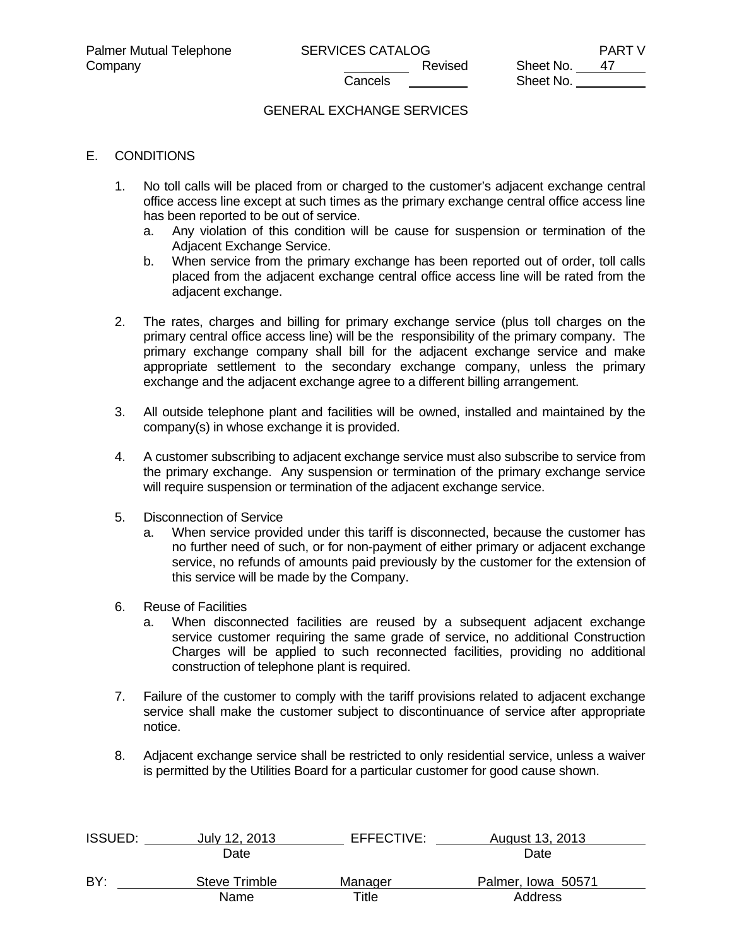Sheet No.

# GENERAL EXCHANGE SERVICES

### E. CONDITIONS

- 1. No toll calls will be placed from or charged to the customer's adjacent exchange central office access line except at such times as the primary exchange central office access line has been reported to be out of service.
	- a. Any violation of this condition will be cause for suspension or termination of the Adjacent Exchange Service.
	- b. When service from the primary exchange has been reported out of order, toll calls placed from the adjacent exchange central office access line will be rated from the adjacent exchange.
- 2. The rates, charges and billing for primary exchange service (plus toll charges on the primary central office access line) will be the responsibility of the primary company. The primary exchange company shall bill for the adjacent exchange service and make appropriate settlement to the secondary exchange company, unless the primary exchange and the adjacent exchange agree to a different billing arrangement.
- 3. All outside telephone plant and facilities will be owned, installed and maintained by the company(s) in whose exchange it is provided.
- 4. A customer subscribing to adjacent exchange service must also subscribe to service from the primary exchange. Any suspension or termination of the primary exchange service will require suspension or termination of the adjacent exchange service.
- 5. Disconnection of Service
	- a. When service provided under this tariff is disconnected, because the customer has no further need of such, or for non-payment of either primary or adjacent exchange service, no refunds of amounts paid previously by the customer for the extension of this service will be made by the Company.
- 6. Reuse of Facilities
	- a. When disconnected facilities are reused by a subsequent adjacent exchange service customer requiring the same grade of service, no additional Construction Charges will be applied to such reconnected facilities, providing no additional construction of telephone plant is required.
- 7. Failure of the customer to comply with the tariff provisions related to adjacent exchange service shall make the customer subject to discontinuance of service after appropriate notice.
- 8. Adjacent exchange service shall be restricted to only residential service, unless a waiver is permitted by the Utilities Board for a particular customer for good cause shown.

| <b>ISSUED:</b> | July 12, 2013 | EFFECTIVE: | August 13, 2013    |  |
|----------------|---------------|------------|--------------------|--|
|                | Date          |            | Date               |  |
| BY:            | Steve Trimble | Manager    | Palmer, Iowa 50571 |  |
|                | Name          | Title      | Address            |  |
|                |               |            |                    |  |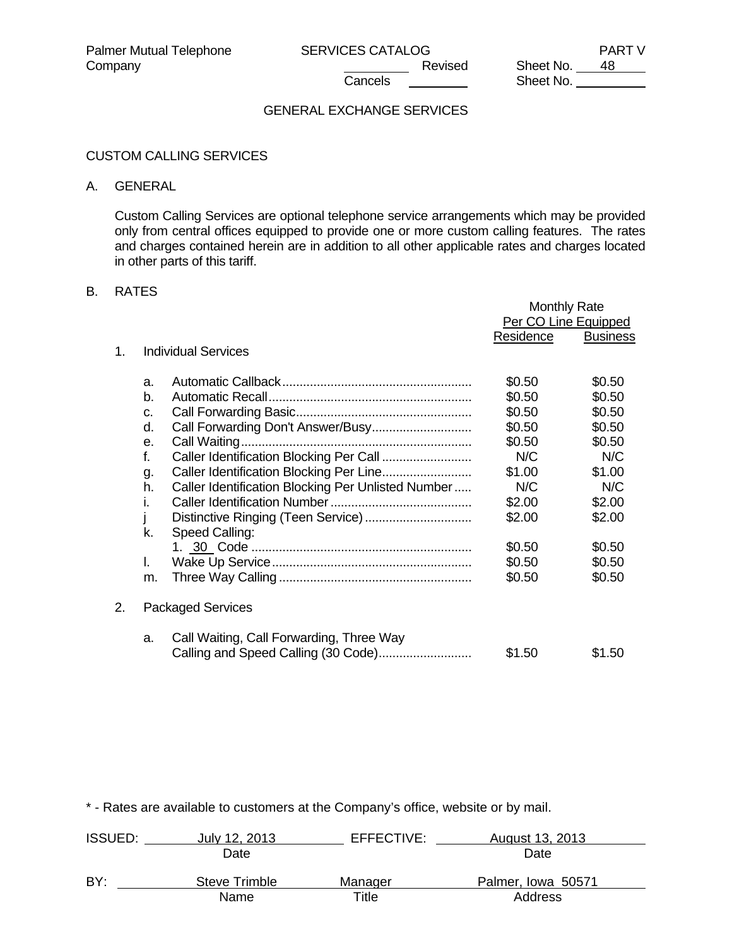Sheet No.

# GENERAL EXCHANGE SERVICES

### CUSTOM CALLING SERVICES

#### A. GENERAL

 Custom Calling Services are optional telephone service arrangements which may be provided only from central offices equipped to provide one or more custom calling features. The rates and charges contained herein are in addition to all other applicable rates and charges located in other parts of this tariff.

# B. RATES

|    |                                                          | <b>Monthly Rate</b> |                      |
|----|----------------------------------------------------------|---------------------|----------------------|
|    |                                                          |                     | Per CO Line Equipped |
|    |                                                          | Residence           | <b>Business</b>      |
| 1. | <b>Individual Services</b>                               |                     |                      |
|    | a.                                                       | \$0.50              | \$0.50               |
|    | b.                                                       | \$0.50              | \$0.50               |
|    | C.                                                       | \$0.50              | \$0.50               |
|    | d.                                                       | \$0.50              | \$0.50               |
|    | e.                                                       | \$0.50              | \$0.50               |
|    | $f_{\cdot}$<br>Caller Identification Blocking Per Call   | N/C                 | N/C                  |
|    | g.                                                       | \$1.00              | \$1.00               |
|    | h.<br>Caller Identification Blocking Per Unlisted Number | N/C                 | N/C                  |
|    | I.                                                       | \$2.00              | \$2.00               |
|    | Distinctive Ringing (Teen Service)                       | \$2.00              | \$2.00               |
|    | k.<br>Speed Calling:                                     |                     |                      |
|    |                                                          | \$0.50              | \$0.50               |
|    | L.                                                       | \$0.50              | \$0.50               |
|    | m.                                                       | \$0.50              | \$0.50               |
| 2. | <b>Packaged Services</b>                                 |                     |                      |
|    | Call Waiting, Call Forwarding, Three Way<br>a.           | \$1.50              | \$1.50               |

| <b>ISSUED:</b> | July 12, 2013 | EFFECTIVE: | August 13, 2013    |  |
|----------------|---------------|------------|--------------------|--|
|                | Date          |            | Date               |  |
| BY:            | Steve Trimble | Manager    | Palmer, Iowa 50571 |  |
|                | Name          | Title      | Address            |  |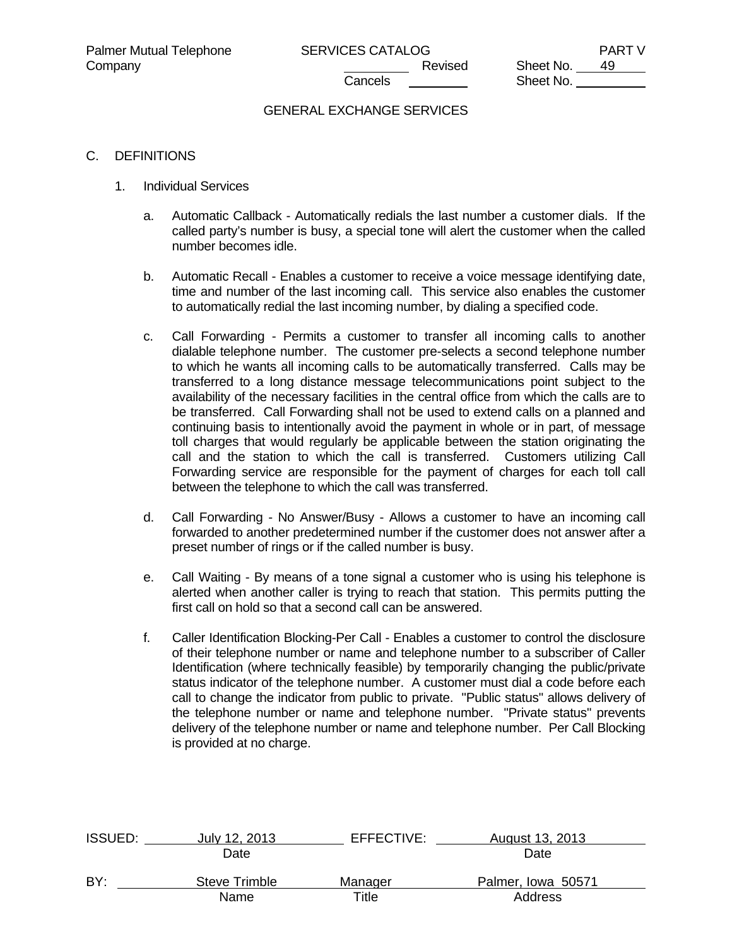# GENERAL EXCHANGE SERVICES

### C. DEFINITIONS

- 1. Individual Services
	- a. Automatic Callback Automatically redials the last number a customer dials. If the called party's number is busy, a special tone will alert the customer when the called number becomes idle.
	- b. Automatic Recall Enables a customer to receive a voice message identifying date, time and number of the last incoming call. This service also enables the customer to automatically redial the last incoming number, by dialing a specified code.
	- c. Call Forwarding Permits a customer to transfer all incoming calls to another dialable telephone number. The customer pre-selects a second telephone number to which he wants all incoming calls to be automatically transferred. Calls may be transferred to a long distance message telecommunications point subject to the availability of the necessary facilities in the central office from which the calls are to be transferred. Call Forwarding shall not be used to extend calls on a planned and continuing basis to intentionally avoid the payment in whole or in part, of message toll charges that would regularly be applicable between the station originating the call and the station to which the call is transferred. Customers utilizing Call Forwarding service are responsible for the payment of charges for each toll call between the telephone to which the call was transferred.
	- d. Call Forwarding No Answer/Busy Allows a customer to have an incoming call forwarded to another predetermined number if the customer does not answer after a preset number of rings or if the called number is busy.
	- e. Call Waiting By means of a tone signal a customer who is using his telephone is alerted when another caller is trying to reach that station. This permits putting the first call on hold so that a second call can be answered.
	- f. Caller Identification Blocking-Per Call Enables a customer to control the disclosure of their telephone number or name and telephone number to a subscriber of Caller Identification (where technically feasible) by temporarily changing the public/private status indicator of the telephone number. A customer must dial a code before each call to change the indicator from public to private. "Public status" allows delivery of the telephone number or name and telephone number. "Private status" prevents delivery of the telephone number or name and telephone number. Per Call Blocking is provided at no charge.

| <b>ISSUED:</b> | July 12, 2013 | EFFECTIVE:  | August 13, 2013    |  |
|----------------|---------------|-------------|--------------------|--|
|                | Date          |             | Date               |  |
| BY:            | Steve Trimble | Manager     | Palmer, Iowa 50571 |  |
|                | Name          | $\tau$ itle | Address            |  |
|                |               |             |                    |  |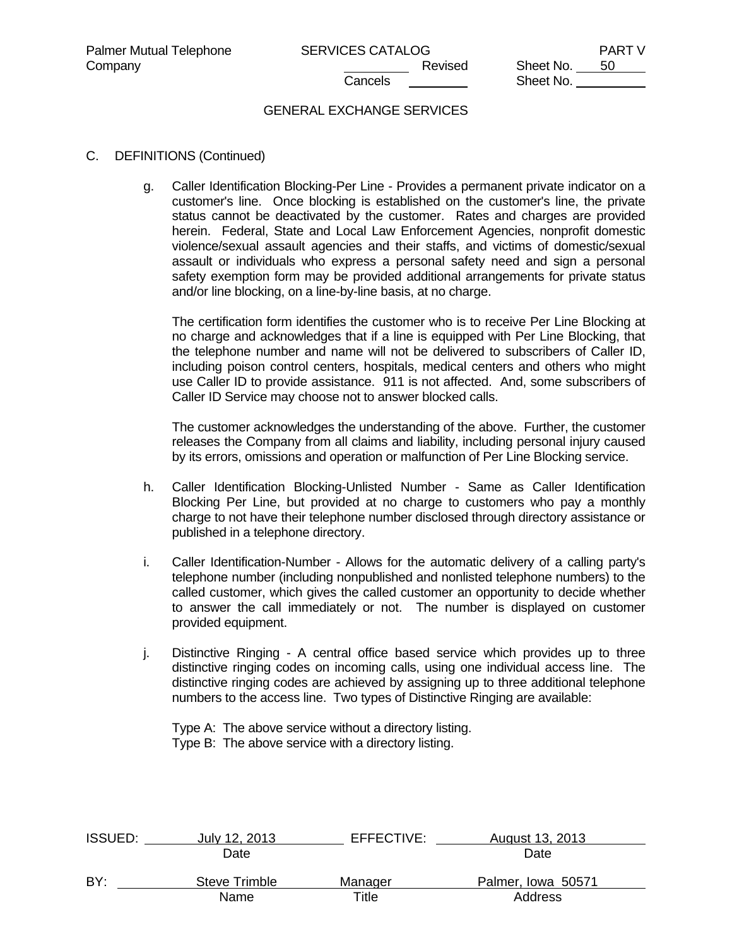# GENERAL EXCHANGE SERVICES

### C. DEFINITIONS (Continued)

 g. Caller Identification Blocking-Per Line - Provides a permanent private indicator on a customer's line. Once blocking is established on the customer's line, the private status cannot be deactivated by the customer. Rates and charges are provided herein. Federal, State and Local Law Enforcement Agencies, nonprofit domestic violence/sexual assault agencies and their staffs, and victims of domestic/sexual assault or individuals who express a personal safety need and sign a personal safety exemption form may be provided additional arrangements for private status and/or line blocking, on a line-by-line basis, at no charge.

 The certification form identifies the customer who is to receive Per Line Blocking at no charge and acknowledges that if a line is equipped with Per Line Blocking, that the telephone number and name will not be delivered to subscribers of Caller ID, including poison control centers, hospitals, medical centers and others who might use Caller ID to provide assistance. 911 is not affected. And, some subscribers of Caller ID Service may choose not to answer blocked calls.

 The customer acknowledges the understanding of the above. Further, the customer releases the Company from all claims and liability, including personal injury caused by its errors, omissions and operation or malfunction of Per Line Blocking service.

- h. Caller Identification Blocking-Unlisted Number Same as Caller Identification Blocking Per Line, but provided at no charge to customers who pay a monthly charge to not have their telephone number disclosed through directory assistance or published in a telephone directory.
- i. Caller Identification-Number Allows for the automatic delivery of a calling party's telephone number (including nonpublished and nonlisted telephone numbers) to the called customer, which gives the called customer an opportunity to decide whether to answer the call immediately or not. The number is displayed on customer provided equipment.
- j. Distinctive Ringing A central office based service which provides up to three distinctive ringing codes on incoming calls, using one individual access line. The distinctive ringing codes are achieved by assigning up to three additional telephone numbers to the access line. Two types of Distinctive Ringing are available:
	- Type A: The above service without a directory listing. Type B: The above service with a directory listing.

| <b>ISSUED:</b> | July 12, 2013 | EFFECTIVE: | August 13, 2013    |  |
|----------------|---------------|------------|--------------------|--|
|                | Date          |            | Date               |  |
| BY:            | Steve Trimble | Manager    | Palmer, Iowa 50571 |  |
|                | Name          | Title      | Address            |  |
|                |               |            |                    |  |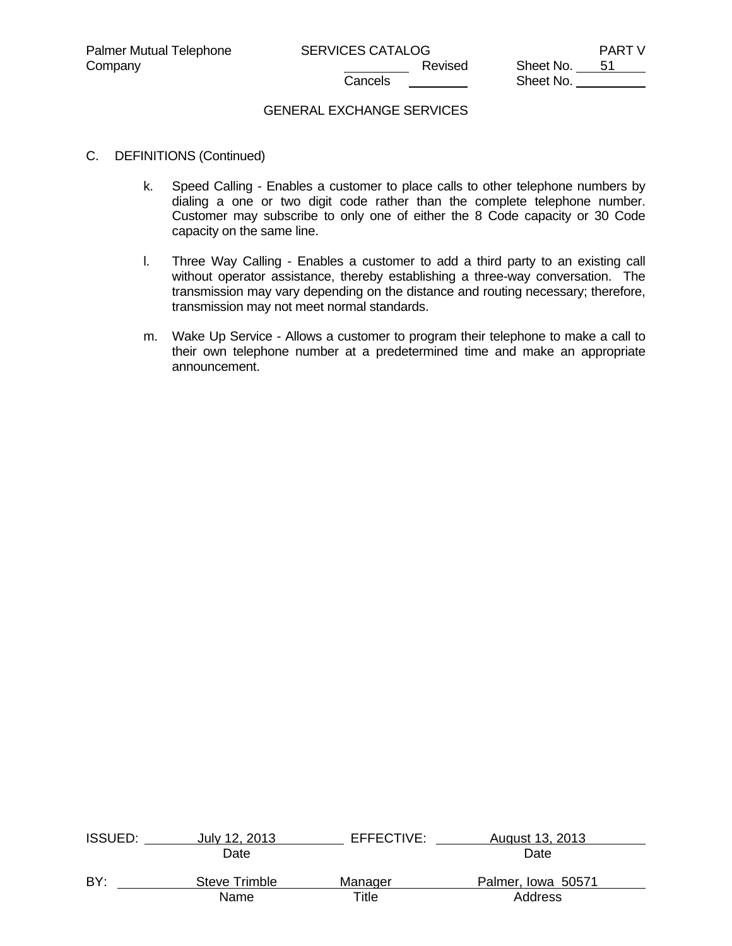Sheet No.

## GENERAL EXCHANGE SERVICES

- C. DEFINITIONS (Continued)
	- k. Speed Calling Enables a customer to place calls to other telephone numbers by dialing a one or two digit code rather than the complete telephone number. Customer may subscribe to only one of either the 8 Code capacity or 30 Code capacity on the same line.
	- l. Three Way Calling Enables a customer to add a third party to an existing call without operator assistance, thereby establishing a three-way conversation. The transmission may vary depending on the distance and routing necessary; therefore, transmission may not meet normal standards.
	- m. Wake Up Service Allows a customer to program their telephone to make a call to their own telephone number at a predetermined time and make an appropriate announcement.

| <b>ISSUED:</b> | July 12, 2013 | EFFECTIVE:  | August 13, 2013    |  |
|----------------|---------------|-------------|--------------------|--|
|                | Date          |             | Date               |  |
| BY:            | Steve Trimble | Manager     | Palmer, Iowa 50571 |  |
|                | Name          | $\tau$ itle | <b>Address</b>     |  |
|                |               |             |                    |  |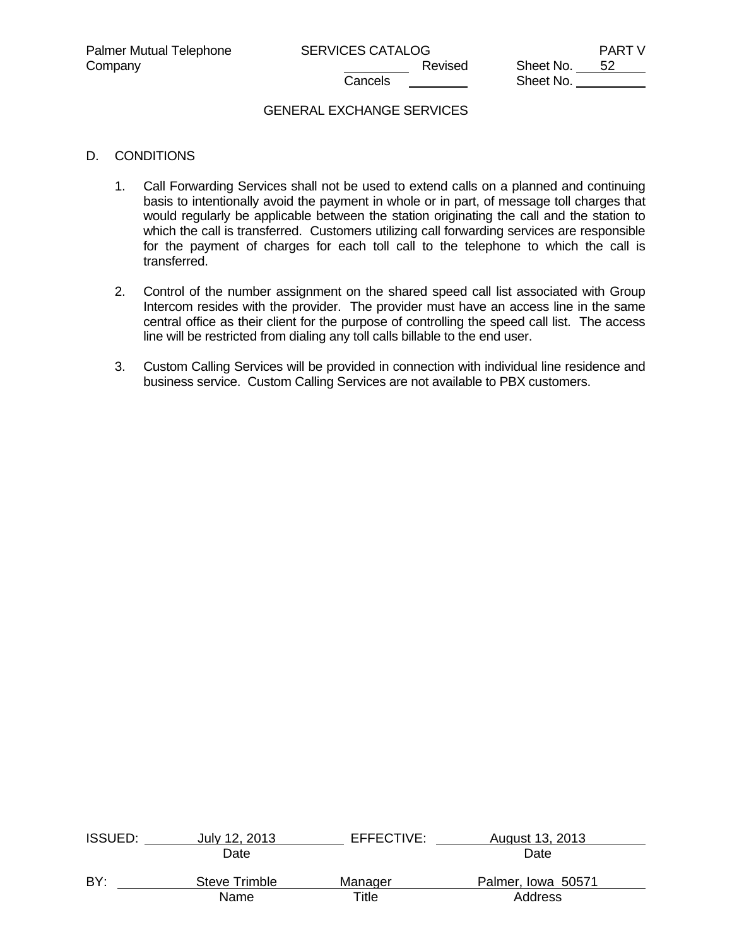Company Company Company Company Company Revised Sheet No. 52 Sheet No.

# GENERAL EXCHANGE SERVICES

### D. CONDITIONS

- 1. Call Forwarding Services shall not be used to extend calls on a planned and continuing basis to intentionally avoid the payment in whole or in part, of message toll charges that would regularly be applicable between the station originating the call and the station to which the call is transferred. Customers utilizing call forwarding services are responsible for the payment of charges for each toll call to the telephone to which the call is transferred.
- 2. Control of the number assignment on the shared speed call list associated with Group Intercom resides with the provider. The provider must have an access line in the same central office as their client for the purpose of controlling the speed call list. The access line will be restricted from dialing any toll calls billable to the end user.
- 3. Custom Calling Services will be provided in connection with individual line residence and business service. Custom Calling Services are not available to PBX customers.

| <b>ISSUED:</b> | July 12, 2013 | EFFECTIVE: | August 13, 2013    |  |
|----------------|---------------|------------|--------------------|--|
|                | Date          |            | Date               |  |
| BY:            | Steve Trimble | Manager    | Palmer, Iowa 50571 |  |
|                | Name          | Title      | Address            |  |
|                |               |            |                    |  |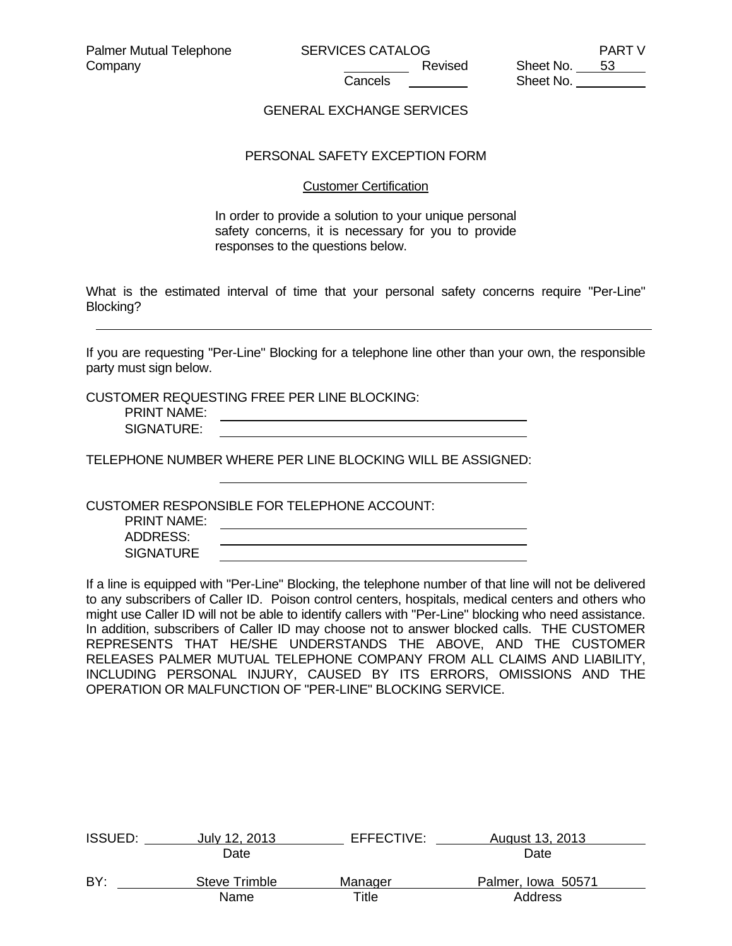### GENERAL EXCHANGE SERVICES

### PERSONAL SAFETY EXCEPTION FORM

#### Customer Certification

In order to provide a solution to your unique personal safety concerns, it is necessary for you to provide responses to the questions below.

What is the estimated interval of time that your personal safety concerns require "Per-Line" Blocking?

If you are requesting "Per-Line" Blocking for a telephone line other than your own, the responsible party must sign below.

CUSTOMER REQUESTING FREE PER LINE BLOCKING:

 PRINT NAME: SIGNATURE:

TELEPHONE NUMBER WHERE PER LINE BLOCKING WILL BE ASSIGNED:

CUSTOMER RESPONSIBLE FOR TELEPHONE ACCOUNT:

 PRINT NAME: ADDRESS: **SIGNATURE** 

If a line is equipped with "Per-Line" Blocking, the telephone number of that line will not be delivered to any subscribers of Caller ID. Poison control centers, hospitals, medical centers and others who might use Caller ID will not be able to identify callers with "Per-Line" blocking who need assistance. In addition, subscribers of Caller ID may choose not to answer blocked calls. THE CUSTOMER REPRESENTS THAT HE/SHE UNDERSTANDS THE ABOVE, AND THE CUSTOMER RELEASES PALMER MUTUAL TELEPHONE COMPANY FROM ALL CLAIMS AND LIABILITY, INCLUDING PERSONAL INJURY, CAUSED BY ITS ERRORS, OMISSIONS AND THE OPERATION OR MALFUNCTION OF "PER-LINE" BLOCKING SERVICE.

| <b>ISSUED:</b> | July 12, 2013 | EFFECTIVE: | August 13, 2013    |  |
|----------------|---------------|------------|--------------------|--|
|                | Date          |            | Date               |  |
| BY:            | Steve Trimble | Manager    | Palmer, Iowa 50571 |  |
|                | Name          | Title      | Address            |  |
|                |               |            |                    |  |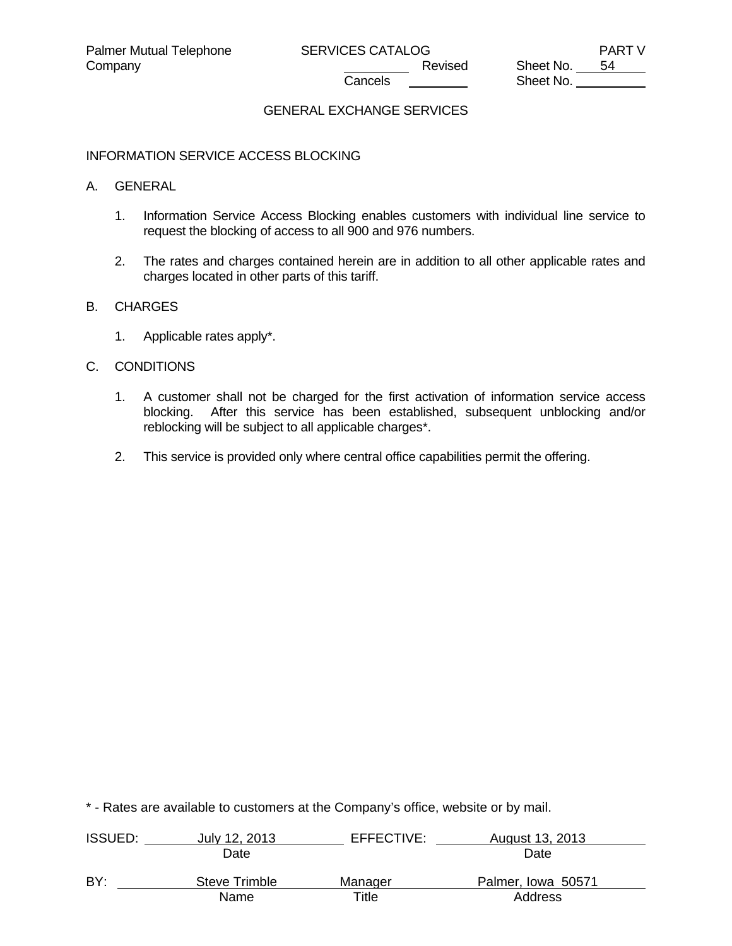Company Company Company Revised Sheet No. 54 Sheet No.

# GENERAL EXCHANGE SERVICES

#### INFORMATION SERVICE ACCESS BLOCKING

#### A. GENERAL

- 1. Information Service Access Blocking enables customers with individual line service to request the blocking of access to all 900 and 976 numbers.
- 2. The rates and charges contained herein are in addition to all other applicable rates and charges located in other parts of this tariff.

#### B. CHARGES

1. Applicable rates apply\*.

## C. CONDITIONS

- 1. A customer shall not be charged for the first activation of information service access blocking. After this service has been established, subsequent unblocking and/or reblocking will be subject to all applicable charges\*.
- 2. This service is provided only where central office capabilities permit the offering.

| <b>ISSUED:</b> | July 12, 2013 | EFFECTIVE: | August 13, 2013    |  |
|----------------|---------------|------------|--------------------|--|
|                | Date          |            | Date               |  |
| BY:            | Steve Trimble | Manager    | Palmer, Iowa 50571 |  |
|                | Name          | ⊤itle      | Address            |  |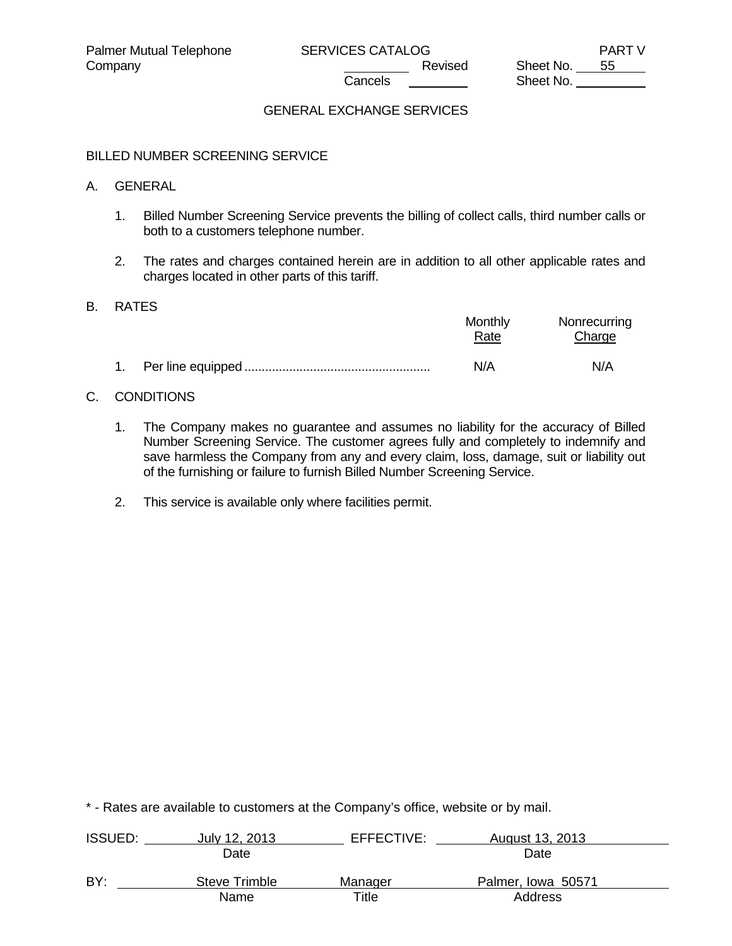Sheet No.

# GENERAL EXCHANGE SERVICES

#### BILLED NUMBER SCREENING SERVICE

#### A. GENERAL

- 1. Billed Number Screening Service prevents the billing of collect calls, third number calls or both to a customers telephone number.
- 2. The rates and charges contained herein are in addition to all other applicable rates and charges located in other parts of this tariff.

#### B. RATES

|  | Monthly<br>Rate | Nonrecurring<br>Charge |
|--|-----------------|------------------------|
|  | N/A             | N/A                    |

### C. CONDITIONS

- 1. The Company makes no guarantee and assumes no liability for the accuracy of Billed Number Screening Service. The customer agrees fully and completely to indemnify and save harmless the Company from any and every claim, loss, damage, suit or liability out of the furnishing or failure to furnish Billed Number Screening Service.
- 2. This service is available only where facilities permit.

| <b>ISSUED:</b> | July 12, 2013 | EFFECTIVE: | August 13, 2013    |  |
|----------------|---------------|------------|--------------------|--|
|                | Date          |            | Date               |  |
| BY:            | Steve Trimble | Manager    | Palmer, Iowa 50571 |  |
|                | Name          | Title      | Address            |  |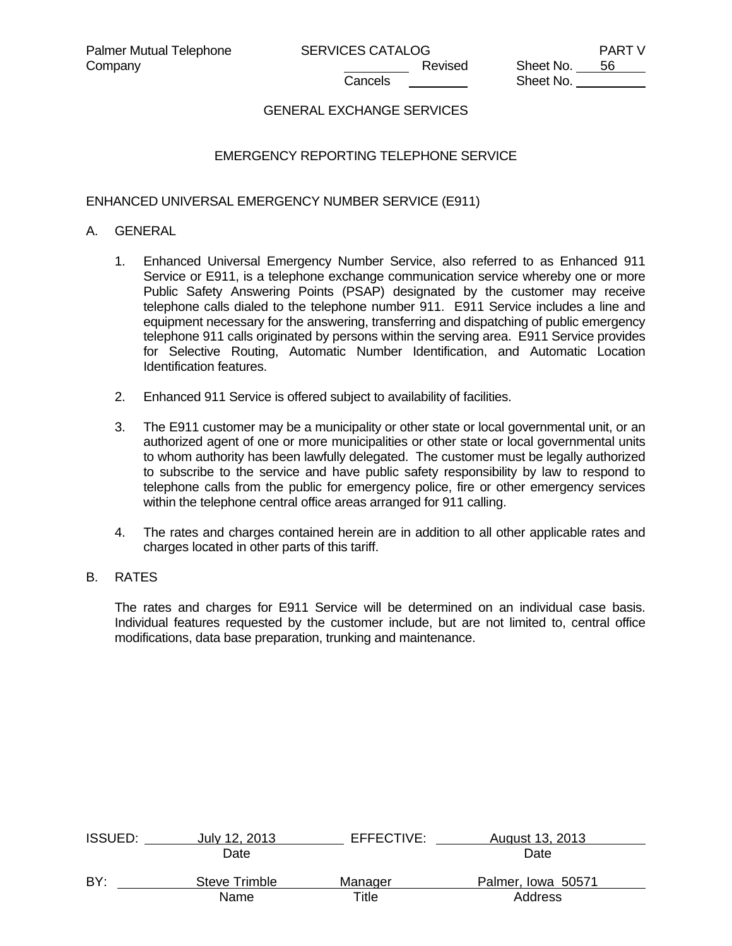# GENERAL EXCHANGE SERVICES

# EMERGENCY REPORTING TELEPHONE SERVICE

### ENHANCED UNIVERSAL EMERGENCY NUMBER SERVICE (E911)

#### A. GENERAL

- 1. Enhanced Universal Emergency Number Service, also referred to as Enhanced 911 Service or E911, is a telephone exchange communication service whereby one or more Public Safety Answering Points (PSAP) designated by the customer may receive telephone calls dialed to the telephone number 911. E911 Service includes a line and equipment necessary for the answering, transferring and dispatching of public emergency telephone 911 calls originated by persons within the serving area. E911 Service provides for Selective Routing, Automatic Number Identification, and Automatic Location Identification features.
- 2. Enhanced 911 Service is offered subject to availability of facilities.
- 3. The E911 customer may be a municipality or other state or local governmental unit, or an authorized agent of one or more municipalities or other state or local governmental units to whom authority has been lawfully delegated. The customer must be legally authorized to subscribe to the service and have public safety responsibility by law to respond to telephone calls from the public for emergency police, fire or other emergency services within the telephone central office areas arranged for 911 calling.
- 4. The rates and charges contained herein are in addition to all other applicable rates and charges located in other parts of this tariff.

### B. RATES

 The rates and charges for E911 Service will be determined on an individual case basis. Individual features requested by the customer include, but are not limited to, central office modifications, data base preparation, trunking and maintenance.

| <b>ISSUED:</b> | July 12, 2013 | EFFECTIVE: | August 13, 2013    |  |
|----------------|---------------|------------|--------------------|--|
|                | Date          |            | Date               |  |
| BY:            | Steve Trimble | Manager    | Palmer, Iowa 50571 |  |
|                | Name          | Title      | Address            |  |
|                |               |            |                    |  |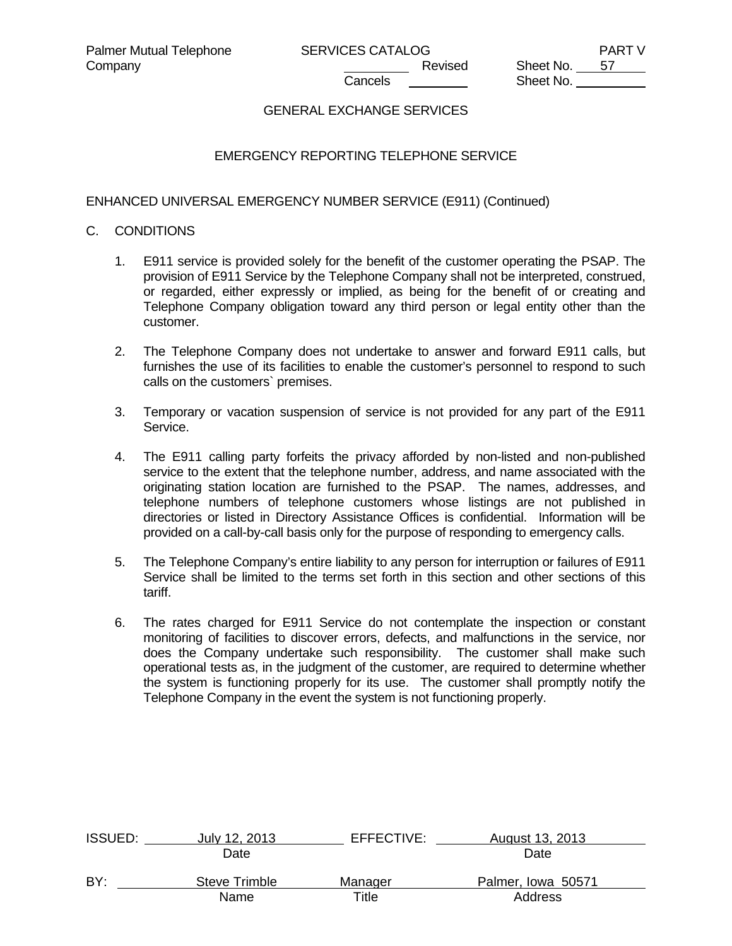# GENERAL EXCHANGE SERVICES

# EMERGENCY REPORTING TELEPHONE SERVICE

ENHANCED UNIVERSAL EMERGENCY NUMBER SERVICE (E911) (Continued)

### C. CONDITIONS

- 1. E911 service is provided solely for the benefit of the customer operating the PSAP. The provision of E911 Service by the Telephone Company shall not be interpreted, construed, or regarded, either expressly or implied, as being for the benefit of or creating and Telephone Company obligation toward any third person or legal entity other than the customer.
- 2. The Telephone Company does not undertake to answer and forward E911 calls, but furnishes the use of its facilities to enable the customer's personnel to respond to such calls on the customers` premises.
- 3. Temporary or vacation suspension of service is not provided for any part of the E911 Service.
- 4. The E911 calling party forfeits the privacy afforded by non-listed and non-published service to the extent that the telephone number, address, and name associated with the originating station location are furnished to the PSAP. The names, addresses, and telephone numbers of telephone customers whose listings are not published in directories or listed in Directory Assistance Offices is confidential. Information will be provided on a call-by-call basis only for the purpose of responding to emergency calls.
- 5. The Telephone Company's entire liability to any person for interruption or failures of E911 Service shall be limited to the terms set forth in this section and other sections of this tariff.
- 6. The rates charged for E911 Service do not contemplate the inspection or constant monitoring of facilities to discover errors, defects, and malfunctions in the service, nor does the Company undertake such responsibility. The customer shall make such operational tests as, in the judgment of the customer, are required to determine whether the system is functioning properly for its use. The customer shall promptly notify the Telephone Company in the event the system is not functioning properly.

| <b>ISSUED:</b> | July 12, 2013 | EFFECTIVE: | August 13, 2013    |  |
|----------------|---------------|------------|--------------------|--|
|                | Date          |            | Date               |  |
| BY:            | Steve Trimble | Manager    | Palmer, Iowa 50571 |  |
|                | Name          | Title      | Address            |  |
|                |               |            |                    |  |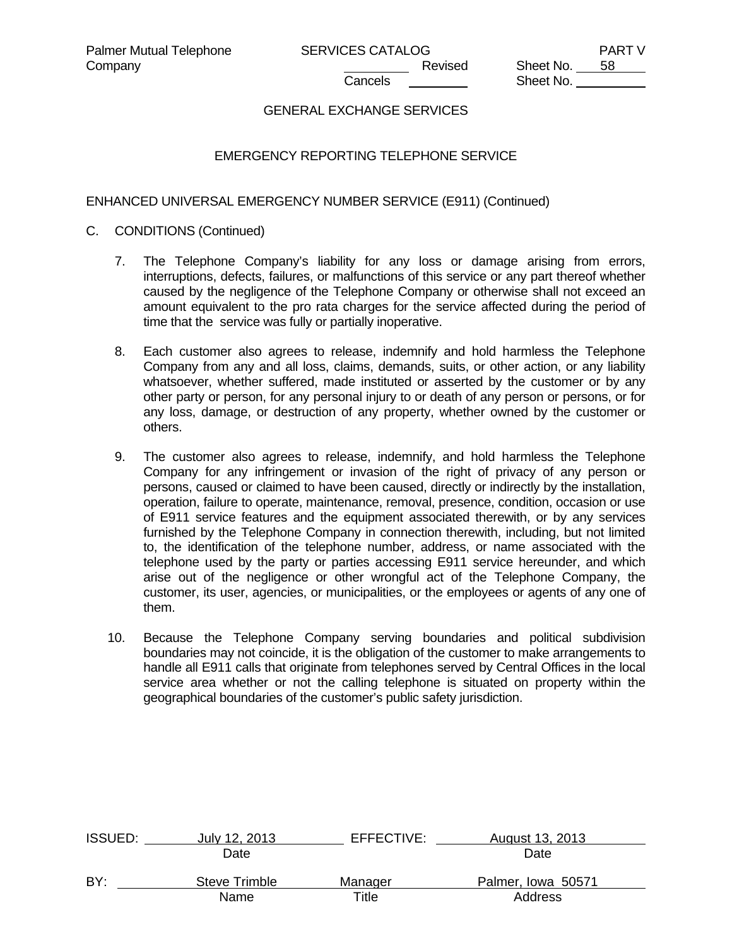# GENERAL EXCHANGE SERVICES

# EMERGENCY REPORTING TELEPHONE SERVICE

ENHANCED UNIVERSAL EMERGENCY NUMBER SERVICE (E911) (Continued)

- C. CONDITIONS (Continued)
	- 7. The Telephone Company's liability for any loss or damage arising from errors, interruptions, defects, failures, or malfunctions of this service or any part thereof whether caused by the negligence of the Telephone Company or otherwise shall not exceed an amount equivalent to the pro rata charges for the service affected during the period of time that the service was fully or partially inoperative.
	- 8. Each customer also agrees to release, indemnify and hold harmless the Telephone Company from any and all loss, claims, demands, suits, or other action, or any liability whatsoever, whether suffered, made instituted or asserted by the customer or by any other party or person, for any personal injury to or death of any person or persons, or for any loss, damage, or destruction of any property, whether owned by the customer or others.
	- 9. The customer also agrees to release, indemnify, and hold harmless the Telephone Company for any infringement or invasion of the right of privacy of any person or persons, caused or claimed to have been caused, directly or indirectly by the installation, operation, failure to operate, maintenance, removal, presence, condition, occasion or use of E911 service features and the equipment associated therewith, or by any services furnished by the Telephone Company in connection therewith, including, but not limited to, the identification of the telephone number, address, or name associated with the telephone used by the party or parties accessing E911 service hereunder, and which arise out of the negligence or other wrongful act of the Telephone Company, the customer, its user, agencies, or municipalities, or the employees or agents of any one of them.
	- 10. Because the Telephone Company serving boundaries and political subdivision boundaries may not coincide, it is the obligation of the customer to make arrangements to handle all E911 calls that originate from telephones served by Central Offices in the local service area whether or not the calling telephone is situated on property within the geographical boundaries of the customer's public safety jurisdiction.

| <b>ISSUED:</b> | July 12, 2013 | EFFECTIVE: | August 13, 2013    |  |
|----------------|---------------|------------|--------------------|--|
|                | Date          |            | Date               |  |
| BY:            | Steve Trimble | Manager    | Palmer, Iowa 50571 |  |
|                | Name          | Title      | Address            |  |
|                |               |            |                    |  |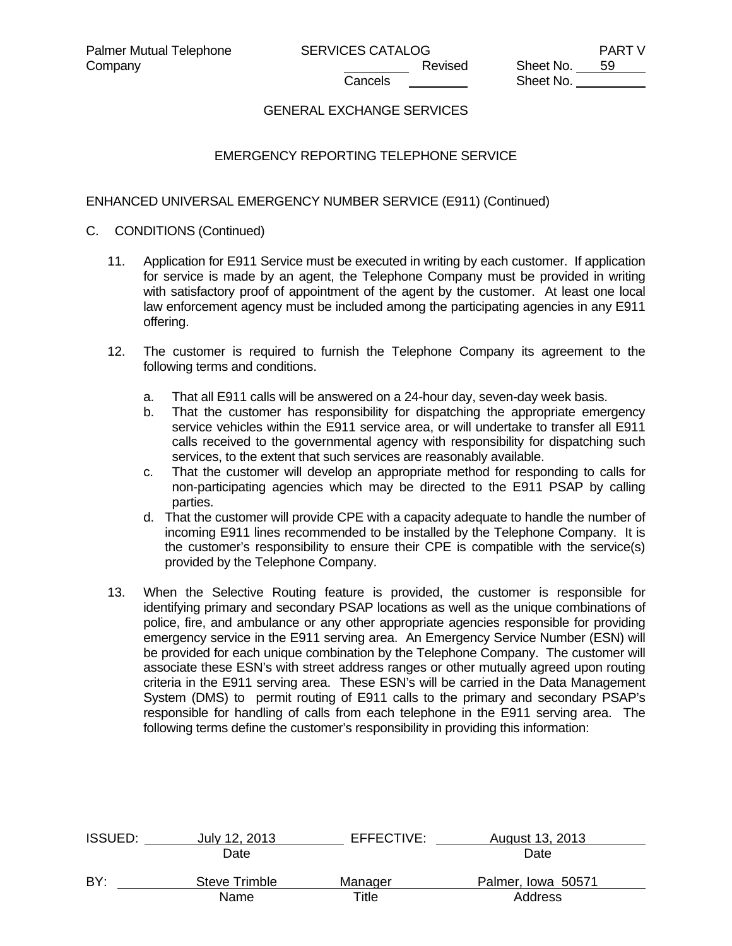# GENERAL EXCHANGE SERVICES

# EMERGENCY REPORTING TELEPHONE SERVICE

ENHANCED UNIVERSAL EMERGENCY NUMBER SERVICE (E911) (Continued)

### C. CONDITIONS (Continued)

- 11. Application for E911 Service must be executed in writing by each customer. If application for service is made by an agent, the Telephone Company must be provided in writing with satisfactory proof of appointment of the agent by the customer. At least one local law enforcement agency must be included among the participating agencies in any E911 offering.
- 12. The customer is required to furnish the Telephone Company its agreement to the following terms and conditions.
	- a. That all E911 calls will be answered on a 24-hour day, seven-day week basis.
	- b. That the customer has responsibility for dispatching the appropriate emergency service vehicles within the E911 service area, or will undertake to transfer all E911 calls received to the governmental agency with responsibility for dispatching such services, to the extent that such services are reasonably available.
	- c. That the customer will develop an appropriate method for responding to calls for non-participating agencies which may be directed to the E911 PSAP by calling parties.
	- d. That the customer will provide CPE with a capacity adequate to handle the number of incoming E911 lines recommended to be installed by the Telephone Company. It is the customer's responsibility to ensure their CPE is compatible with the service(s) provided by the Telephone Company.
- 13. When the Selective Routing feature is provided, the customer is responsible for identifying primary and secondary PSAP locations as well as the unique combinations of police, fire, and ambulance or any other appropriate agencies responsible for providing emergency service in the E911 serving area. An Emergency Service Number (ESN) will be provided for each unique combination by the Telephone Company. The customer will associate these ESN's with street address ranges or other mutually agreed upon routing criteria in the E911 serving area. These ESN's will be carried in the Data Management System (DMS) to permit routing of E911 calls to the primary and secondary PSAP's responsible for handling of calls from each telephone in the E911 serving area. The following terms define the customer's responsibility in providing this information:

| <b>ISSUED:</b> | July 12, 2013 | EFFECTIVE: | August 13, 2013    |  |
|----------------|---------------|------------|--------------------|--|
|                | Date          |            | Date               |  |
| BY:            | Steve Trimble | Manager    | Palmer, Iowa 50571 |  |
|                | Name          | Title      | Address            |  |
|                |               |            |                    |  |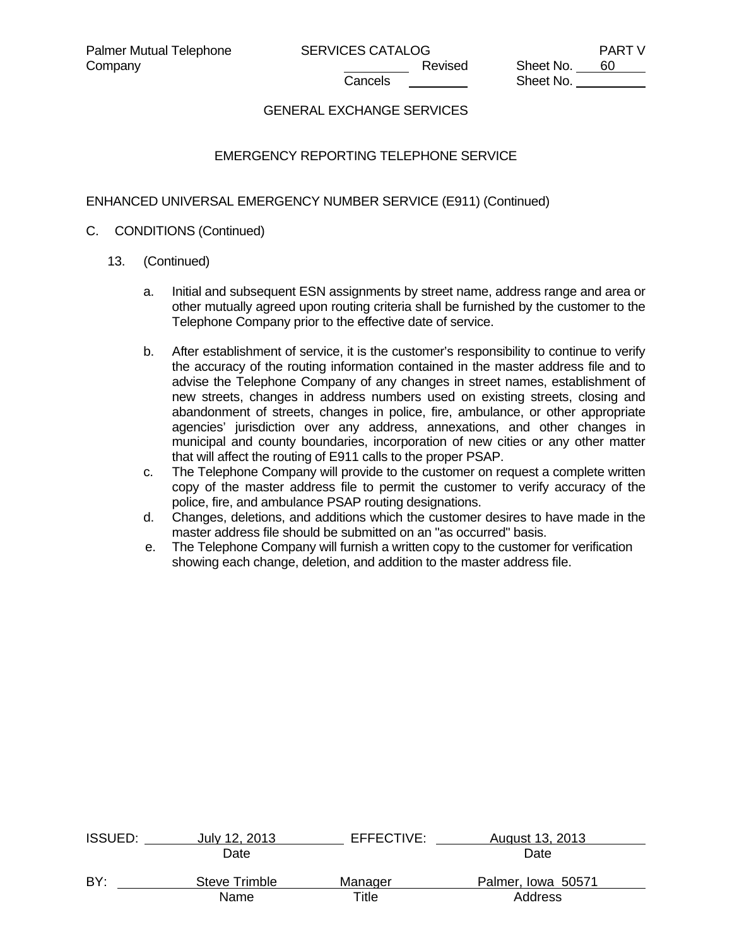# GENERAL EXCHANGE SERVICES

# EMERGENCY REPORTING TELEPHONE SERVICE

# ENHANCED UNIVERSAL EMERGENCY NUMBER SERVICE (E911) (Continued)

### C. CONDITIONS (Continued)

- 13. (Continued)
	- a. Initial and subsequent ESN assignments by street name, address range and area or other mutually agreed upon routing criteria shall be furnished by the customer to the Telephone Company prior to the effective date of service.
	- b. After establishment of service, it is the customer's responsibility to continue to verify the accuracy of the routing information contained in the master address file and to advise the Telephone Company of any changes in street names, establishment of new streets, changes in address numbers used on existing streets, closing and abandonment of streets, changes in police, fire, ambulance, or other appropriate agencies' jurisdiction over any address, annexations, and other changes in municipal and county boundaries, incorporation of new cities or any other matter that will affect the routing of E911 calls to the proper PSAP.
	- c. The Telephone Company will provide to the customer on request a complete written copy of the master address file to permit the customer to verify accuracy of the police, fire, and ambulance PSAP routing designations.
	- d. Changes, deletions, and additions which the customer desires to have made in the master address file should be submitted on an "as occurred" basis.
	- e. The Telephone Company will furnish a written copy to the customer for verification showing each change, deletion, and addition to the master address file.

| <b>ISSUED:</b> | July 12, 2013 | EFFECTIVE: | August 13, 2013    |  |
|----------------|---------------|------------|--------------------|--|
|                | Date          |            | Date               |  |
| BY:            | Steve Trimble | Manager    | Palmer, Iowa 50571 |  |
|                | Name          | Title      | Address            |  |
|                |               |            |                    |  |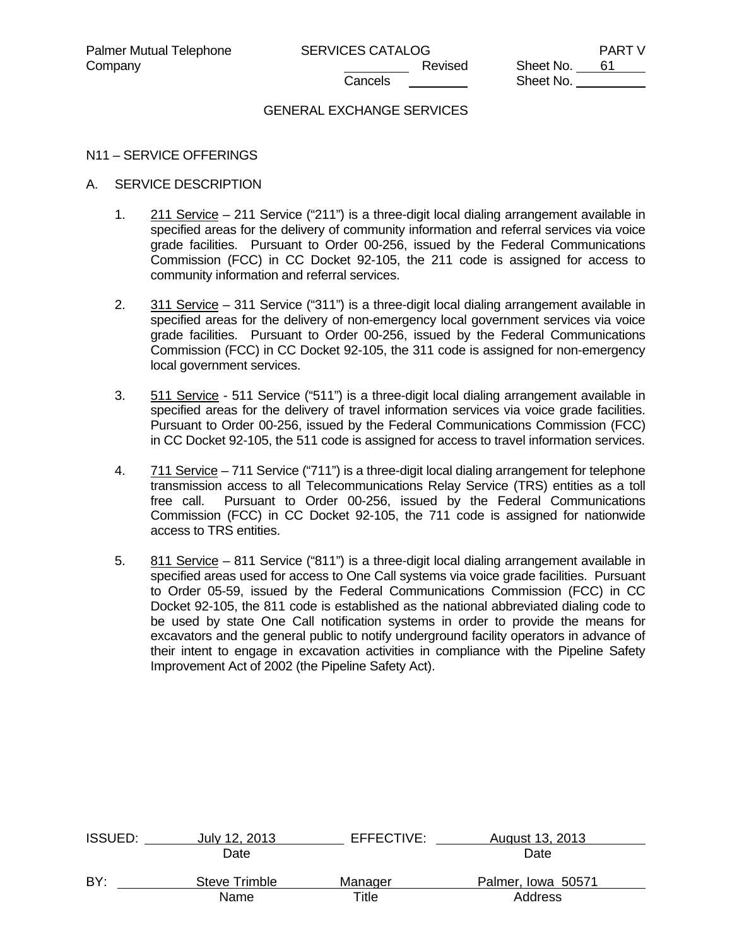### GENERAL EXCHANGE SERVICES

### N11 – SERVICE OFFERINGS

# A. SERVICE DESCRIPTION

- 1.  $211$  Service 211 Service ("211") is a three-digit local dialing arrangement available in specified areas for the delivery of community information and referral services via voice grade facilities. Pursuant to Order 00-256, issued by the Federal Communications Commission (FCC) in CC Docket 92-105, the 211 code is assigned for access to community information and referral services.
- 2. 311 Service 311 Service ("311") is a three-digit local dialing arrangement available in specified areas for the delivery of non-emergency local government services via voice grade facilities. Pursuant to Order 00-256, issued by the Federal Communications Commission (FCC) in CC Docket 92-105, the 311 code is assigned for non-emergency local government services.
- 3. 511 Service 511 Service ("511") is a three-digit local dialing arrangement available in specified areas for the delivery of travel information services via voice grade facilities. Pursuant to Order 00-256, issued by the Federal Communications Commission (FCC) in CC Docket 92-105, the 511 code is assigned for access to travel information services.
- 4. 711 Service 711 Service ("711") is a three-digit local dialing arrangement for telephone transmission access to all Telecommunications Relay Service (TRS) entities as a toll free call. Pursuant to Order 00-256, issued by the Federal Communications Commission (FCC) in CC Docket 92-105, the 711 code is assigned for nationwide access to TRS entities.
- 5. 811 Service 811 Service ("811") is a three-digit local dialing arrangement available in specified areas used for access to One Call systems via voice grade facilities. Pursuant to Order 05-59, issued by the Federal Communications Commission (FCC) in CC Docket 92-105, the 811 code is established as the national abbreviated dialing code to be used by state One Call notification systems in order to provide the means for excavators and the general public to notify underground facility operators in advance of their intent to engage in excavation activities in compliance with the Pipeline Safety Improvement Act of 2002 (the Pipeline Safety Act).

| <b>ISSUED:</b> | July 12, 2013 | EFFECTIVE: | August 13, 2013    |  |
|----------------|---------------|------------|--------------------|--|
|                | Date          |            | Date               |  |
| BY:            | Steve Trimble | Manager    | Palmer, Iowa 50571 |  |
|                | Name          | Title      | Address            |  |
|                |               |            |                    |  |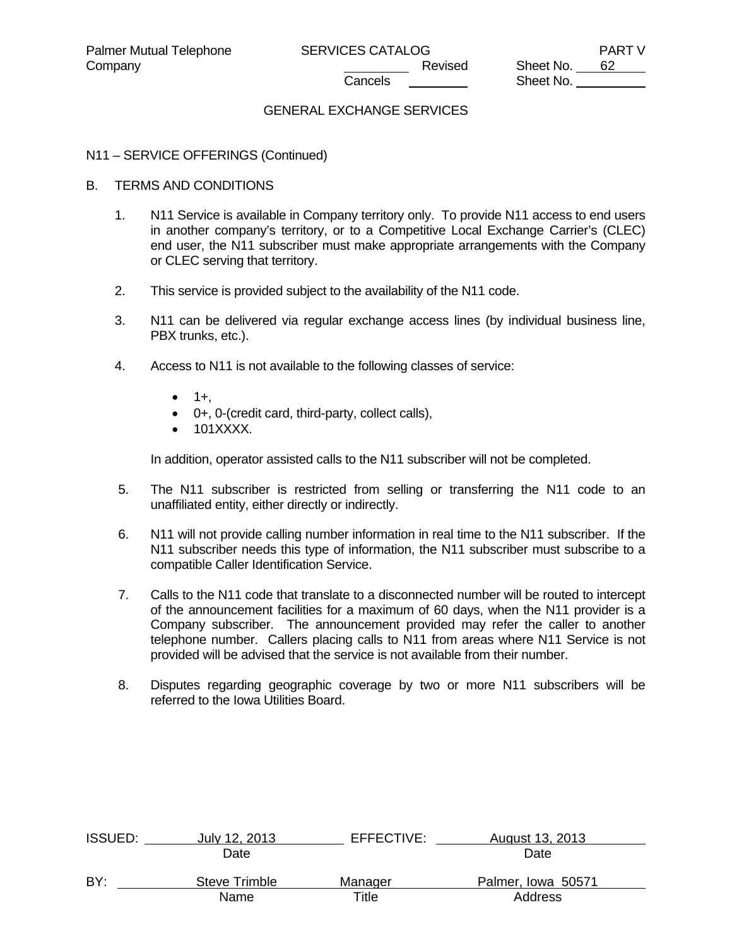# GENERAL EXCHANGE SERVICES

### N11 – SERVICE OFFERINGS (Continued)

### B. TERMS AND CONDITIONS

- 1. N11 Service is available in Company territory only. To provide N11 access to end users in another company's territory, or to a Competitive Local Exchange Carrier's (CLEC) end user, the N11 subscriber must make appropriate arrangements with the Company or CLEC serving that territory.
- 2. This service is provided subject to the availability of the N11 code.
- 3. N11 can be delivered via regular exchange access lines (by individual business line, PBX trunks, etc.).
- 4. Access to N11 is not available to the following classes of service:
	- $\bullet$  1+.
	- 0+, 0-(credit card, third-party, collect calls),
	- 101XXXX.

In addition, operator assisted calls to the N11 subscriber will not be completed.

- 5. The N11 subscriber is restricted from selling or transferring the N11 code to an unaffiliated entity, either directly or indirectly.
- 6. N11 will not provide calling number information in real time to the N11 subscriber. If the N11 subscriber needs this type of information, the N11 subscriber must subscribe to a compatible Caller Identification Service.
- 7. Calls to the N11 code that translate to a disconnected number will be routed to intercept of the announcement facilities for a maximum of 60 days, when the N11 provider is a Company subscriber. The announcement provided may refer the caller to another telephone number. Callers placing calls to N11 from areas where N11 Service is not provided will be advised that the service is not available from their number.
- 8. Disputes regarding geographic coverage by two or more N11 subscribers will be referred to the Iowa Utilities Board.

| ISSUED: | July 12, 2013 | EFFECTIVE: | August 13, 2013    |  |
|---------|---------------|------------|--------------------|--|
|         | Date          |            | Date               |  |
| BY:     | Steve Trimble | Manager    | Palmer, Iowa 50571 |  |
|         | Name          | Title      | Address            |  |
|         |               |            |                    |  |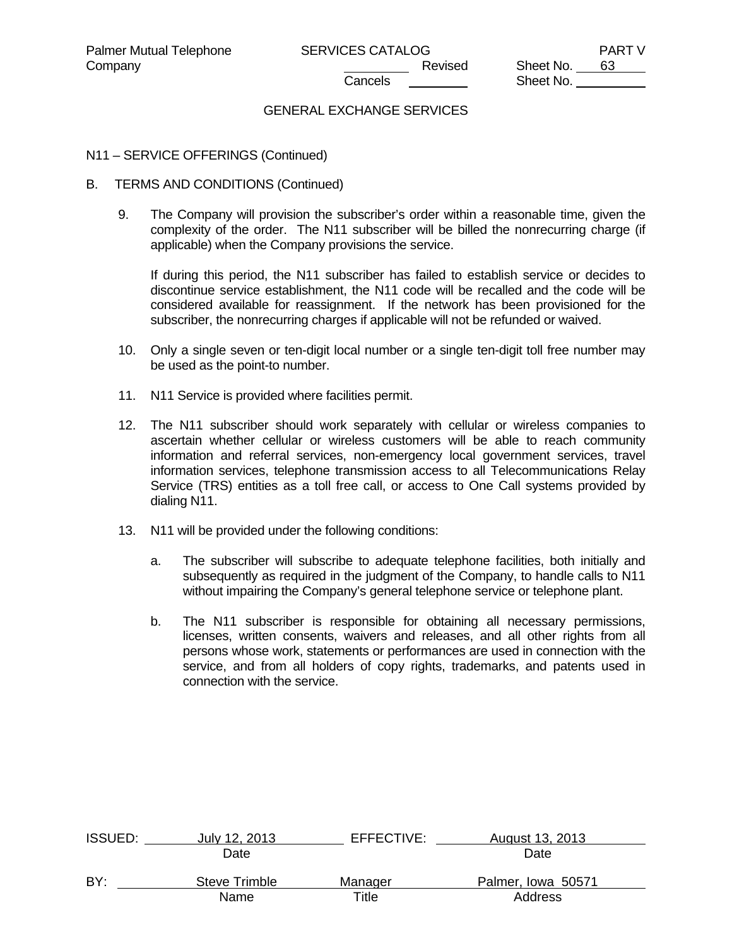# GENERAL EXCHANGE SERVICES

### N11 – SERVICE OFFERINGS (Continued)

- B. TERMS AND CONDITIONS (Continued)
	- 9. The Company will provision the subscriber's order within a reasonable time, given the complexity of the order. The N11 subscriber will be billed the nonrecurring charge (if applicable) when the Company provisions the service.

 If during this period, the N11 subscriber has failed to establish service or decides to discontinue service establishment, the N11 code will be recalled and the code will be considered available for reassignment. If the network has been provisioned for the subscriber, the nonrecurring charges if applicable will not be refunded or waived.

- 10. Only a single seven or ten-digit local number or a single ten-digit toll free number may be used as the point-to number.
- 11. N11 Service is provided where facilities permit.
- 12. The N11 subscriber should work separately with cellular or wireless companies to ascertain whether cellular or wireless customers will be able to reach community information and referral services, non-emergency local government services, travel information services, telephone transmission access to all Telecommunications Relay Service (TRS) entities as a toll free call, or access to One Call systems provided by dialing N11.
- 13. N11 will be provided under the following conditions:
	- a. The subscriber will subscribe to adequate telephone facilities, both initially and subsequently as required in the judgment of the Company, to handle calls to N11 without impairing the Company's general telephone service or telephone plant.
	- b. The N11 subscriber is responsible for obtaining all necessary permissions, licenses, written consents, waivers and releases, and all other rights from all persons whose work, statements or performances are used in connection with the service, and from all holders of copy rights, trademarks, and patents used in connection with the service.

| <b>ISSUED:</b> | July 12, 2013 | EFFECTIVE: | August 13, 2013    |  |
|----------------|---------------|------------|--------------------|--|
|                | Date          |            | Date               |  |
| BY:            | Steve Trimble | Manager    | Palmer, Iowa 50571 |  |
|                | Name          | Title      | Address            |  |
|                |               |            |                    |  |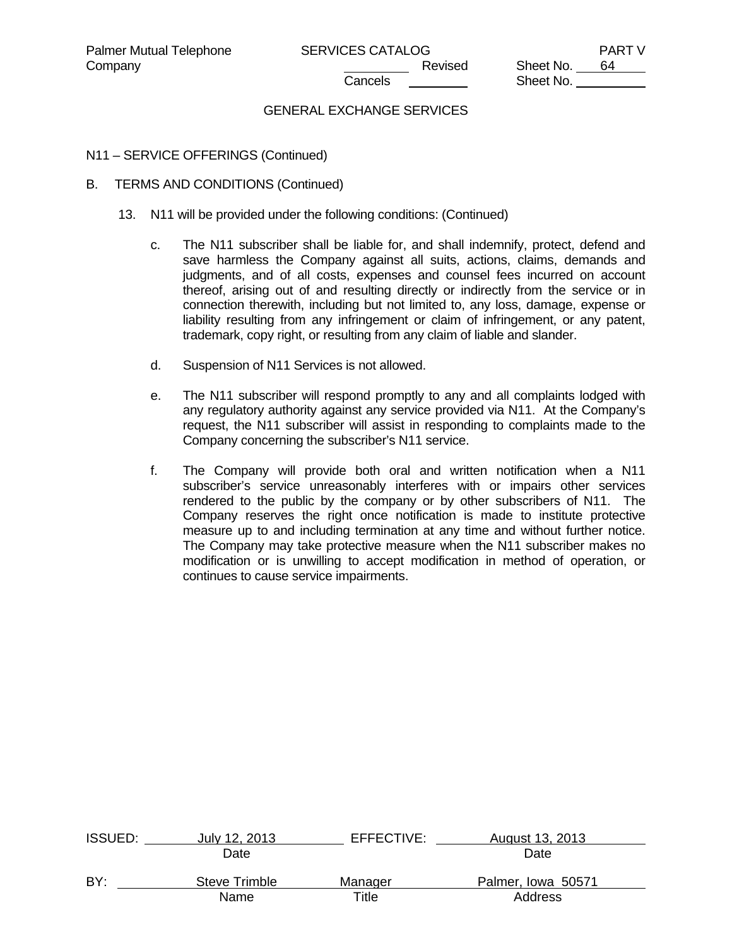# GENERAL EXCHANGE SERVICES

### N11 – SERVICE OFFERINGS (Continued)

### B. TERMS AND CONDITIONS (Continued)

- 13. N11 will be provided under the following conditions: (Continued)
	- c. The N11 subscriber shall be liable for, and shall indemnify, protect, defend and save harmless the Company against all suits, actions, claims, demands and judgments, and of all costs, expenses and counsel fees incurred on account thereof, arising out of and resulting directly or indirectly from the service or in connection therewith, including but not limited to, any loss, damage, expense or liability resulting from any infringement or claim of infringement, or any patent, trademark, copy right, or resulting from any claim of liable and slander.
	- d. Suspension of N11 Services is not allowed.
	- e. The N11 subscriber will respond promptly to any and all complaints lodged with any regulatory authority against any service provided via N11. At the Company's request, the N11 subscriber will assist in responding to complaints made to the Company concerning the subscriber's N11 service.
	- f. The Company will provide both oral and written notification when a N11 subscriber's service unreasonably interferes with or impairs other services rendered to the public by the company or by other subscribers of N11. The Company reserves the right once notification is made to institute protective measure up to and including termination at any time and without further notice. The Company may take protective measure when the N11 subscriber makes no modification or is unwilling to accept modification in method of operation, or continues to cause service impairments.

| <b>ISSUED:</b> | July 12, 2013 | EFFECTIVE: | August 13, 2013    |  |
|----------------|---------------|------------|--------------------|--|
|                | Date          |            | Date               |  |
| BY:            | Steve Trimble | Manager    | Palmer, Iowa 50571 |  |
|                | Name          | Title      | Address            |  |
|                |               |            |                    |  |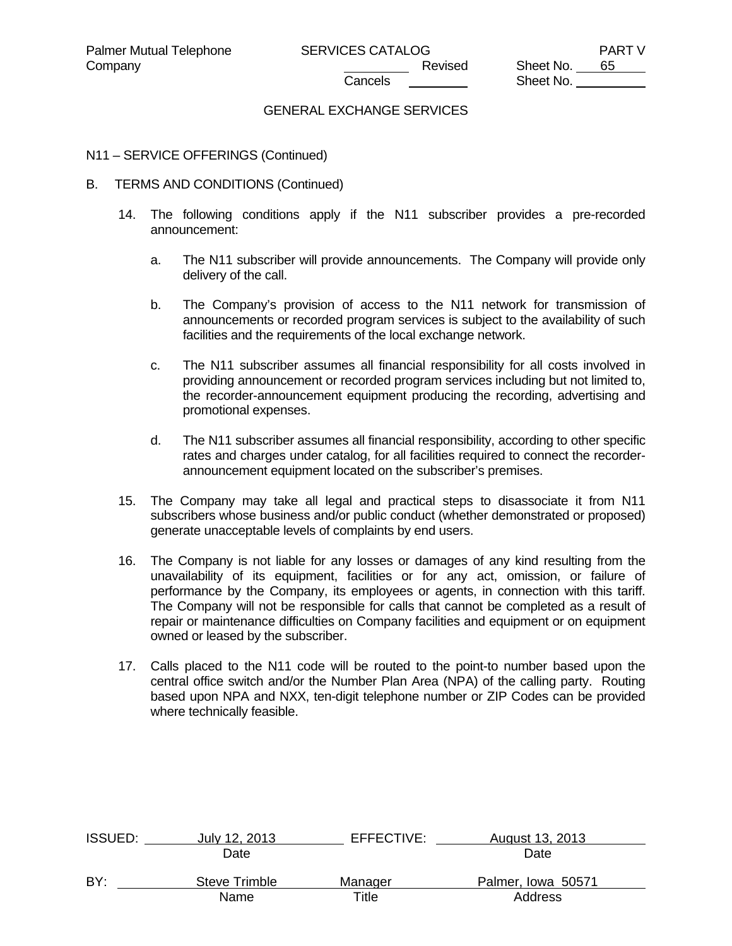### GENERAL EXCHANGE SERVICES

### N11 – SERVICE OFFERINGS (Continued)

- B. TERMS AND CONDITIONS (Continued)
	- 14. The following conditions apply if the N11 subscriber provides a pre-recorded announcement:
		- a. The N11 subscriber will provide announcements. The Company will provide only delivery of the call.
		- b. The Company's provision of access to the N11 network for transmission of announcements or recorded program services is subject to the availability of such facilities and the requirements of the local exchange network.
		- c. The N11 subscriber assumes all financial responsibility for all costs involved in providing announcement or recorded program services including but not limited to, the recorder-announcement equipment producing the recording, advertising and promotional expenses.
		- d. The N11 subscriber assumes all financial responsibility, according to other specific rates and charges under catalog, for all facilities required to connect the recorderannouncement equipment located on the subscriber's premises.
	- 15. The Company may take all legal and practical steps to disassociate it from N11 subscribers whose business and/or public conduct (whether demonstrated or proposed) generate unacceptable levels of complaints by end users.
	- 16. The Company is not liable for any losses or damages of any kind resulting from the unavailability of its equipment, facilities or for any act, omission, or failure of performance by the Company, its employees or agents, in connection with this tariff. The Company will not be responsible for calls that cannot be completed as a result of repair or maintenance difficulties on Company facilities and equipment or on equipment owned or leased by the subscriber.
	- 17. Calls placed to the N11 code will be routed to the point-to number based upon the central office switch and/or the Number Plan Area (NPA) of the calling party. Routing based upon NPA and NXX, ten-digit telephone number or ZIP Codes can be provided where technically feasible.

| ISSUED: | July 12, 2013 | EFFECTIVE: | August 13, 2013    |  |
|---------|---------------|------------|--------------------|--|
|         | Date          |            | Date               |  |
| BY:     | Steve Trimble | Manager    | Palmer, Iowa 50571 |  |
|         | Name          | Title      | Address            |  |
|         |               |            |                    |  |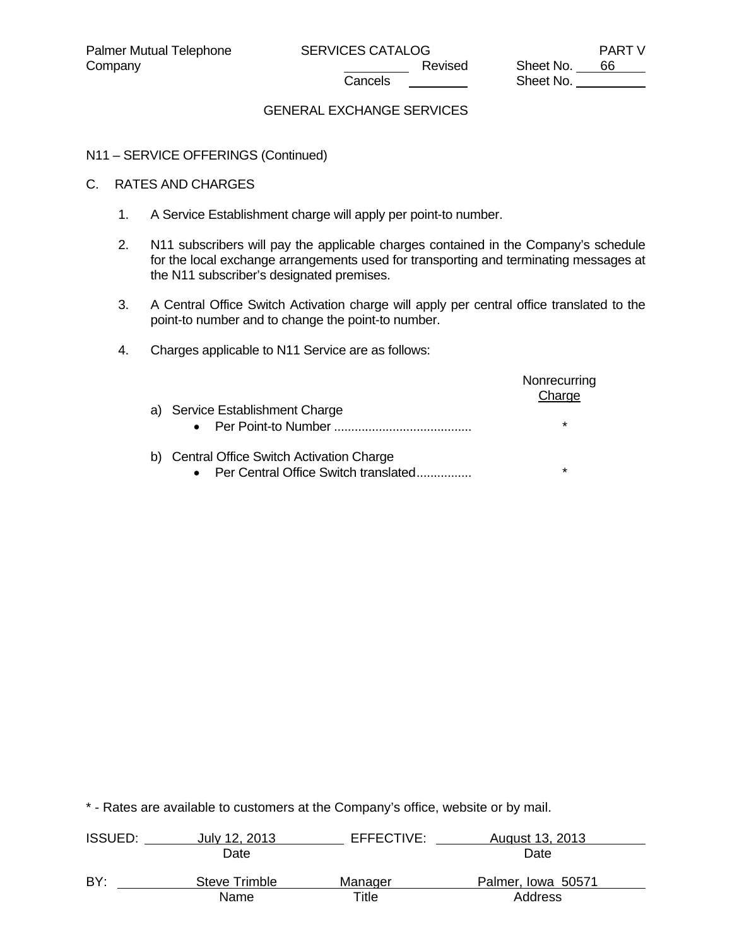Sheet No.

# GENERAL EXCHANGE SERVICES

# N11 – SERVICE OFFERINGS (Continued)

# C. RATES AND CHARGES

- 1. A Service Establishment charge will apply per point-to number.
- 2. N11 subscribers will pay the applicable charges contained in the Company's schedule for the local exchange arrangements used for transporting and terminating messages at the N11 subscriber's designated premises.
- 3. A Central Office Switch Activation charge will apply per central office translated to the point-to number and to change the point-to number.
- 4. Charges applicable to N11 Service are as follows:

| a) Service Establishment Charge<br>Per Point-to Number<br>$\bullet$                             | Nonrecurring<br>Charge<br>$^\star$ |
|-------------------------------------------------------------------------------------------------|------------------------------------|
| b) Central Office Switch Activation Charge<br>Per Central Office Switch translated<br>$\bullet$ | $^\star$                           |

| <b>ISSUED:</b> | July 12, 2013        | EFFECTIVE: | August 13, 2013    |  |
|----------------|----------------------|------------|--------------------|--|
|                | Date                 |            | Date               |  |
| BY:            | <b>Steve Trimble</b> | Manager    | Palmer, Iowa 50571 |  |
|                | Name                 | Title      | Address            |  |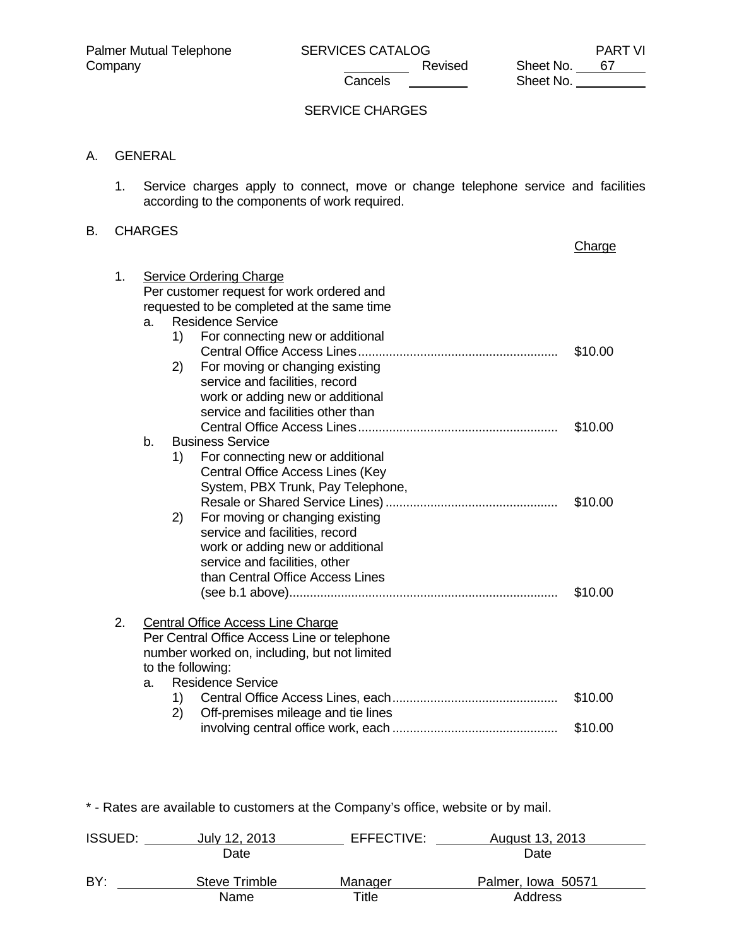### SERVICE CHARGES

# A. GENERAL

 1. Service charges apply to connect, move or change telephone service and facilities according to the components of work required.

# B. CHARGES

|    |                   |    |                                              | Charge  |
|----|-------------------|----|----------------------------------------------|---------|
| 1. |                   |    | <b>Service Ordering Charge</b>               |         |
|    |                   |    | Per customer request for work ordered and    |         |
|    |                   |    | requested to be completed at the same time   |         |
|    | a.                |    | <b>Residence Service</b>                     |         |
|    |                   | 1) | For connecting new or additional             |         |
|    |                   |    |                                              | \$10.00 |
|    |                   | 2) | For moving or changing existing              |         |
|    |                   |    | service and facilities, record               |         |
|    |                   |    | work or adding new or additional             |         |
|    |                   |    | service and facilities other than            |         |
|    |                   |    |                                              | \$10.00 |
|    | b.                |    | <b>Business Service</b>                      |         |
|    |                   | 1) | For connecting new or additional             |         |
|    |                   |    | Central Office Access Lines (Key             |         |
|    |                   |    | System, PBX Trunk, Pay Telephone,            |         |
|    |                   |    |                                              | \$10.00 |
|    |                   | 2) | For moving or changing existing              |         |
|    |                   |    | service and facilities, record               |         |
|    |                   |    | work or adding new or additional             |         |
|    |                   |    | service and facilities, other                |         |
|    |                   |    | than Central Office Access Lines             |         |
|    |                   |    |                                              | \$10.00 |
| 2. |                   |    | Central Office Access Line Charge            |         |
|    |                   |    | Per Central Office Access Line or telephone  |         |
|    |                   |    | number worked on, including, but not limited |         |
|    | to the following: |    |                                              |         |
|    | a.                |    | <b>Residence Service</b>                     |         |
|    |                   | 1) |                                              | \$10.00 |
|    |                   | 2) | Off-premises mileage and tie lines           |         |
|    |                   |    |                                              | \$10.00 |

| <b>ISSUED:</b> | July 12, 2013        | EFFECTIVE: | August 13, 2013    |  |
|----------------|----------------------|------------|--------------------|--|
|                | Date                 |            | Date               |  |
| BY:            | <b>Steve Trimble</b> | Manager    | Palmer, Iowa 50571 |  |
|                | Name                 | Title      | Address            |  |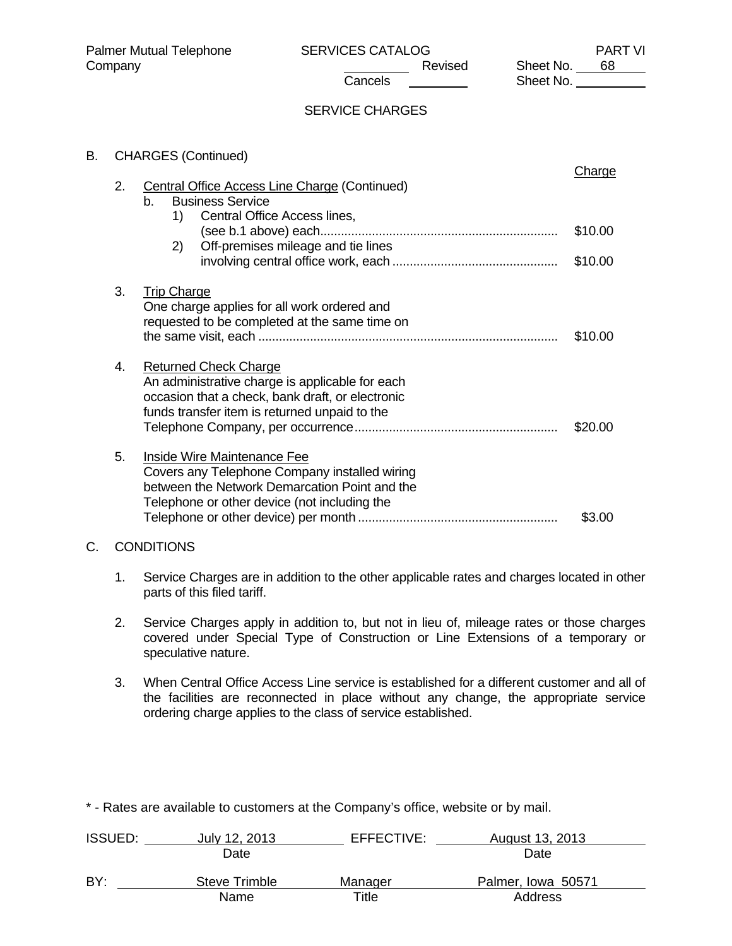# SERVICE CHARGES

| В. | <b>CHARGES (Continued)</b> |                                                                                                                                                                                      |                              |
|----|----------------------------|--------------------------------------------------------------------------------------------------------------------------------------------------------------------------------------|------------------------------|
|    | 2.                         | <b>Central Office Access Line Charge (Continued)</b><br><b>Business Service</b><br>$b_{-}$<br>Central Office Access lines,<br>1)<br>Off-premises mileage and tie lines<br>2)         | Charge<br>\$10.00<br>\$10.00 |
|    | 3.                         | <b>Trip Charge</b><br>One charge applies for all work ordered and<br>requested to be completed at the same time on                                                                   | \$10.00                      |
|    | 4.                         | <b>Returned Check Charge</b><br>An administrative charge is applicable for each<br>occasion that a check, bank draft, or electronic<br>funds transfer item is returned unpaid to the | \$20.00                      |
|    | 5.                         | <b>Inside Wire Maintenance Fee</b><br>Covers any Telephone Company installed wiring<br>between the Network Demarcation Point and the<br>Telephone or other device (not including the | \$3.00                       |
| C. |                            | <b>CONDITIONS</b>                                                                                                                                                                    |                              |

- 1. Service Charges are in addition to the other applicable rates and charges located in other parts of this filed tariff.
- 2. Service Charges apply in addition to, but not in lieu of, mileage rates or those charges covered under Special Type of Construction or Line Extensions of a temporary or speculative nature.
- 3. When Central Office Access Line service is established for a different customer and all of the facilities are reconnected in place without any change, the appropriate service ordering charge applies to the class of service established.

| <b>ISSUED:</b> | July 12, 2013 | EFFECTIVE: | August 13, 2013    |  |
|----------------|---------------|------------|--------------------|--|
|                | Date          |            | Date               |  |
| BY:            | Steve Trimble | Manager    | Palmer, Iowa 50571 |  |
|                | Name          | Title      | Address            |  |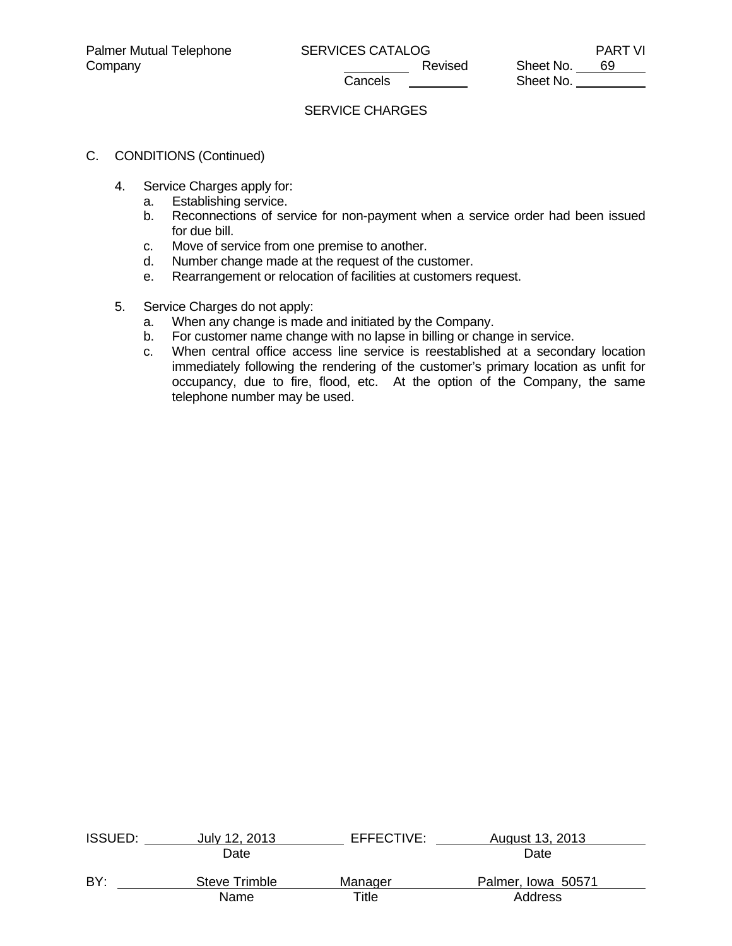# SERVICE CHARGES

# C. CONDITIONS (Continued)

- 4. Service Charges apply for:
	- a. Establishing service.
	- b. Reconnections of service for non-payment when a service order had been issued for due bill.
	- c. Move of service from one premise to another.
	- d. Number change made at the request of the customer.
	- e. Rearrangement or relocation of facilities at customers request.
- 5. Service Charges do not apply:
	- a. When any change is made and initiated by the Company.
	- b. For customer name change with no lapse in billing or change in service.
	- c. When central office access line service is reestablished at a secondary location immediately following the rendering of the customer's primary location as unfit for occupancy, due to fire, flood, etc. At the option of the Company, the same telephone number may be used.

| <b>ISSUED:</b> | July 12, 2013        | EFFECTIVE: | August 13, 2013    |  |
|----------------|----------------------|------------|--------------------|--|
|                | Date                 |            | Date               |  |
| BY:            | <b>Steve Trimble</b> | Manager    | Palmer, Iowa 50571 |  |
|                | Name                 | Title      | Address            |  |
|                |                      |            |                    |  |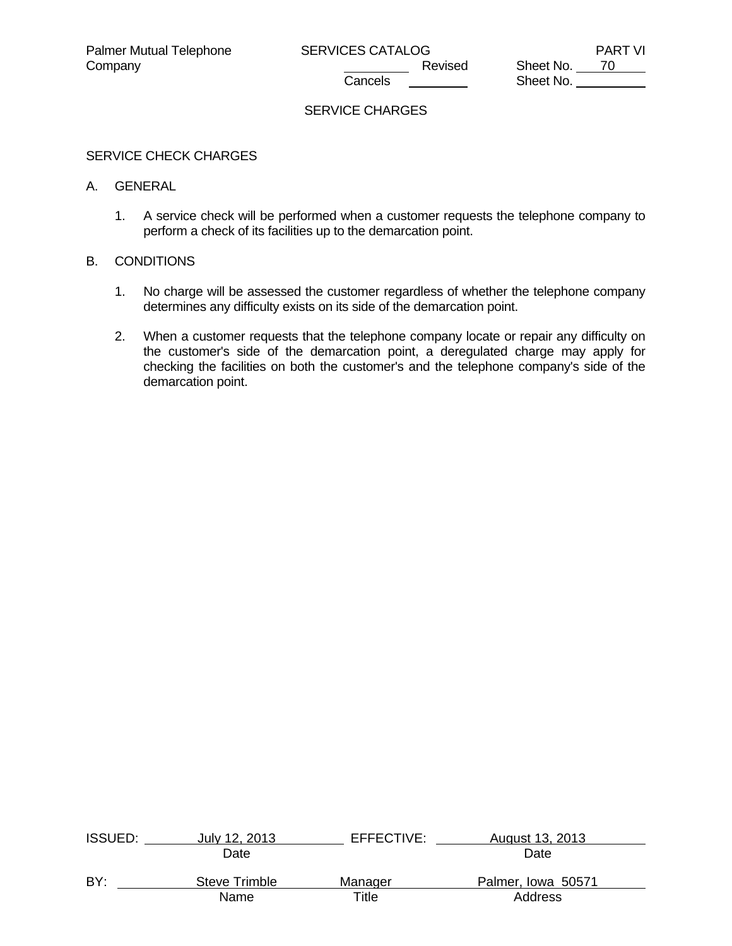Company Company Company Revised Sheet No. 70 Sheet No.

# SERVICE CHARGES

### SERVICE CHECK CHARGES

#### A. GENERAL

 1. A service check will be performed when a customer requests the telephone company to perform a check of its facilities up to the demarcation point.

### B. CONDITIONS

- 1. No charge will be assessed the customer regardless of whether the telephone company determines any difficulty exists on its side of the demarcation point.
- 2. When a customer requests that the telephone company locate or repair any difficulty on the customer's side of the demarcation point, a deregulated charge may apply for checking the facilities on both the customer's and the telephone company's side of the demarcation point.

| <b>ISSUED:</b> | July 12, 2013        | EFFECTIVE: | August 13, 2013    |  |
|----------------|----------------------|------------|--------------------|--|
|                | Date                 |            | Date               |  |
| BY:            | <b>Steve Trimble</b> | Manager    | Palmer, Iowa 50571 |  |
|                | Name                 | Title      | Address            |  |
|                |                      |            |                    |  |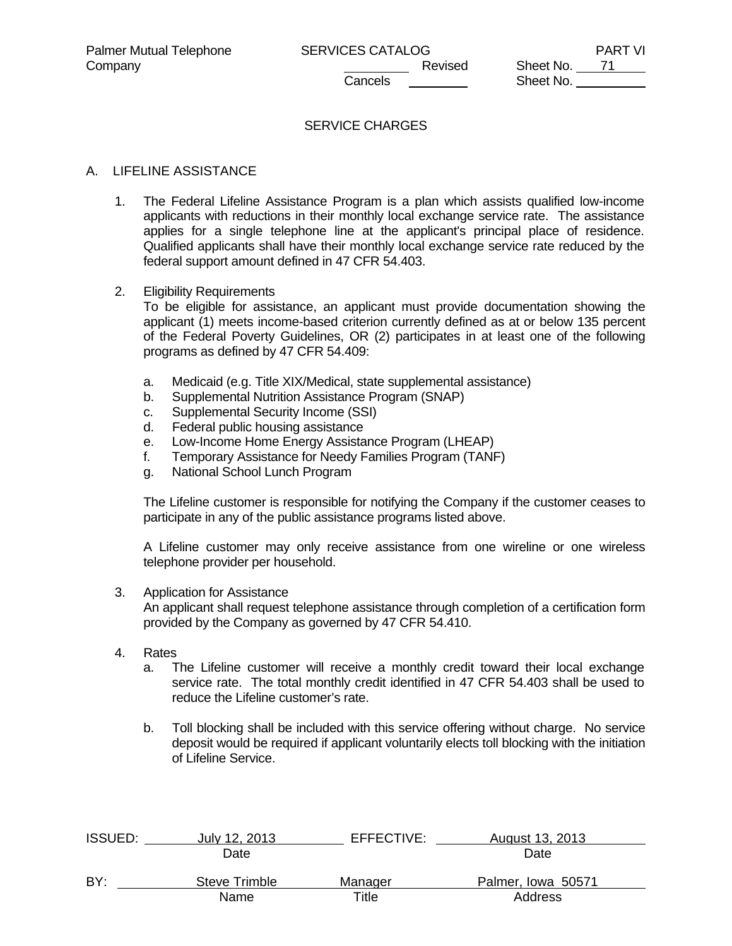# SERVICE CHARGES

### A. LIFELINE ASSISTANCE

 1. The Federal Lifeline Assistance Program is a plan which assists qualified low-income applicants with reductions in their monthly local exchange service rate. The assistance applies for a single telephone line at the applicant's principal place of residence. Qualified applicants shall have their monthly local exchange service rate reduced by the federal support amount defined in 47 CFR 54.403.

#### 2. Eligibility Requirements

 To be eligible for assistance, an applicant must provide documentation showing the applicant (1) meets income-based criterion currently defined as at or below 135 percent of the Federal Poverty Guidelines, OR (2) participates in at least one of the following programs as defined by 47 CFR 54.409:

- a. Medicaid (e.g. Title XIX/Medical, state supplemental assistance)
- b. Supplemental Nutrition Assistance Program (SNAP)
- c. Supplemental Security Income (SSI)
- d. Federal public housing assistance
- e. Low-Income Home Energy Assistance Program (LHEAP)
- f. Temporary Assistance for Needy Families Program (TANF)
- g. National School Lunch Program

 The Lifeline customer is responsible for notifying the Company if the customer ceases to participate in any of the public assistance programs listed above.

 A Lifeline customer may only receive assistance from one wireline or one wireless telephone provider per household.

3. Application for Assistance

 An applicant shall request telephone assistance through completion of a certification form provided by the Company as governed by 47 CFR 54.410.

- 4. Rates
	- a. The Lifeline customer will receive a monthly credit toward their local exchange service rate. The total monthly credit identified in 47 CFR 54.403 shall be used to reduce the Lifeline customer's rate.
	- b. Toll blocking shall be included with this service offering without charge. No service deposit would be required if applicant voluntarily elects toll blocking with the initiation of Lifeline Service.

| <b>ISSUED:</b> | July 12, 2013 | EFFECTIVE: | August 13, 2013    |  |
|----------------|---------------|------------|--------------------|--|
|                | Date          |            | Date               |  |
| BY:            | Steve Trimble | Manager    | Palmer, Iowa 50571 |  |
|                | Name          | Title      | Address            |  |
|                |               |            |                    |  |